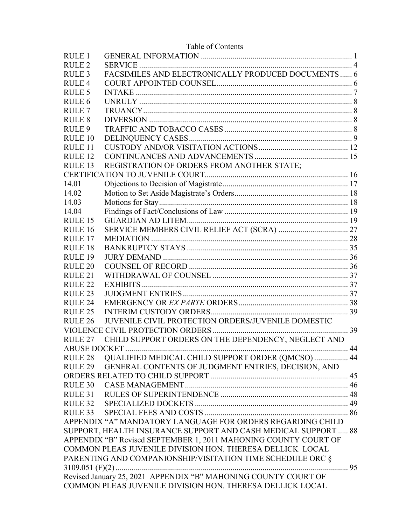|  | Table of Contents |
|--|-------------------|
|--|-------------------|

| RULE <sub>1</sub>                                              |                                                                 |    |
|----------------------------------------------------------------|-----------------------------------------------------------------|----|
| RUTE <sub>2</sub>                                              |                                                                 |    |
| <b>RULE 3</b>                                                  | FACSIMILES AND ELECTRONICALLY PRODUCED DOCUMENTS  6             |    |
| <b>RULE 4</b>                                                  |                                                                 |    |
| <b>RULE 5</b>                                                  |                                                                 |    |
| RULE <sub>6</sub>                                              |                                                                 |    |
| <b>RULE 7</b>                                                  |                                                                 |    |
| <b>RULE 8</b>                                                  |                                                                 |    |
| RULE <sub>9</sub>                                              |                                                                 |    |
| RULE <sub>10</sub>                                             |                                                                 |    |
| <b>RULE 11</b>                                                 |                                                                 |    |
| RULE <sub>12</sub>                                             |                                                                 |    |
| RULE <sub>13</sub>                                             | REGISTRATION OF ORDERS FROM ANOTHER STATE;                      |    |
|                                                                |                                                                 |    |
| 14.01                                                          |                                                                 |    |
| 14.02                                                          |                                                                 |    |
| 14.03                                                          |                                                                 |    |
| 14.04                                                          |                                                                 |    |
| RULE <sub>15</sub>                                             |                                                                 |    |
| RULE <sub>16</sub>                                             |                                                                 |    |
| RULE <sub>17</sub>                                             |                                                                 |    |
| RULE <sub>18</sub>                                             |                                                                 |    |
| RULE <sub>19</sub>                                             |                                                                 |    |
| <b>RULE 20</b>                                                 |                                                                 |    |
| RULE <sub>21</sub>                                             |                                                                 |    |
| RULE <sub>22</sub>                                             |                                                                 |    |
| RULE <sub>23</sub>                                             |                                                                 |    |
| RULE <sub>24</sub>                                             |                                                                 |    |
| RULE <sub>25</sub>                                             |                                                                 |    |
| RULE <sub>26</sub>                                             | JUVENILE CIVIL PROTECTION ORDERS/JUVENILE DOMESTIC              |    |
|                                                                |                                                                 |    |
| RULE <sub>27</sub>                                             | CHILD SUPPORT ORDERS ON THE DEPENDENCY, NEGLECT AND             |    |
| <b>ABUSE DOCKET</b>                                            |                                                                 | 44 |
| RULE <sub>28</sub>                                             | QUALIFIED MEDICAL CHILD SUPPORT ORDER (QMCSO)  44               |    |
| RULE <sub>29</sub>                                             | GENERAL CONTENTS OF JUDGMENT ENTRIES, DECISION, AND             |    |
|                                                                |                                                                 |    |
| RULE <sub>30</sub>                                             |                                                                 |    |
| RULE <sub>31</sub>                                             |                                                                 |    |
| RULE 32                                                        |                                                                 |    |
|                                                                |                                                                 |    |
|                                                                | APPENDIX "A" MANDATORY LANGUAGE FOR ORDERS REGARDING CHILD      |    |
|                                                                | SUPPORT, HEALTH INSURANCE SUPPORT AND CASH MEDICAL SUPPORT  88  |    |
|                                                                | APPENDIX "B" Revised SEPTEMBER 1, 2011 MAHONING COUNTY COURT OF |    |
|                                                                | COMMON PLEAS JUVENILE DIVISION HON. THERESA DELLICK LOCAL       |    |
|                                                                | PARENTING AND COMPANIONSHIP/VISITATION TIME SCHEDULE ORC §      |    |
|                                                                | . 95                                                            |    |
| Revised January 25, 2021 APPENDIX "B" MAHONING COUNTY COURT OF |                                                                 |    |
|                                                                | COMMON PLEAS JUVENILE DIVISION HON. THERESA DELLICK LOCAL       |    |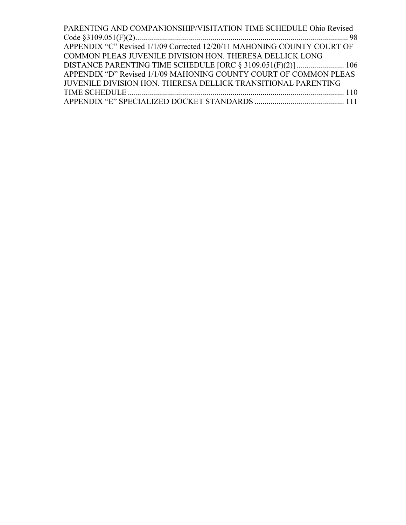| PARENTING AND COMPANIONSHIP/VISITATION TIME SCHEDULE Ohio Revised       |  |
|-------------------------------------------------------------------------|--|
|                                                                         |  |
| APPENDIX "C" Revised 1/1/09 Corrected 12/20/11 MAHONING COUNTY COURT OF |  |
| COMMON PLEAS JUVENILE DIVISION HON. THERESA DELLICK LONG                |  |
| DISTANCE PARENTING TIME SCHEDULE [ORC § 3109.051(F)(2)]  106            |  |
| APPENDIX "D" Revised 1/1/09 MAHONING COUNTY COURT OF COMMON PLEAS       |  |
| JUVENILE DIVISION HON. THERESA DELLICK TRANSITIONAL PARENTING           |  |
|                                                                         |  |
|                                                                         |  |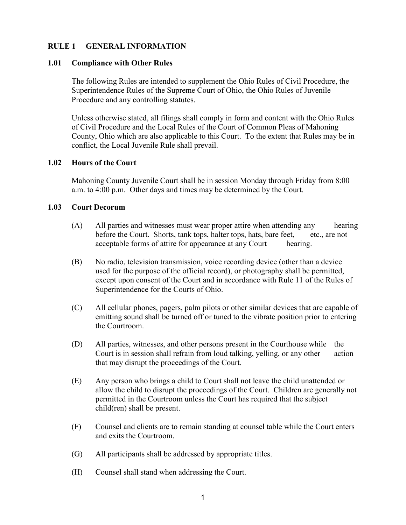## <span id="page-2-0"></span>**RULE 1 GENERAL INFORMATION**

#### **1.01 Compliance with Other Rules**

The following Rules are intended to supplement the Ohio Rules of Civil Procedure, the Superintendence Rules of the Supreme Court of Ohio, the Ohio Rules of Juvenile Procedure and any controlling statutes.

Unless otherwise stated, all filings shall comply in form and content with the Ohio Rules of Civil Procedure and the Local Rules of the Court of Common Pleas of Mahoning County, Ohio which are also applicable to this Court. To the extent that Rules may be in conflict, the Local Juvenile Rule shall prevail.

#### **1.02 Hours of the Court**

Mahoning County Juvenile Court shall be in session Monday through Friday from 8:00 a.m. to 4:00 p.m. Other days and times may be determined by the Court.

#### **1.03 Court Decorum**

- (A) All parties and witnesses must wear proper attire when attending any hearing before the Court. Shorts, tank tops, halter tops, hats, bare feet, etc., are not acceptable forms of attire for appearance at any Court hearing.
- (B) No radio, television transmission, voice recording device (other than a device used for the purpose of the official record), or photography shall be permitted, except upon consent of the Court and in accordance with Rule 11 of the Rules of Superintendence for the Courts of Ohio.
- (C) All cellular phones, pagers, palm pilots or other similar devices that are capable of emitting sound shall be turned off or tuned to the vibrate position prior to entering the Courtroom.
- (D) All parties, witnesses, and other persons present in the Courthouse while the Court is in session shall refrain from loud talking, yelling, or any other action that may disrupt the proceedings of the Court.
- (E) Any person who brings a child to Court shall not leave the child unattended or allow the child to disrupt the proceedings of the Court. Children are generally not permitted in the Courtroom unless the Court has required that the subject child(ren) shall be present.
- (F) Counsel and clients are to remain standing at counsel table while the Court enters and exits the Courtroom.
- (G) All participants shall be addressed by appropriate titles.
- (H) Counsel shall stand when addressing the Court.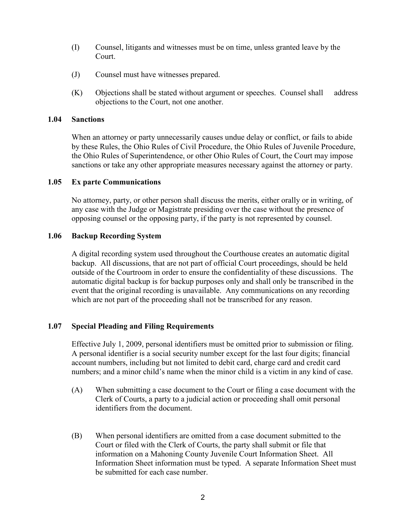- (I) Counsel, litigants and witnesses must be on time, unless granted leave by the Court.
- (J) Counsel must have witnesses prepared.
- (K) Objections shall be stated without argument or speeches. Counsel shall address objections to the Court, not one another.

#### **1.04 Sanctions**

When an attorney or party unnecessarily causes undue delay or conflict, or fails to abide by these Rules, the Ohio Rules of Civil Procedure, the Ohio Rules of Juvenile Procedure, the Ohio Rules of Superintendence, or other Ohio Rules of Court, the Court may impose sanctions or take any other appropriate measures necessary against the attorney or party.

### **1.05 Ex parte Communications**

No attorney, party, or other person shall discuss the merits, either orally or in writing, of any case with the Judge or Magistrate presiding over the case without the presence of opposing counsel or the opposing party, if the party is not represented by counsel.

#### **1.06 Backup Recording System**

A digital recording system used throughout the Courthouse creates an automatic digital backup. All discussions, that are not part of official Court proceedings, should be held outside of the Courtroom in order to ensure the confidentiality of these discussions. The automatic digital backup is for backup purposes only and shall only be transcribed in the event that the original recording is unavailable. Any communications on any recording which are not part of the proceeding shall not be transcribed for any reason.

### **1.07 Special Pleading and Filing Requirements**

Effective July 1, 2009, personal identifiers must be omitted prior to submission or filing. A personal identifier is a social security number except for the last four digits; financial account numbers, including but not limited to debit card, charge card and credit card numbers; and a minor child's name when the minor child is a victim in any kind of case.

- (A) When submitting a case document to the Court or filing a case document with the Clerk of Courts, a party to a judicial action or proceeding shall omit personal identifiers from the document.
- (B) When personal identifiers are omitted from a case document submitted to the Court or filed with the Clerk of Courts, the party shall submit or file that information on a Mahoning County Juvenile Court Information Sheet. All Information Sheet information must be typed. A separate Information Sheet must be submitted for each case number.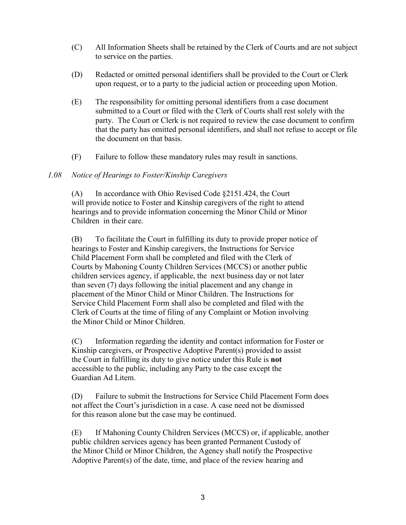- (C) All Information Sheets shall be retained by the Clerk of Courts and are not subject to service on the parties.
- (D) Redacted or omitted personal identifiers shall be provided to the Court or Clerk upon request, or to a party to the judicial action or proceeding upon Motion.
- (E) The responsibility for omitting personal identifiers from a case document submitted to a Court or filed with the Clerk of Courts shall rest solely with the party. The Court or Clerk is not required to review the case document to confirm that the party has omitted personal identifiers, and shall not refuse to accept or file the document on that basis.
- (F) Failure to follow these mandatory rules may result in sanctions.

### *1.08 Notice of Hearings to Foster/Kinship Caregivers*

(A) In accordance with Ohio Revised Code §2151.424, the Court will provide notice to Foster and Kinship caregivers of the right to attend hearings and to provide information concerning the Minor Child or Minor Children in their care.

(B) To facilitate the Court in fulfilling its duty to provide proper notice of hearings to Foster and Kinship caregivers, the Instructions for Service Child Placement Form shall be completed and filed with the Clerk of Courts by Mahoning County Children Services (MCCS) or another public children services agency, if applicable, the next business day or not later than seven (7) days following the initial placement and any change in placement of the Minor Child or Minor Children. The Instructions for Service Child Placement Form shall also be completed and filed with the Clerk of Courts at the time of filing of any Complaint or Motion involving the Minor Child or Minor Children.

(C) Information regarding the identity and contact information for Foster or Kinship caregivers, or Prospective Adoptive Parent(s) provided to assist the Court in fulfilling its duty to give notice under this Rule is **not** accessible to the public, including any Party to the case except the Guardian Ad Litem.

(D) Failure to submit the Instructions for Service Child Placement Form does not affect the Court's jurisdiction in a case. A case need not be dismissed for this reason alone but the case may be continued.

(E) If Mahoning County Children Services (MCCS) or, if applicable, another public children services agency has been granted Permanent Custody of the Minor Child or Minor Children, the Agency shall notify the Prospective Adoptive Parent(s) of the date, time, and place of the review hearing and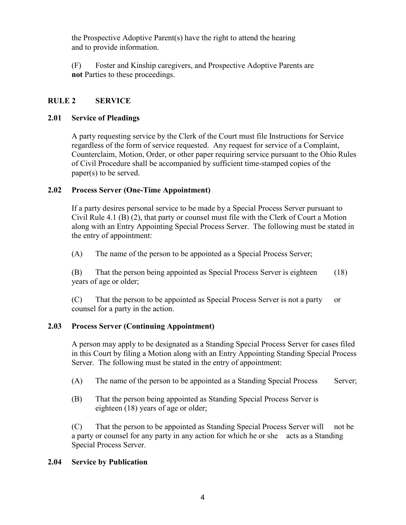the Prospective Adoptive Parent(s) have the right to attend the hearing and to provide information.

(F) Foster and Kinship caregivers, and Prospective Adoptive Parents are **not** Parties to these proceedings.

# <span id="page-5-0"></span>**RULE 2 SERVICE**

### **2.01 Service of Pleadings**

A party requesting service by the Clerk of the Court must file Instructions for Service regardless of the form of service requested. Any request for service of a Complaint, Counterclaim, Motion, Order, or other paper requiring service pursuant to the Ohio Rules of Civil Procedure shall be accompanied by sufficient time-stamped copies of the paper(s) to be served.

# **2.02 Process Server (One-Time Appointment)**

If a party desires personal service to be made by a Special Process Server pursuant to Civil Rule 4.1 (B) (2), that party or counsel must file with the Clerk of Court a Motion along with an Entry Appointing Special Process Server. The following must be stated in the entry of appointment:

(A) The name of the person to be appointed as a Special Process Server;

(B) That the person being appointed as Special Process Server is eighteen (18) years of age or older;

(C) That the person to be appointed as Special Process Server is not a party or counsel for a party in the action.

# **2.03 Process Server (Continuing Appointment)**

A person may apply to be designated as a Standing Special Process Server for cases filed in this Court by filing a Motion along with an Entry Appointing Standing Special Process Server. The following must be stated in the entry of appointment:

- (A) The name of the person to be appointed as a Standing Special Process Server;
- (B) That the person being appointed as Standing Special Process Server is eighteen (18) years of age or older;

(C) That the person to be appointed as Standing Special Process Server will not be a party or counsel for any party in any action for which he or she acts as a Standing Special Process Server.

### **2.04 Service by Publication**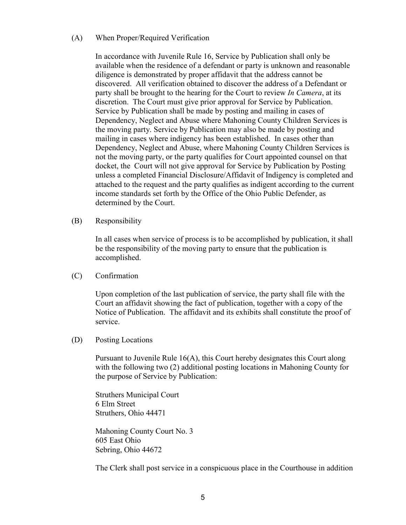#### (A) When Proper/Required Verification

In accordance with Juvenile Rule 16, Service by Publication shall only be available when the residence of a defendant or party is unknown and reasonable diligence is demonstrated by proper affidavit that the address cannot be discovered. All verification obtained to discover the address of a Defendant or party shall be brought to the hearing for the Court to review *In Camera*, at its discretion. The Court must give prior approval for Service by Publication. Service by Publication shall be made by posting and mailing in cases of Dependency, Neglect and Abuse where Mahoning County Children Services is the moving party. Service by Publication may also be made by posting and mailing in cases where indigency has been established. In cases other than Dependency, Neglect and Abuse, where Mahoning County Children Services is not the moving party, or the party qualifies for Court appointed counsel on that docket, the Court will not give approval for Service by Publication by Posting unless a completed Financial Disclosure/Affidavit of Indigency is completed and attached to the request and the party qualifies as indigent according to the current income standards set forth by the Office of the Ohio Public Defender, as determined by the Court.

(B) Responsibility

In all cases when service of process is to be accomplished by publication, it shall be the responsibility of the moving party to ensure that the publication is accomplished.

(C) Confirmation

Upon completion of the last publication of service, the party shall file with the Court an affidavit showing the fact of publication, together with a copy of the Notice of Publication. The affidavit and its exhibits shall constitute the proof of service.

(D) Posting Locations

Pursuant to Juvenile Rule 16(A), this Court hereby designates this Court along with the following two (2) additional posting locations in Mahoning County for the purpose of Service by Publication:

Struthers Municipal Court 6 Elm Street Struthers, Ohio 44471

Mahoning County Court No. 3 605 East Ohio Sebring, Ohio 44672

The Clerk shall post service in a conspicuous place in the Courthouse in addition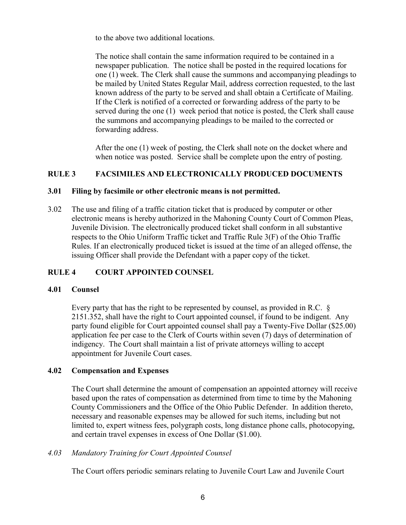to the above two additional locations.

The notice shall contain the same information required to be contained in a newspaper publication. The notice shall be posted in the required locations for one (1) week. The Clerk shall cause the summons and accompanying pleadings to be mailed by United States Regular Mail, address correction requested, to the last known address of the party to be served and shall obtain a Certificate of Mailing. If the Clerk is notified of a corrected or forwarding address of the party to be served during the one (1) week period that notice is posted, the Clerk shall cause the summons and accompanying pleadings to be mailed to the corrected or forwarding address.

After the one (1) week of posting, the Clerk shall note on the docket where and when notice was posted. Service shall be complete upon the entry of posting.

### <span id="page-7-0"></span>**RULE 3 FACSIMILES AND ELECTRONICALLY PRODUCED DOCUMENTS**

### **3.01 Filing by facsimile or other electronic means is not permitted.**

3.02 The use and filing of a traffic citation ticket that is produced by computer or other electronic means is hereby authorized in the Mahoning County Court of Common Pleas, Juvenile Division. The electronically produced ticket shall conform in all substantive respects to the Ohio Uniform Traffic ticket and Traffic Rule 3(F) of the Ohio Traffic Rules. If an electronically produced ticket is issued at the time of an alleged offense, the issuing Officer shall provide the Defendant with a paper copy of the ticket.

# <span id="page-7-1"></span>**RULE 4 COURT APPOINTED COUNSEL**

### **4.01 Counsel**

Every party that has the right to be represented by counsel, as provided in R.C. § 2151.352, shall have the right to Court appointed counsel, if found to be indigent. Any party found eligible for Court appointed counsel shall pay a Twenty-Five Dollar (\$25.00) application fee per case to the Clerk of Courts within seven (7) days of determination of indigency. The Court shall maintain a list of private attorneys willing to accept appointment for Juvenile Court cases.

# **4.02 Compensation and Expenses**

The Court shall determine the amount of compensation an appointed attorney will receive based upon the rates of compensation as determined from time to time by the Mahoning County Commissioners and the Office of the Ohio Public Defender. In addition thereto, necessary and reasonable expenses may be allowed for such items, including but not limited to, expert witness fees, polygraph costs, long distance phone calls, photocopying, and certain travel expenses in excess of One Dollar (\$1.00).

# *4.03 Mandatory Training for Court Appointed Counsel*

The Court offers periodic seminars relating to Juvenile Court Law and Juvenile Court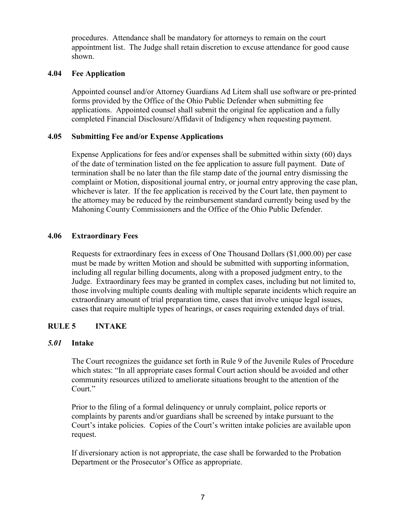procedures. Attendance shall be mandatory for attorneys to remain on the court appointment list. The Judge shall retain discretion to excuse attendance for good cause shown.

### **4.04 Fee Application**

Appointed counsel and/or Attorney Guardians Ad Litem shall use software or pre-printed forms provided by the Office of the Ohio Public Defender when submitting fee applications. Appointed counsel shall submit the original fee application and a fully completed Financial Disclosure/Affidavit of Indigency when requesting payment.

### **4.05 Submitting Fee and/or Expense Applications**

Expense Applications for fees and/or expenses shall be submitted within sixty (60) days of the date of termination listed on the fee application to assure full payment. Date of termination shall be no later than the file stamp date of the journal entry dismissing the complaint or Motion, dispositional journal entry, or journal entry approving the case plan, whichever is later. If the fee application is received by the Court late, then payment to the attorney may be reduced by the reimbursement standard currently being used by the Mahoning County Commissioners and the Office of the Ohio Public Defender.

#### **4.06 Extraordinary Fees**

Requests for extraordinary fees in excess of One Thousand Dollars (\$1,000.00) per case must be made by written Motion and should be submitted with supporting information, including all regular billing documents, along with a proposed judgment entry, to the Judge. Extraordinary fees may be granted in complex cases, including but not limited to, those involving multiple counts dealing with multiple separate incidents which require an extraordinary amount of trial preparation time, cases that involve unique legal issues, cases that require multiple types of hearings, or cases requiring extended days of trial.

### <span id="page-8-0"></span>**RULE 5 INTAKE**

### *5.01* **Intake**

The Court recognizes the guidance set forth in Rule 9 of the Juvenile Rules of Procedure which states: "In all appropriate cases formal Court action should be avoided and other community resources utilized to ameliorate situations brought to the attention of the Court."

Prior to the filing of a formal delinquency or unruly complaint, police reports or complaints by parents and/or guardians shall be screened by intake pursuant to the Court's intake policies. Copies of the Court's written intake policies are available upon request.

If diversionary action is not appropriate, the case shall be forwarded to the Probation Department or the Prosecutor's Office as appropriate.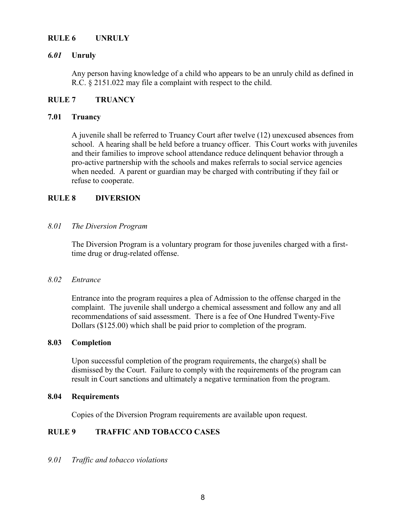#### <span id="page-9-0"></span>**RULE 6 UNRULY**

### *6.01* **Unruly**

Any person having knowledge of a child who appears to be an unruly child as defined in R.C. § 2151.022 may file a complaint with respect to the child.

### <span id="page-9-1"></span>**RULE 7 TRUANCY**

### **7.01 Truancy**

A juvenile shall be referred to Truancy Court after twelve (12) unexcused absences from school. A hearing shall be held before a truancy officer. This Court works with juveniles and their families to improve school attendance reduce delinquent behavior through a pro-active partnership with the schools and makes referrals to social service agencies when needed. A parent or guardian may be charged with contributing if they fail or refuse to cooperate.

#### <span id="page-9-2"></span>**RULE 8 DIVERSION**

### *8.01 The Diversion Program*

The Diversion Program is a voluntary program for those juveniles charged with a firsttime drug or drug-related offense.

#### *8.02 Entrance*

Entrance into the program requires a plea of Admission to the offense charged in the complaint. The juvenile shall undergo a chemical assessment and follow any and all recommendations of said assessment. There is a fee of One Hundred Twenty-Five Dollars (\$125.00) which shall be paid prior to completion of the program.

### **8.03 Completion**

Upon successful completion of the program requirements, the charge(s) shall be dismissed by the Court. Failure to comply with the requirements of the program can result in Court sanctions and ultimately a negative termination from the program.

#### **8.04 Requirements**

Copies of the Diversion Program requirements are available upon request.

### <span id="page-9-3"></span>**RULE 9 TRAFFIC AND TOBACCO CASES**

#### *9.01 Traffic and tobacco violations*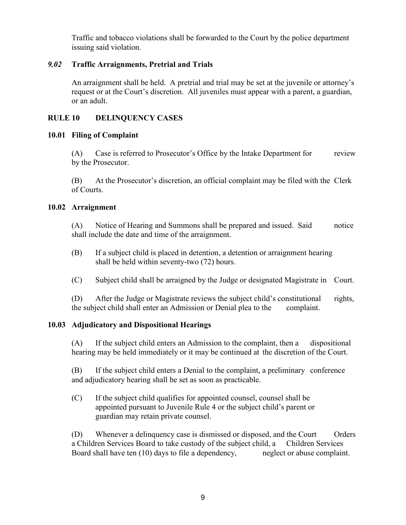Traffic and tobacco violations shall be forwarded to the Court by the police department issuing said violation.

# *9.02* **Traffic Arraignments, Pretrial and Trials**

An arraignment shall be held. A pretrial and trial may be set at the juvenile or attorney's request or at the Court's discretion. All juveniles must appear with a parent, a guardian, or an adult.

# <span id="page-10-0"></span>**RULE 10 DELINQUENCY CASES**

# **10.01 Filing of Complaint**

(A) Case is referred to Prosecutor's Office by the Intake Department for review by the Prosecutor.

(B) At the Prosecutor's discretion, an official complaint may be filed with the Clerk of Courts.

# **10.02 Arraignment**

(A) Notice of Hearing and Summons shall be prepared and issued. Said notice shall include the date and time of the arraignment.

- (B) If a subject child is placed in detention, a detention or arraignment hearing shall be held within seventy-two (72) hours.
- (C) Subject child shall be arraigned by the Judge or designated Magistrate in Court.

(D) After the Judge or Magistrate reviews the subject child's constitutional rights, the subject child shall enter an Admission or Denial plea to the complaint.

# **10.03 Adjudicatory and Dispositional Hearings**

(A) If the subject child enters an Admission to the complaint, then a dispositional hearing may be held immediately or it may be continued at the discretion of the Court.

(B) If the subject child enters a Denial to the complaint, a preliminary conference and adjudicatory hearing shall be set as soon as practicable.

(C) If the subject child qualifies for appointed counsel, counsel shall be appointed pursuant to Juvenile Rule 4 or the subject child's parent or guardian may retain private counsel.

(D) Whenever a delinquency case is dismissed or disposed, and the Court Orders a Children Services Board to take custody of the subject child, a Children Services Board shall have ten (10) days to file a dependency, neglect or abuse complaint.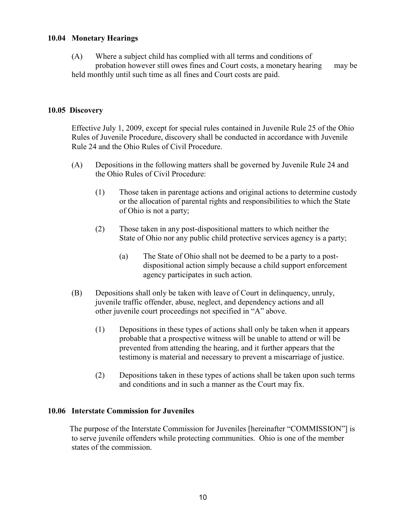### **10.04 Monetary Hearings**

(A) Where a subject child has complied with all terms and conditions of probation however still owes fines and Court costs, a monetary hearing may be held monthly until such time as all fines and Court costs are paid.

### **10.05 Discovery**

Effective July 1, 2009, except for special rules contained in Juvenile Rule 25 of the Ohio Rules of Juvenile Procedure, discovery shall be conducted in accordance with Juvenile Rule 24 and the Ohio Rules of Civil Procedure.

- (A) Depositions in the following matters shall be governed by Juvenile Rule 24 and the Ohio Rules of Civil Procedure:
	- (1) Those taken in parentage actions and original actions to determine custody or the allocation of parental rights and responsibilities to which the State of Ohio is not a party;
	- (2) Those taken in any post-dispositional matters to which neither the State of Ohio nor any public child protective services agency is a party;
		- (a) The State of Ohio shall not be deemed to be a party to a postdispositional action simply because a child support enforcement agency participates in such action.
- (B) Depositions shall only be taken with leave of Court in delinquency, unruly, juvenile traffic offender, abuse, neglect, and dependency actions and all other juvenile court proceedings not specified in "A" above.
	- (1) Depositions in these types of actions shall only be taken when it appears probable that a prospective witness will be unable to attend or will be prevented from attending the hearing, and it further appears that the testimony is material and necessary to prevent a miscarriage of justice.
	- (2) Depositions taken in these types of actions shall be taken upon such terms and conditions and in such a manner as the Court may fix.

### **10.06 Interstate Commission for Juveniles**

 The purpose of the Interstate Commission for Juveniles [hereinafter "COMMISSION"] is to serve juvenile offenders while protecting communities. Ohio is one of the member states of the commission.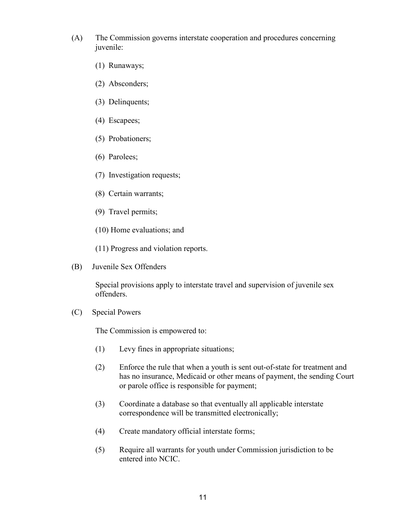- (A) The Commission governs interstate cooperation and procedures concerning juvenile:
	- (1) Runaways;
	- (2) Absconders;
	- (3) Delinquents;
	- (4) Escapees;
	- (5) Probationers;
	- (6) Parolees;
	- (7) Investigation requests;
	- (8) Certain warrants;
	- (9) Travel permits;
	- (10) Home evaluations; and
	- (11) Progress and violation reports.
- (B) Juvenile Sex Offenders

Special provisions apply to interstate travel and supervision of juvenile sex offenders.

(C) Special Powers

The Commission is empowered to:

- (1) Levy fines in appropriate situations;
- (2) Enforce the rule that when a youth is sent out-of-state for treatment and has no insurance, Medicaid or other means of payment, the sending Court or parole office is responsible for payment;
- (3) Coordinate a database so that eventually all applicable interstate correspondence will be transmitted electronically;
- (4) Create mandatory official interstate forms;
- (5) Require all warrants for youth under Commission jurisdiction to be entered into NCIC.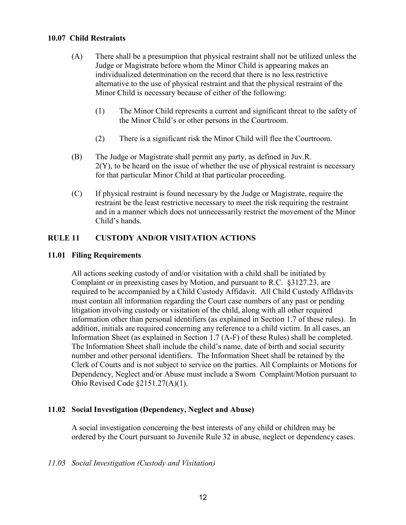### **10.07 Child Restraints**

- (A) There shall be a presumption that physical restraint shall not be utilized unless the Judge or Magistrate before whom the Minor Child is appearing makes an individualized determination on the record that there is no less restrictive alternative to the use of physical restraint and that the physical restraint of the Minor Child is necessary because of either of the following:
	- (1) The Minor Child represents a current and significant threat to the safety of the Minor Child's or other persons in the Courtroom.
	- (2) There is a significant risk the Minor Child will flee the Courtroom.
- (B) The Judge or Magistrate shall permit any party, as defined in Juv.R.  $2(Y)$ , to be heard on the issue of whether the use of physical restraint is necessary for that particular Minor Child at that particular proceeding.
- (C) If physical restraint is found necessary by the Judge or Magistrate, require the restraint be the least restrictive necessary to meet the risk requiring the restraint and in a manner which does not unnecessarily restrict the movement of the Minor Child's hands.

# <span id="page-13-0"></span>**RULE 11 CUSTODY AND/OR VISITATION ACTIONS**

### **11.01 Filing Requirements**

All actions seeking custody of and/or visitation with a child shall be initiated by Complaint or in preexisting cases by Motion, and pursuant to R.C. §3127.23, are required to be accompanied by a Child Custody Affidavit. All Child Custody Affidavits must contain all information regarding the Court case numbers of any past or pending litigation involving custody or visitation of the child, along with all other required information other than personal identifiers (as explained in Section 1.7 of these rules). In addition, initials are required concerning any reference to a child victim. In all cases, an Information Sheet (as explained in Section 1.7 (A-F) of these Rules) shall be completed. The Information Sheet shall include the child's name, date of birth and social security number and other personal identifiers. The Information Sheet shall be retained by the Clerk of Courts and is not subject to service on the parties. All Complaints or Motions for Dependency, Neglect and/or Abuse must include a Sworn Complaint/Motion pursuant to Ohio Revised Code §2151.27(A)(1).

# **11.02 Social Investigation (Dependency, Neglect and Abuse)**

A social investigation concerning the best interests of any child or children may be ordered by the Court pursuant to Juvenile Rule 32 in abuse, neglect or dependency cases.

### *11.03 Social Investigation (Custody and Visitation)*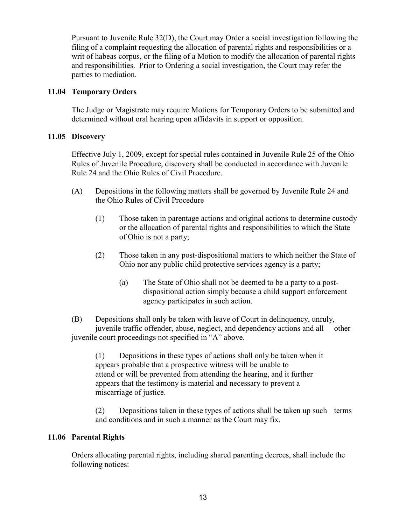Pursuant to Juvenile Rule 32(D), the Court may Order a social investigation following the filing of a complaint requesting the allocation of parental rights and responsibilities or a writ of habeas corpus, or the filing of a Motion to modify the allocation of parental rights and responsibilities. Prior to Ordering a social investigation, the Court may refer the parties to mediation.

## **11.04 Temporary Orders**

The Judge or Magistrate may require Motions for Temporary Orders to be submitted and determined without oral hearing upon affidavits in support or opposition.

### **11.05 Discovery**

Effective July 1, 2009, except for special rules contained in Juvenile Rule 25 of the Ohio Rules of Juvenile Procedure, discovery shall be conducted in accordance with Juvenile Rule 24 and the Ohio Rules of Civil Procedure.

- (A) Depositions in the following matters shall be governed by Juvenile Rule 24 and the Ohio Rules of Civil Procedure
	- (1) Those taken in parentage actions and original actions to determine custody or the allocation of parental rights and responsibilities to which the State of Ohio is not a party;
	- (2) Those taken in any post-dispositional matters to which neither the State of Ohio nor any public child protective services agency is a party;
		- (a) The State of Ohio shall not be deemed to be a party to a postdispositional action simply because a child support enforcement agency participates in such action.
- (B) Depositions shall only be taken with leave of Court in delinquency, unruly, juvenile traffic offender, abuse, neglect, and dependency actions and all other juvenile court proceedings not specified in "A" above.

(1) Depositions in these types of actions shall only be taken when it appears probable that a prospective witness will be unable to attend or will be prevented from attending the hearing, and it further appears that the testimony is material and necessary to prevent a miscarriage of justice.

(2) Depositions taken in these types of actions shall be taken up such terms and conditions and in such a manner as the Court may fix.

### **11.06 Parental Rights**

Orders allocating parental rights, including shared parenting decrees, shall include the following notices: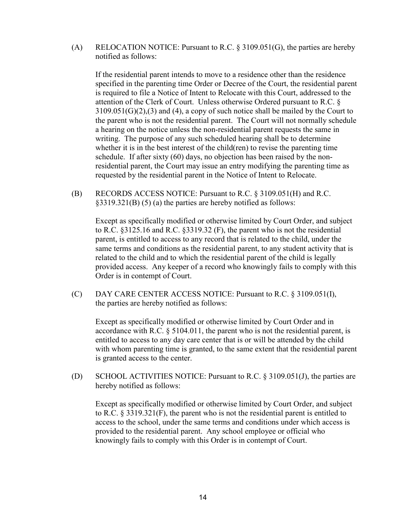(A) RELOCATION NOTICE: Pursuant to R.C. § 3109.051(G), the parties are hereby notified as follows:

If the residential parent intends to move to a residence other than the residence specified in the parenting time Order or Decree of the Court, the residential parent is required to file a Notice of Intent to Relocate with this Court, addressed to the attention of the Clerk of Court. Unless otherwise Ordered pursuant to R.C. §  $3109.051(G)(2),(3)$  and (4), a copy of such notice shall be mailed by the Court to the parent who is not the residential parent. The Court will not normally schedule a hearing on the notice unless the non-residential parent requests the same in writing. The purpose of any such scheduled hearing shall be to determine whether it is in the best interest of the child(ren) to revise the parenting time schedule. If after sixty (60) days, no objection has been raised by the nonresidential parent, the Court may issue an entry modifying the parenting time as requested by the residential parent in the Notice of Intent to Relocate.

(B) RECORDS ACCESS NOTICE: Pursuant to R.C. § 3109.051(H) and R.C. §3319.321(B) (5) (a) the parties are hereby notified as follows:

Except as specifically modified or otherwise limited by Court Order, and subject to R.C. §3125.16 and R.C. §3319.32 (F), the parent who is not the residential parent, is entitled to access to any record that is related to the child, under the same terms and conditions as the residential parent, to any student activity that is related to the child and to which the residential parent of the child is legally provided access. Any keeper of a record who knowingly fails to comply with this Order is in contempt of Court.

(C) DAY CARE CENTER ACCESS NOTICE: Pursuant to R.C. § 3109.051(I), the parties are hereby notified as follows:

Except as specifically modified or otherwise limited by Court Order and in accordance with R.C. § 5104.011, the parent who is not the residential parent, is entitled to access to any day care center that is or will be attended by the child with whom parenting time is granted, to the same extent that the residential parent is granted access to the center.

(D) SCHOOL ACTIVITIES NOTICE: Pursuant to R.C. § 3109.051(J), the parties are hereby notified as follows:

Except as specifically modified or otherwise limited by Court Order, and subject to R.C. § 3319.321(F), the parent who is not the residential parent is entitled to access to the school, under the same terms and conditions under which access is provided to the residential parent. Any school employee or official who knowingly fails to comply with this Order is in contempt of Court.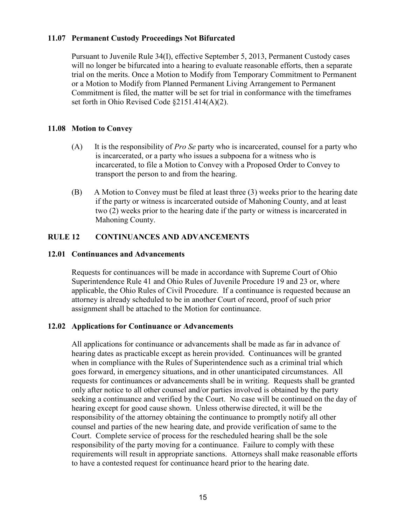### **11.07 Permanent Custody Proceedings Not Bifurcated**

Pursuant to Juvenile Rule 34(I), effective September 5, 2013, Permanent Custody cases will no longer be bifurcated into a hearing to evaluate reasonable efforts, then a separate trial on the merits. Once a Motion to Modify from Temporary Commitment to Permanent or a Motion to Modify from Planned Permanent Living Arrangement to Permanent Commitment is filed, the matter will be set for trial in conformance with the timeframes set forth in Ohio Revised Code §2151.414(A)(2).

### **11.08 Motion to Convey**

- (A) It is the responsibility of *Pro Se* party who is incarcerated, counsel for a party who is incarcerated, or a party who issues a subpoena for a witness who is incarcerated, to file a Motion to Convey with a Proposed Order to Convey to transport the person to and from the hearing.
- (B) A Motion to Convey must be filed at least three (3) weeks prior to the hearing date if the party or witness is incarcerated outside of Mahoning County, and at least two (2) weeks prior to the hearing date if the party or witness is incarcerated in Mahoning County.

### <span id="page-16-0"></span>**RULE 12 CONTINUANCES AND ADVANCEMENTS**

#### **12.01 Continuances and Advancements**

Requests for continuances will be made in accordance with Supreme Court of Ohio Superintendence Rule 41 and Ohio Rules of Juvenile Procedure 19 and 23 or, where applicable, the Ohio Rules of Civil Procedure. If a continuance is requested because an attorney is already scheduled to be in another Court of record, proof of such prior assignment shall be attached to the Motion for continuance.

### **12.02 Applications for Continuance or Advancements**

All applications for continuance or advancements shall be made as far in advance of hearing dates as practicable except as herein provided. Continuances will be granted when in compliance with the Rules of Superintendence such as a criminal trial which goes forward, in emergency situations, and in other unanticipated circumstances. All requests for continuances or advancements shall be in writing. Requests shall be granted only after notice to all other counsel and/or parties involved is obtained by the party seeking a continuance and verified by the Court. No case will be continued on the day of hearing except for good cause shown. Unless otherwise directed, it will be the responsibility of the attorney obtaining the continuance to promptly notify all other counsel and parties of the new hearing date, and provide verification of same to the Court. Complete service of process for the rescheduled hearing shall be the sole responsibility of the party moving for a continuance. Failure to comply with these requirements will result in appropriate sanctions. Attorneys shall make reasonable efforts to have a contested request for continuance heard prior to the hearing date.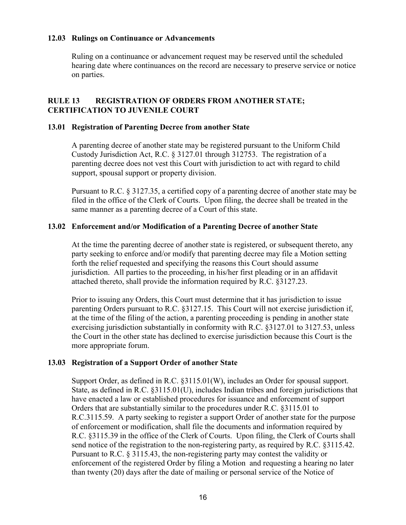### **12.03 Rulings on Continuance or Advancements**

Ruling on a continuance or advancement request may be reserved until the scheduled hearing date where continuances on the record are necessary to preserve service or notice on parties.

### <span id="page-17-0"></span>**RULE 13 REGISTRATION OF ORDERS FROM ANOTHER STATE; CERTIFICATION TO JUVENILE COURT**

#### **13.01 Registration of Parenting Decree from another State**

A parenting decree of another state may be registered pursuant to the Uniform Child Custody Jurisdiction Act, R.C. § 3127.01 through 312753. The registration of a parenting decree does not vest this Court with jurisdiction to act with regard to child support, spousal support or property division.

Pursuant to R.C. § 3127.35, a certified copy of a parenting decree of another state may be filed in the office of the Clerk of Courts. Upon filing, the decree shall be treated in the same manner as a parenting decree of a Court of this state.

#### **13.02 Enforcement and/or Modification of a Parenting Decree of another State**

At the time the parenting decree of another state is registered, or subsequent thereto, any party seeking to enforce and/or modify that parenting decree may file a Motion setting forth the relief requested and specifying the reasons this Court should assume jurisdiction. All parties to the proceeding, in his/her first pleading or in an affidavit attached thereto, shall provide the information required by R.C. §3127.23.

Prior to issuing any Orders, this Court must determine that it has jurisdiction to issue parenting Orders pursuant to R.C. §3127.15. This Court will not exercise jurisdiction if, at the time of the filing of the action, a parenting proceeding is pending in another state exercising jurisdiction substantially in conformity with R.C. §3127.01 to 3127.53, unless the Court in the other state has declined to exercise jurisdiction because this Court is the more appropriate forum.

### **13.03 Registration of a Support Order of another State**

Support Order, as defined in R.C. §3115.01(W), includes an Order for spousal support. State, as defined in R.C. §3115.01(U), includes Indian tribes and foreign jurisdictions that have enacted a law or established procedures for issuance and enforcement of support Orders that are substantially similar to the procedures under R.C. §3115.01 to R.C.3115.59. A party seeking to register a support Order of another state for the purpose of enforcement or modification, shall file the documents and information required by R.C. §3115.39 in the office of the Clerk of Courts. Upon filing, the Clerk of Courts shall send notice of the registration to the non-registering party, as required by R.C. §3115.42. Pursuant to R.C. § 3115.43, the non-registering party may contest the validity or enforcement of the registered Order by filing a Motion and requesting a hearing no later than twenty (20) days after the date of mailing or personal service of the Notice of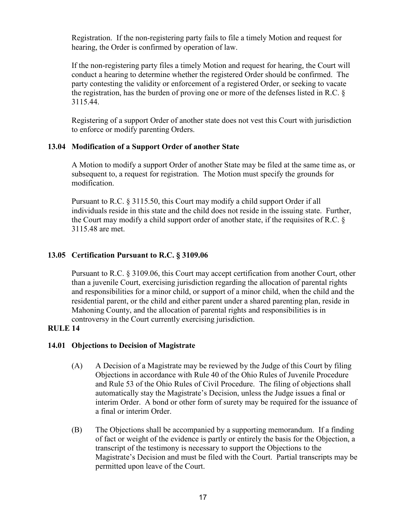Registration. If the non-registering party fails to file a timely Motion and request for hearing, the Order is confirmed by operation of law.

If the non-registering party files a timely Motion and request for hearing, the Court will conduct a hearing to determine whether the registered Order should be confirmed. The party contesting the validity or enforcement of a registered Order, or seeking to vacate the registration, has the burden of proving one or more of the defenses listed in R.C. § 3115.44.

Registering of a support Order of another state does not vest this Court with jurisdiction to enforce or modify parenting Orders.

### **13.04 Modification of a Support Order of another State**

A Motion to modify a support Order of another State may be filed at the same time as, or subsequent to, a request for registration. The Motion must specify the grounds for modification.

Pursuant to R.C. § 3115.50, this Court may modify a child support Order if all individuals reside in this state and the child does not reside in the issuing state. Further, the Court may modify a child support order of another state, if the requisites of R.C. § 3115.48 are met.

# **13.05 Certification Pursuant to R.C. § 3109.06**

Pursuant to R.C. § 3109.06, this Court may accept certification from another Court, other than a juvenile Court, exercising jurisdiction regarding the allocation of parental rights and responsibilities for a minor child, or support of a minor child, when the child and the residential parent, or the child and either parent under a shared parenting plan, reside in Mahoning County, and the allocation of parental rights and responsibilities is in controversy in the Court currently exercising jurisdiction.

### <span id="page-18-0"></span>**RULE 14**

### **14.01 Objections to Decision of Magistrate**

- (A) A Decision of a Magistrate may be reviewed by the Judge of this Court by filing Objections in accordance with Rule 40 of the Ohio Rules of Juvenile Procedure and Rule 53 of the Ohio Rules of Civil Procedure. The filing of objections shall automatically stay the Magistrate's Decision, unless the Judge issues a final or interim Order. A bond or other form of surety may be required for the issuance of a final or interim Order.
- (B) The Objections shall be accompanied by a supporting memorandum. If a finding of fact or weight of the evidence is partly or entirely the basis for the Objection, a transcript of the testimony is necessary to support the Objections to the Magistrate's Decision and must be filed with the Court. Partial transcripts may be permitted upon leave of the Court.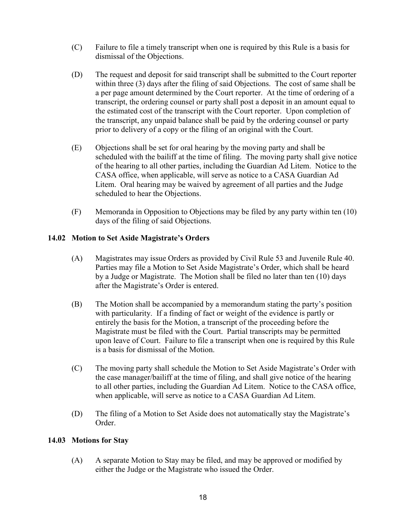- (C) Failure to file a timely transcript when one is required by this Rule is a basis for dismissal of the Objections.
- (D) The request and deposit for said transcript shall be submitted to the Court reporter within three (3) days after the filing of said Objections. The cost of same shall be a per page amount determined by the Court reporter. At the time of ordering of a transcript, the ordering counsel or party shall post a deposit in an amount equal to the estimated cost of the transcript with the Court reporter. Upon completion of the transcript, any unpaid balance shall be paid by the ordering counsel or party prior to delivery of a copy or the filing of an original with the Court.
- (E) Objections shall be set for oral hearing by the moving party and shall be scheduled with the bailiff at the time of filing. The moving party shall give notice of the hearing to all other parties, including the Guardian Ad Litem. Notice to the CASA office, when applicable, will serve as notice to a CASA Guardian Ad Litem. Oral hearing may be waived by agreement of all parties and the Judge scheduled to hear the Objections.
- (F) Memoranda in Opposition to Objections may be filed by any party within ten (10) days of the filing of said Objections.

# <span id="page-19-0"></span>**14.02 Motion to Set Aside Magistrate's Orders**

- (A) Magistrates may issue Orders as provided by Civil Rule 53 and Juvenile Rule 40. Parties may file a Motion to Set Aside Magistrate's Order, which shall be heard by a Judge or Magistrate. The Motion shall be filed no later than ten (10) days after the Magistrate's Order is entered.
- (B) The Motion shall be accompanied by a memorandum stating the party's position with particularity. If a finding of fact or weight of the evidence is partly or entirely the basis for the Motion, a transcript of the proceeding before the Magistrate must be filed with the Court. Partial transcripts may be permitted upon leave of Court. Failure to file a transcript when one is required by this Rule is a basis for dismissal of the Motion.
- (C) The moving party shall schedule the Motion to Set Aside Magistrate's Order with the case manager/bailiff at the time of filing, and shall give notice of the hearing to all other parties, including the Guardian Ad Litem. Notice to the CASA office, when applicable, will serve as notice to a CASA Guardian Ad Litem.
- (D) The filing of a Motion to Set Aside does not automatically stay the Magistrate's Order.

# <span id="page-19-1"></span>**14.03 Motions for Stay**

(A) A separate Motion to Stay may be filed, and may be approved or modified by either the Judge or the Magistrate who issued the Order.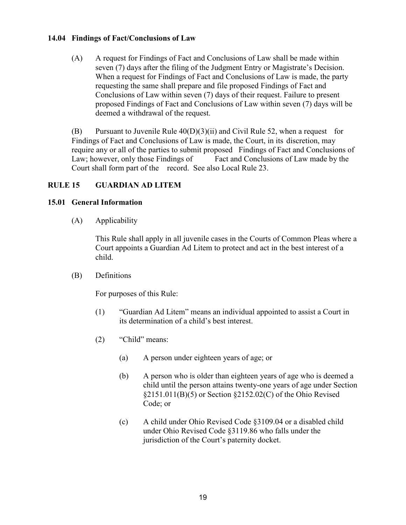### <span id="page-20-0"></span>**14.04 Findings of Fact/Conclusions of Law**

(A) A request for Findings of Fact and Conclusions of Law shall be made within seven (7) days after the filing of the Judgment Entry or Magistrate's Decision. When a request for Findings of Fact and Conclusions of Law is made, the party requesting the same shall prepare and file proposed Findings of Fact and Conclusions of Law within seven (7) days of their request. Failure to present proposed Findings of Fact and Conclusions of Law within seven (7) days will be deemed a withdrawal of the request.

(B) Pursuant to Juvenile Rule  $40(D)(3)(ii)$  and Civil Rule 52, when a request for Findings of Fact and Conclusions of Law is made, the Court, in its discretion, may require any or all of the parties to submit proposed Findings of Fact and Conclusions of Law; however, only those Findings of Fact and Conclusions of Law made by the Court shall form part of the record. See also Local Rule 23.

### <span id="page-20-1"></span>**RULE 15 GUARDIAN AD LITEM**

### **15.01 General Information**

(A) Applicability

This Rule shall apply in all juvenile cases in the Courts of Common Pleas where a Court appoints a Guardian Ad Litem to protect and act in the best interest of a child.

(B) Definitions

For purposes of this Rule:

- (1) "Guardian Ad Litem" means an individual appointed to assist a Court in its determination of a child's best interest.
- (2) "Child" means:
	- (a) A person under eighteen years of age; or
	- (b) A person who is older than eighteen years of age who is deemed a child until the person attains twenty-one years of age under Section §2151.011(B)(5) or Section §2152.02(C) of the Ohio Revised Code; or
	- (c) A child under Ohio Revised Code §3109.04 or a disabled child under Ohio Revised Code §3119.86 who falls under the jurisdiction of the Court's paternity docket.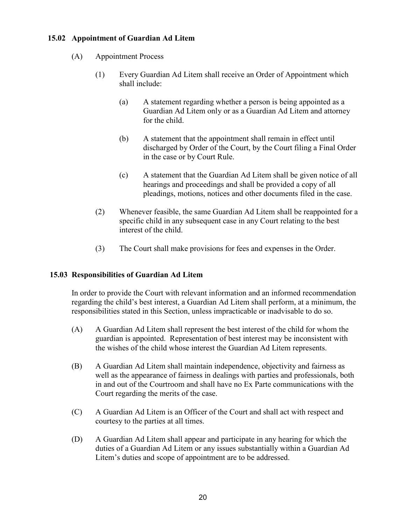# **15.02 Appointment of Guardian Ad Litem**

- (A) Appointment Process
	- (1) Every Guardian Ad Litem shall receive an Order of Appointment which shall include:
		- (a) A statement regarding whether a person is being appointed as a Guardian Ad Litem only or as a Guardian Ad Litem and attorney for the child.
		- (b) A statement that the appointment shall remain in effect until discharged by Order of the Court, by the Court filing a Final Order in the case or by Court Rule.
		- (c) A statement that the Guardian Ad Litem shall be given notice of all hearings and proceedings and shall be provided a copy of all pleadings, motions, notices and other documents filed in the case.
	- (2) Whenever feasible, the same Guardian Ad Litem shall be reappointed for a specific child in any subsequent case in any Court relating to the best interest of the child.
	- (3) The Court shall make provisions for fees and expenses in the Order.

### **15.03 Responsibilities of Guardian Ad Litem**

In order to provide the Court with relevant information and an informed recommendation regarding the child's best interest, a Guardian Ad Litem shall perform, at a minimum, the responsibilities stated in this Section, unless impracticable or inadvisable to do so.

- (A) A Guardian Ad Litem shall represent the best interest of the child for whom the guardian is appointed. Representation of best interest may be inconsistent with the wishes of the child whose interest the Guardian Ad Litem represents.
- (B) A Guardian Ad Litem shall maintain independence, objectivity and fairness as well as the appearance of fairness in dealings with parties and professionals, both in and out of the Courtroom and shall have no Ex Parte communications with the Court regarding the merits of the case.
- (C) A Guardian Ad Litem is an Officer of the Court and shall act with respect and courtesy to the parties at all times.
- (D) A Guardian Ad Litem shall appear and participate in any hearing for which the duties of a Guardian Ad Litem or any issues substantially within a Guardian Ad Litem's duties and scope of appointment are to be addressed.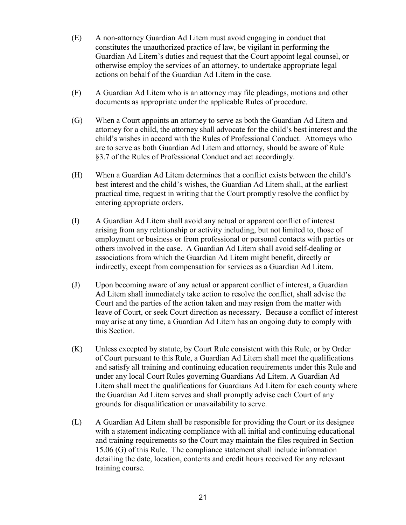- (E) A non-attorney Guardian Ad Litem must avoid engaging in conduct that constitutes the unauthorized practice of law, be vigilant in performing the Guardian Ad Litem's duties and request that the Court appoint legal counsel, or otherwise employ the services of an attorney, to undertake appropriate legal actions on behalf of the Guardian Ad Litem in the case.
- (F) A Guardian Ad Litem who is an attorney may file pleadings, motions and other documents as appropriate under the applicable Rules of procedure.
- (G) When a Court appoints an attorney to serve as both the Guardian Ad Litem and attorney for a child, the attorney shall advocate for the child's best interest and the child's wishes in accord with the Rules of Professional Conduct. Attorneys who are to serve as both Guardian Ad Litem and attorney, should be aware of Rule §3.7 of the Rules of Professional Conduct and act accordingly.
- (H) When a Guardian Ad Litem determines that a conflict exists between the child's best interest and the child's wishes, the Guardian Ad Litem shall, at the earliest practical time, request in writing that the Court promptly resolve the conflict by entering appropriate orders.
- (I) A Guardian Ad Litem shall avoid any actual or apparent conflict of interest arising from any relationship or activity including, but not limited to, those of employment or business or from professional or personal contacts with parties or others involved in the case. A Guardian Ad Litem shall avoid self-dealing or associations from which the Guardian Ad Litem might benefit, directly or indirectly, except from compensation for services as a Guardian Ad Litem.
- (J) Upon becoming aware of any actual or apparent conflict of interest, a Guardian Ad Litem shall immediately take action to resolve the conflict, shall advise the Court and the parties of the action taken and may resign from the matter with leave of Court, or seek Court direction as necessary. Because a conflict of interest may arise at any time, a Guardian Ad Litem has an ongoing duty to comply with this Section.
- (K) Unless excepted by statute, by Court Rule consistent with this Rule, or by Order of Court pursuant to this Rule, a Guardian Ad Litem shall meet the qualifications and satisfy all training and continuing education requirements under this Rule and under any local Court Rules governing Guardians Ad Litem. A Guardian Ad Litem shall meet the qualifications for Guardians Ad Litem for each county where the Guardian Ad Litem serves and shall promptly advise each Court of any grounds for disqualification or unavailability to serve.
- (L) A Guardian Ad Litem shall be responsible for providing the Court or its designee with a statement indicating compliance with all initial and continuing educational and training requirements so the Court may maintain the files required in Section 15.06 (G) of this Rule. The compliance statement shall include information detailing the date, location, contents and credit hours received for any relevant training course.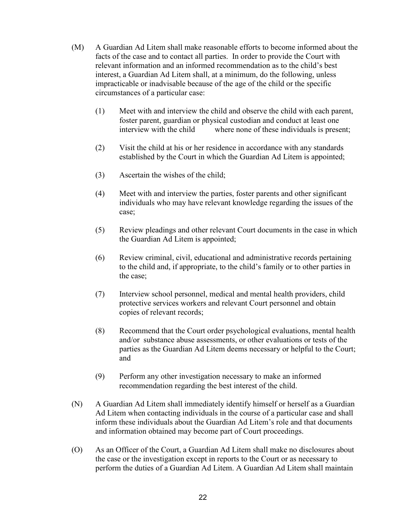- (M) A Guardian Ad Litem shall make reasonable efforts to become informed about the facts of the case and to contact all parties. In order to provide the Court with relevant information and an informed recommendation as to the child's best interest, a Guardian Ad Litem shall, at a minimum, do the following, unless impracticable or inadvisable because of the age of the child or the specific circumstances of a particular case:
	- (1) Meet with and interview the child and observe the child with each parent, foster parent, guardian or physical custodian and conduct at least one interview with the child where none of these individuals is present;
	- (2) Visit the child at his or her residence in accordance with any standards established by the Court in which the Guardian Ad Litem is appointed;
	- (3) Ascertain the wishes of the child;
	- (4) Meet with and interview the parties, foster parents and other significant individuals who may have relevant knowledge regarding the issues of the case;
	- (5) Review pleadings and other relevant Court documents in the case in which the Guardian Ad Litem is appointed;
	- (6) Review criminal, civil, educational and administrative records pertaining to the child and, if appropriate, to the child's family or to other parties in the case;
	- (7) Interview school personnel, medical and mental health providers, child protective services workers and relevant Court personnel and obtain copies of relevant records;
	- (8) Recommend that the Court order psychological evaluations, mental health and/or substance abuse assessments, or other evaluations or tests of the parties as the Guardian Ad Litem deems necessary or helpful to the Court; and
	- (9) Perform any other investigation necessary to make an informed recommendation regarding the best interest of the child.
- (N) A Guardian Ad Litem shall immediately identify himself or herself as a Guardian Ad Litem when contacting individuals in the course of a particular case and shall inform these individuals about the Guardian Ad Litem's role and that documents and information obtained may become part of Court proceedings.
- (O) As an Officer of the Court, a Guardian Ad Litem shall make no disclosures about the case or the investigation except in reports to the Court or as necessary to perform the duties of a Guardian Ad Litem. A Guardian Ad Litem shall maintain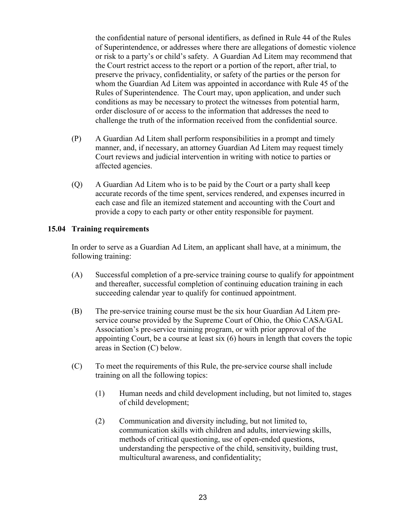the confidential nature of personal identifiers, as defined in Rule 44 of the Rules of Superintendence, or addresses where there are allegations of domestic violence or risk to a party's or child's safety. A Guardian Ad Litem may recommend that the Court restrict access to the report or a portion of the report, after trial, to preserve the privacy, confidentiality, or safety of the parties or the person for whom the Guardian Ad Litem was appointed in accordance with Rule 45 of the Rules of Superintendence. The Court may, upon application, and under such conditions as may be necessary to protect the witnesses from potential harm, order disclosure of or access to the information that addresses the need to challenge the truth of the information received from the confidential source.

- (P) A Guardian Ad Litem shall perform responsibilities in a prompt and timely manner, and, if necessary, an attorney Guardian Ad Litem may request timely Court reviews and judicial intervention in writing with notice to parties or affected agencies.
- (Q) A Guardian Ad Litem who is to be paid by the Court or a party shall keep accurate records of the time spent, services rendered, and expenses incurred in each case and file an itemized statement and accounting with the Court and provide a copy to each party or other entity responsible for payment.

### **15.04 Training requirements**

In order to serve as a Guardian Ad Litem, an applicant shall have, at a minimum, the following training:

- (A) Successful completion of a pre-service training course to qualify for appointment and thereafter, successful completion of continuing education training in each succeeding calendar year to qualify for continued appointment.
- (B) The pre-service training course must be the six hour Guardian Ad Litem preservice course provided by the Supreme Court of Ohio, the Ohio CASA/GAL Association's pre-service training program, or with prior approval of the appointing Court, be a course at least six (6) hours in length that covers the topic areas in Section (C) below.
- (C) To meet the requirements of this Rule, the pre-service course shall include training on all the following topics:
	- (1) Human needs and child development including, but not limited to, stages of child development;
	- (2) Communication and diversity including, but not limited to, communication skills with children and adults, interviewing skills, methods of critical questioning, use of open-ended questions, understanding the perspective of the child, sensitivity, building trust, multicultural awareness, and confidentiality;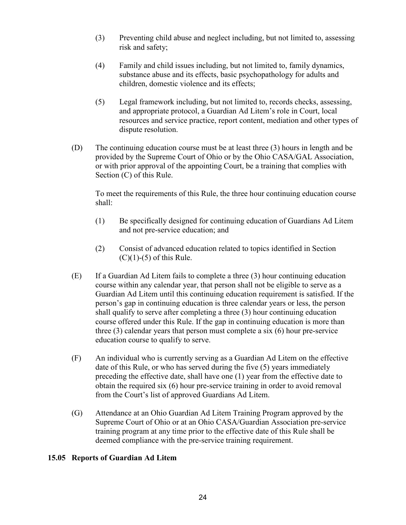- (3) Preventing child abuse and neglect including, but not limited to, assessing risk and safety;
- (4) Family and child issues including, but not limited to, family dynamics, substance abuse and its effects, basic psychopathology for adults and children, domestic violence and its effects;
- (5) Legal framework including, but not limited to, records checks, assessing, and appropriate protocol, a Guardian Ad Litem's role in Court, local resources and service practice, report content, mediation and other types of dispute resolution.
- (D) The continuing education course must be at least three (3) hours in length and be provided by the Supreme Court of Ohio or by the Ohio CASA/GAL Association, or with prior approval of the appointing Court, be a training that complies with Section (C) of this Rule.

To meet the requirements of this Rule, the three hour continuing education course shall:

- (1) Be specifically designed for continuing education of Guardians Ad Litem and not pre-service education; and
- (2) Consist of advanced education related to topics identified in Section  $(C)(1)-(5)$  of this Rule.
- (E) If a Guardian Ad Litem fails to complete a three (3) hour continuing education course within any calendar year, that person shall not be eligible to serve as a Guardian Ad Litem until this continuing education requirement is satisfied. If the person's gap in continuing education is three calendar years or less, the person shall qualify to serve after completing a three (3) hour continuing education course offered under this Rule. If the gap in continuing education is more than three (3) calendar years that person must complete a six (6) hour pre-service education course to qualify to serve.
- (F) An individual who is currently serving as a Guardian Ad Litem on the effective date of this Rule, or who has served during the five (5) years immediately preceding the effective date, shall have one (1) year from the effective date to obtain the required six (6) hour pre-service training in order to avoid removal from the Court's list of approved Guardians Ad Litem.
- (G) Attendance at an Ohio Guardian Ad Litem Training Program approved by the Supreme Court of Ohio or at an Ohio CASA/Guardian Association pre-service training program at any time prior to the effective date of this Rule shall be deemed compliance with the pre-service training requirement.

# **15.05 Reports of Guardian Ad Litem**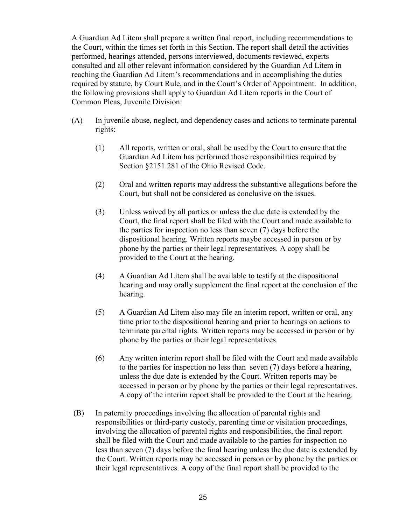A Guardian Ad Litem shall prepare a written final report, including recommendations to the Court, within the times set forth in this Section. The report shall detail the activities performed, hearings attended, persons interviewed, documents reviewed, experts consulted and all other relevant information considered by the Guardian Ad Litem in reaching the Guardian Ad Litem's recommendations and in accomplishing the duties required by statute, by Court Rule, and in the Court's Order of Appointment. In addition, the following provisions shall apply to Guardian Ad Litem reports in the Court of Common Pleas, Juvenile Division:

- (A) In juvenile abuse, neglect, and dependency cases and actions to terminate parental rights:
	- (1) All reports, written or oral, shall be used by the Court to ensure that the Guardian Ad Litem has performed those responsibilities required by Section §2151.281 of the Ohio Revised Code.
	- (2) Oral and written reports may address the substantive allegations before the Court, but shall not be considered as conclusive on the issues.
	- (3) Unless waived by all parties or unless the due date is extended by the Court, the final report shall be filed with the Court and made available to the parties for inspection no less than seven (7) days before the dispositional hearing. Written reports maybe accessed in person or by phone by the parties or their legal representatives. A copy shall be provided to the Court at the hearing.
	- (4) A Guardian Ad Litem shall be available to testify at the dispositional hearing and may orally supplement the final report at the conclusion of the hearing.
	- (5) A Guardian Ad Litem also may file an interim report, written or oral, any time prior to the dispositional hearing and prior to hearings on actions to terminate parental rights. Written reports may be accessed in person or by phone by the parties or their legal representatives.
	- (6) Any written interim report shall be filed with the Court and made available to the parties for inspection no less than seven (7) days before a hearing, unless the due date is extended by the Court. Written reports may be accessed in person or by phone by the parties or their legal representatives. A copy of the interim report shall be provided to the Court at the hearing.
- (B) In paternity proceedings involving the allocation of parental rights and responsibilities or third-party custody, parenting time or visitation proceedings, involving the allocation of parental rights and responsibilities, the final report shall be filed with the Court and made available to the parties for inspection no less than seven (7) days before the final hearing unless the due date is extended by the Court. Written reports may be accessed in person or by phone by the parties or their legal representatives. A copy of the final report shall be provided to the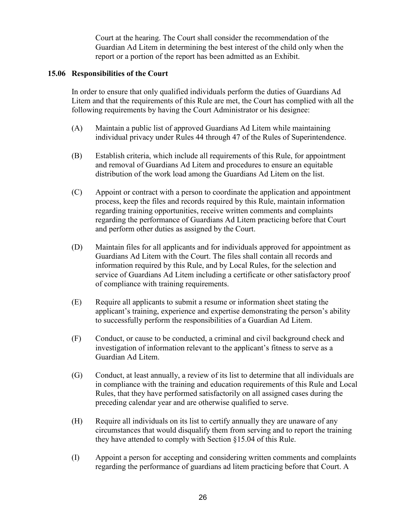Court at the hearing. The Court shall consider the recommendation of the Guardian Ad Litem in determining the best interest of the child only when the report or a portion of the report has been admitted as an Exhibit.

### **15.06 Responsibilities of the Court**

In order to ensure that only qualified individuals perform the duties of Guardians Ad Litem and that the requirements of this Rule are met, the Court has complied with all the following requirements by having the Court Administrator or his designee:

- (A) Maintain a public list of approved Guardians Ad Litem while maintaining individual privacy under Rules 44 through 47 of the Rules of Superintendence.
- (B) Establish criteria, which include all requirements of this Rule, for appointment and removal of Guardians Ad Litem and procedures to ensure an equitable distribution of the work load among the Guardians Ad Litem on the list.
- (C) Appoint or contract with a person to coordinate the application and appointment process, keep the files and records required by this Rule, maintain information regarding training opportunities, receive written comments and complaints regarding the performance of Guardians Ad Litem practicing before that Court and perform other duties as assigned by the Court.
- (D) Maintain files for all applicants and for individuals approved for appointment as Guardians Ad Litem with the Court. The files shall contain all records and information required by this Rule, and by Local Rules, for the selection and service of Guardians Ad Litem including a certificate or other satisfactory proof of compliance with training requirements.
- (E) Require all applicants to submit a resume or information sheet stating the applicant's training, experience and expertise demonstrating the person's ability to successfully perform the responsibilities of a Guardian Ad Litem.
- (F) Conduct, or cause to be conducted, a criminal and civil background check and investigation of information relevant to the applicant's fitness to serve as a Guardian Ad Litem.
- (G) Conduct, at least annually, a review of its list to determine that all individuals are in compliance with the training and education requirements of this Rule and Local Rules, that they have performed satisfactorily on all assigned cases during the preceding calendar year and are otherwise qualified to serve.
- (H) Require all individuals on its list to certify annually they are unaware of any circumstances that would disqualify them from serving and to report the training they have attended to comply with Section §15.04 of this Rule.
- (I) Appoint a person for accepting and considering written comments and complaints regarding the performance of guardians ad litem practicing before that Court. A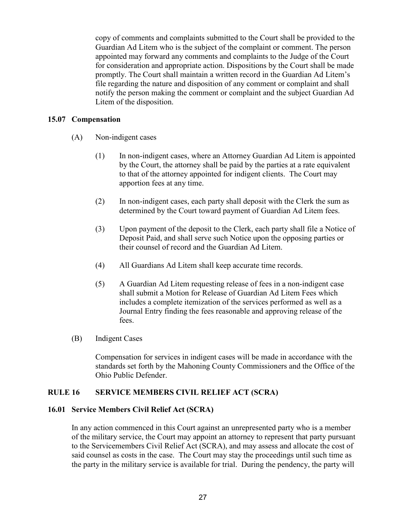copy of comments and complaints submitted to the Court shall be provided to the Guardian Ad Litem who is the subject of the complaint or comment. The person appointed may forward any comments and complaints to the Judge of the Court for consideration and appropriate action. Dispositions by the Court shall be made promptly. The Court shall maintain a written record in the Guardian Ad Litem's file regarding the nature and disposition of any comment or complaint and shall notify the person making the comment or complaint and the subject Guardian Ad Litem of the disposition.

## **15.07 Compensation**

- (A) Non-indigent cases
	- (1) In non-indigent cases, where an Attorney Guardian Ad Litem is appointed by the Court, the attorney shall be paid by the parties at a rate equivalent to that of the attorney appointed for indigent clients. The Court may apportion fees at any time.
	- (2) In non-indigent cases, each party shall deposit with the Clerk the sum as determined by the Court toward payment of Guardian Ad Litem fees.
	- (3) Upon payment of the deposit to the Clerk, each party shall file a Notice of Deposit Paid, and shall serve such Notice upon the opposing parties or their counsel of record and the Guardian Ad Litem.
	- (4) All Guardians Ad Litem shall keep accurate time records.
	- (5) A Guardian Ad Litem requesting release of fees in a non-indigent case shall submit a Motion for Release of Guardian Ad Litem Fees which includes a complete itemization of the services performed as well as a Journal Entry finding the fees reasonable and approving release of the fees.
- (B) Indigent Cases

Compensation for services in indigent cases will be made in accordance with the standards set forth by the Mahoning County Commissioners and the Office of the Ohio Public Defender.

# <span id="page-28-0"></span>**RULE 16 SERVICE MEMBERS CIVIL RELIEF ACT (SCRA)**

### **16.01 Service Members Civil Relief Act (SCRA)**

In any action commenced in this Court against an unrepresented party who is a member of the military service, the Court may appoint an attorney to represent that party pursuant to the Servicemembers Civil Relief Act (SCRA), and may assess and allocate the cost of said counsel as costs in the case. The Court may stay the proceedings until such time as the party in the military service is available for trial. During the pendency, the party will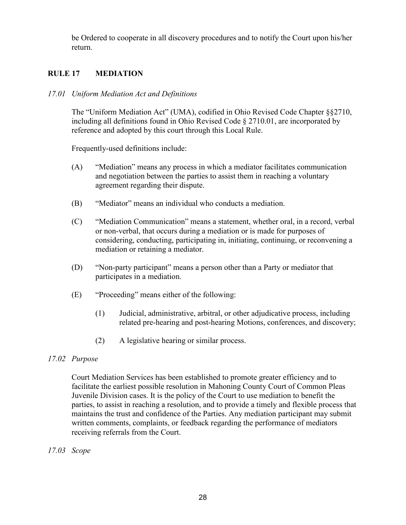be Ordered to cooperate in all discovery procedures and to notify the Court upon his/her return.

# <span id="page-29-0"></span>**RULE 17 MEDIATION**

### *17.01 Uniform Mediation Act and Definitions*

The "Uniform Mediation Act" (UMA), codified in Ohio Revised Code Chapter §§2710, including all definitions found in Ohio Revised Code § 2710.01, are incorporated by reference and adopted by this court through this Local Rule.

Frequently-used definitions include:

- (A) "Mediation" means any process in which a mediator facilitates communication and negotiation between the parties to assist them in reaching a voluntary agreement regarding their dispute.
- (B) "Mediator" means an individual who conducts a mediation.
- (C) "Mediation Communication" means a statement, whether oral, in a record, verbal or non-verbal, that occurs during a mediation or is made for purposes of considering, conducting, participating in, initiating, continuing, or reconvening a mediation or retaining a mediator.
- (D) "Non-party participant" means a person other than a Party or mediator that participates in a mediation.
- (E) "Proceeding" means either of the following:
	- (1) Judicial, administrative, arbitral, or other adjudicative process, including related pre-hearing and post-hearing Motions, conferences, and discovery;
	- (2) A legislative hearing or similar process.

# *17.02 Purpose*

Court Mediation Services has been established to promote greater efficiency and to facilitate the earliest possible resolution in Mahoning County Court of Common Pleas Juvenile Division cases. It is the policy of the Court to use mediation to benefit the parties, to assist in reaching a resolution, and to provide a timely and flexible process that maintains the trust and confidence of the Parties. Any mediation participant may submit written comments, complaints, or feedback regarding the performance of mediators receiving referrals from the Court.

# *17.03 Scope*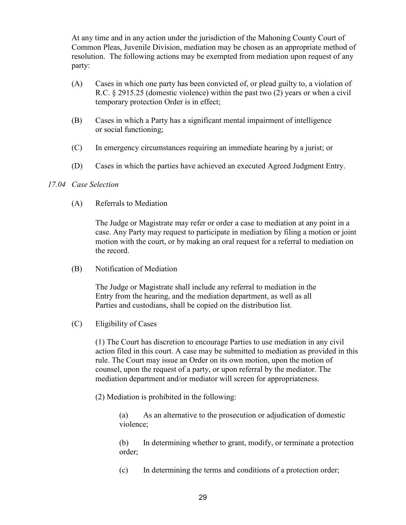At any time and in any action under the jurisdiction of the Mahoning County Court of Common Pleas, Juvenile Division, mediation may be chosen as an appropriate method of resolution. The following actions may be exempted from mediation upon request of any party:

- (A) Cases in which one party has been convicted of, or plead guilty to, a violation of R.C. § 2915.25 (domestic violence) within the past two (2) years or when a civil temporary protection Order is in effect;
- (B) Cases in which a Party has a significant mental impairment of intelligence or social functioning;
- (C) In emergency circumstances requiring an immediate hearing by a jurist; or
- (D) Cases in which the parties have achieved an executed Agreed Judgment Entry.

### *17.04 Case Selection*

(A) Referrals to Mediation

The Judge or Magistrate may refer or order a case to mediation at any point in a case. Any Party may request to participate in mediation by filing a motion or joint motion with the court, or by making an oral request for a referral to mediation on the record.

(B) Notification of Mediation

The Judge or Magistrate shall include any referral to mediation in the Entry from the hearing, and the mediation department, as well as all Parties and custodians, shall be copied on the distribution list.

(C) Eligibility of Cases

(1) The Court has discretion to encourage Parties to use mediation in any civil action filed in this court. A case may be submitted to mediation as provided in this rule. The Court may issue an Order on its own motion, upon the motion of counsel, upon the request of a party, or upon referral by the mediator. The mediation department and/or mediator will screen for appropriateness.

(2) Mediation is prohibited in the following:

(a) As an alternative to the prosecution or adjudication of domestic violence;

(b) In determining whether to grant, modify, or terminate a protection order;

(c) In determining the terms and conditions of a protection order;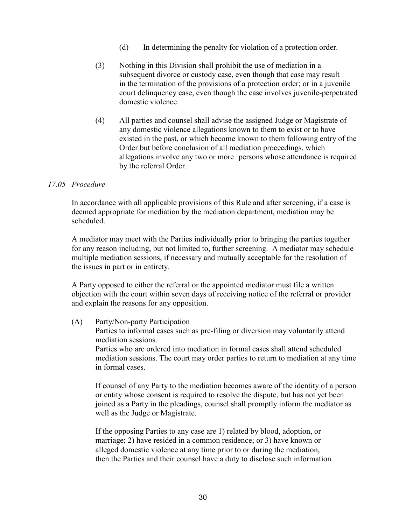- (d) In determining the penalty for violation of a protection order.
- (3) Nothing in this Division shall prohibit the use of mediation in a subsequent divorce or custody case, even though that case may result in the termination of the provisions of a protection order; or in a juvenile court delinquency case, even though the case involves juvenile-perpetrated domestic violence.
- (4) All parties and counsel shall advise the assigned Judge or Magistrate of any domestic violence allegations known to them to exist or to have existed in the past, or which become known to them following entry of the Order but before conclusion of all mediation proceedings, which allegations involve any two or more persons whose attendance is required by the referral Order.

### *17.05 Procedure*

In accordance with all applicable provisions of this Rule and after screening, if a case is deemed appropriate for mediation by the mediation department, mediation may be scheduled.

A mediator may meet with the Parties individually prior to bringing the parties together for any reason including, but not limited to, further screening. A mediator may schedule multiple mediation sessions, if necessary and mutually acceptable for the resolution of the issues in part or in entirety.

A Party opposed to either the referral or the appointed mediator must file a written objection with the court within seven days of receiving notice of the referral or provider and explain the reasons for any opposition.

(A) Party/Non-party Participation

Parties to informal cases such as pre-filing or diversion may voluntarily attend mediation sessions.

Parties who are ordered into mediation in formal cases shall attend scheduled mediation sessions. The court may order parties to return to mediation at any time in formal cases.

If counsel of any Party to the mediation becomes aware of the identity of a person or entity whose consent is required to resolve the dispute, but has not yet been joined as a Party in the pleadings, counsel shall promptly inform the mediator as well as the Judge or Magistrate.

If the opposing Parties to any case are 1) related by blood, adoption, or marriage; 2) have resided in a common residence; or 3) have known or alleged domestic violence at any time prior to or during the mediation, then the Parties and their counsel have a duty to disclose such information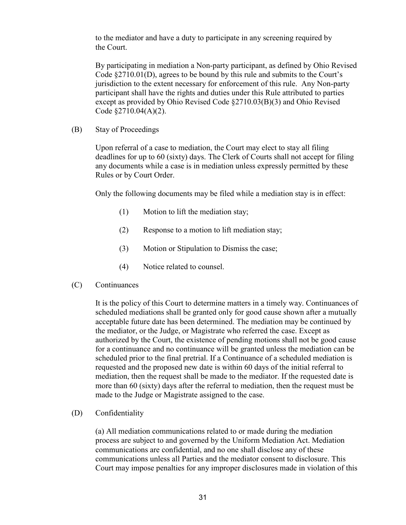to the mediator and have a duty to participate in any screening required by the Court.

By participating in mediation a Non-party participant, as defined by Ohio Revised Code §2710.01(D), agrees to be bound by this rule and submits to the Court's jurisdiction to the extent necessary for enforcement of this rule. Any Non-party participant shall have the rights and duties under this Rule attributed to parties except as provided by Ohio Revised Code §2710.03(B)(3) and Ohio Revised Code §2710.04(A)(2).

(B) Stay of Proceedings

Upon referral of a case to mediation, the Court may elect to stay all filing deadlines for up to 60 (sixty) days. The Clerk of Courts shall not accept for filing any documents while a case is in mediation unless expressly permitted by these Rules or by Court Order.

Only the following documents may be filed while a mediation stay is in effect:

- (1) Motion to lift the mediation stay;
- (2) Response to a motion to lift mediation stay;
- (3) Motion or Stipulation to Dismiss the case;
- (4) Notice related to counsel.
- (C) Continuances

It is the policy of this Court to determine matters in a timely way. Continuances of scheduled mediations shall be granted only for good cause shown after a mutually acceptable future date has been determined. The mediation may be continued by the mediator, or the Judge, or Magistrate who referred the case. Except as authorized by the Court, the existence of pending motions shall not be good cause for a continuance and no continuance will be granted unless the mediation can be scheduled prior to the final pretrial. If a Continuance of a scheduled mediation is requested and the proposed new date is within 60 days of the initial referral to mediation, then the request shall be made to the mediator. If the requested date is more than 60 (sixty) days after the referral to mediation, then the request must be made to the Judge or Magistrate assigned to the case.

(D) Confidentiality

(a) All mediation communications related to or made during the mediation process are subject to and governed by the Uniform Mediation Act. Mediation communications are confidential, and no one shall disclose any of these communications unless all Parties and the mediator consent to disclosure. This Court may impose penalties for any improper disclosures made in violation of this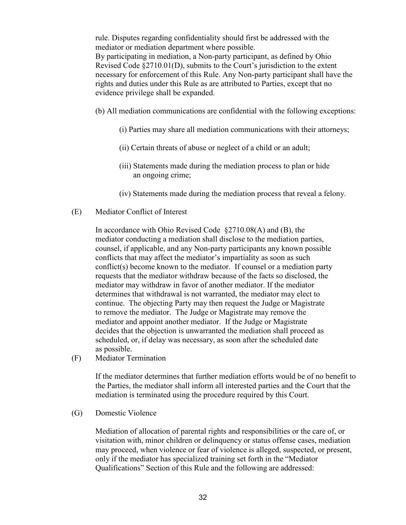rule. Disputes regarding confidentiality should first be addressed with the mediator or mediation department where possible. By participating in mediation, a Non-party participant, as defined by Ohio Revised Code §2710.01(D), submits to the Court's jurisdiction to the extent necessary for enforcement of this Rule. Any Non-party participant shall have the rights and duties under this Rule as are attributed to Parties, except that no evidence privilege shall be expanded.

- (b) All mediation communications are confidential with the following exceptions:
	- (i) Parties may share all mediation communications with their attorneys;
	- (ii) Certain threats of abuse or neglect of a child or an adult;
	- (iii) Statements made during the mediation process to plan or hide an ongoing crime;
	- (iv) Statements made during the mediation process that reveal a felony.
- (E) Mediator Conflict of Interest

In accordance with Ohio Revised Code §2710.08(A) and (B), the mediator conducting a mediation shall disclose to the mediation parties, counsel, if applicable, and any Non-party participants any known possible conflicts that may affect the mediator's impartiality as soon as such conflict(s) become known to the mediator. If counsel or a mediation party requests that the mediator withdraw because of the facts so disclosed, the mediator may withdraw in favor of another mediator. If the mediator determines that withdrawal is not warranted, the mediator may elect to continue. The objecting Party may then request the Judge or Magistrate to remove the mediator. The Judge or Magistrate may remove the mediator and appoint another mediator. If the Judge or Magistrate decides that the objection is unwarranted the mediation shall proceed as scheduled, or, if delay was necessary, as soon after the scheduled date as possible.

(F) Mediator Termination

If the mediator determines that further mediation efforts would be of no benefit to the Parties, the mediator shall inform all interested parties and the Court that the mediation is terminated using the procedure required by this Court.

(G) Domestic Violence

Mediation of allocation of parental rights and responsibilities or the care of, or visitation with, minor children or delinquency or status offense cases, mediation may proceed, when violence or fear of violence is alleged, suspected, or present, only if the mediator has specialized training set forth in the "Mediator Qualifications" Section of this Rule and the following are addressed: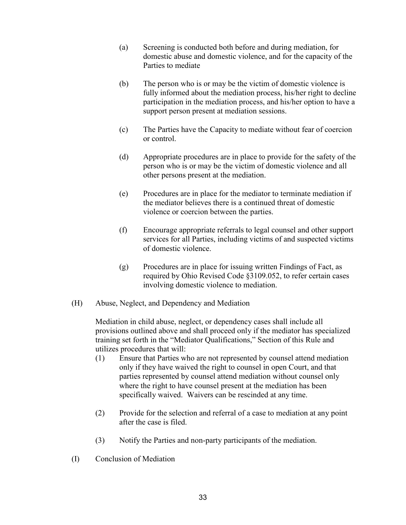- (a) Screening is conducted both before and during mediation, for domestic abuse and domestic violence, and for the capacity of the Parties to mediate
- (b) The person who is or may be the victim of domestic violence is fully informed about the mediation process, his/her right to decline participation in the mediation process, and his/her option to have a support person present at mediation sessions.
- (c) The Parties have the Capacity to mediate without fear of coercion or control.
- (d) Appropriate procedures are in place to provide for the safety of the person who is or may be the victim of domestic violence and all other persons present at the mediation.
- (e) Procedures are in place for the mediator to terminate mediation if the mediator believes there is a continued threat of domestic violence or coercion between the parties.
- (f) Encourage appropriate referrals to legal counsel and other support services for all Parties, including victims of and suspected victims of domestic violence.
- (g) Procedures are in place for issuing written Findings of Fact, as required by Ohio Revised Code §3109.052, to refer certain cases involving domestic violence to mediation.
- (H) Abuse, Neglect, and Dependency and Mediation

Mediation in child abuse, neglect, or dependency cases shall include all provisions outlined above and shall proceed only if the mediator has specialized training set forth in the "Mediator Qualifications," Section of this Rule and utilizes procedures that will:

- (1) Ensure that Parties who are not represented by counsel attend mediation only if they have waived the right to counsel in open Court, and that parties represented by counsel attend mediation without counsel only where the right to have counsel present at the mediation has been specifically waived. Waivers can be rescinded at any time.
- (2) Provide for the selection and referral of a case to mediation at any point after the case is filed.
- (3) Notify the Parties and non-party participants of the mediation.
- (I) Conclusion of Mediation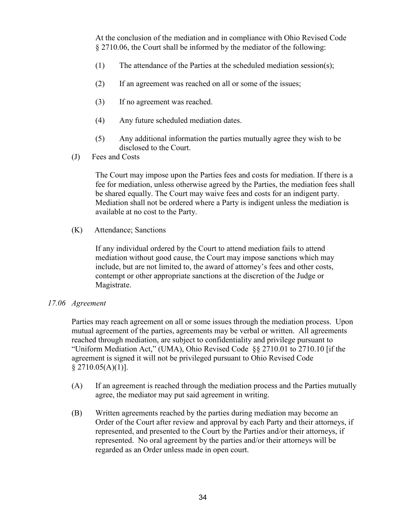At the conclusion of the mediation and in compliance with Ohio Revised Code § 2710.06, the Court shall be informed by the mediator of the following:

- (1) The attendance of the Parties at the scheduled mediation session(s);
- (2) If an agreement was reached on all or some of the issues;
- (3) If no agreement was reached.
- (4) Any future scheduled mediation dates.
- (5) Any additional information the parties mutually agree they wish to be disclosed to the Court.
- (J)Fees and Costs

The Court may impose upon the Parties fees and costs for mediation. If there is a fee for mediation, unless otherwise agreed by the Parties, the mediation fees shall be shared equally. The Court may waive fees and costs for an indigent party. Mediation shall not be ordered where a Party is indigent unless the mediation is available at no cost to the Party.

(K) Attendance; Sanctions

If any individual ordered by the Court to attend mediation fails to attend mediation without good cause, the Court may impose sanctions which may include, but are not limited to, the award of attorney's fees and other costs, contempt or other appropriate sanctions at the discretion of the Judge or Magistrate.

### *17.06 Agreement*

Parties may reach agreement on all or some issues through the mediation process. Upon mutual agreement of the parties, agreements may be verbal or written. All agreements reached through mediation, are subject to confidentiality and privilege pursuant to "Uniform Mediation Act," (UMA), Ohio Revised Code §§ 2710.01 to 2710.10 [if the agreement is signed it will not be privileged pursuant to Ohio Revised Code  $§$  2710.05(A)(1)].

- (A) If an agreement is reached through the mediation process and the Parties mutually agree, the mediator may put said agreement in writing.
- (B) Written agreements reached by the parties during mediation may become an Order of the Court after review and approval by each Party and their attorneys, if represented, and presented to the Court by the Parties and/or their attorneys, if represented. No oral agreement by the parties and/or their attorneys will be regarded as an Order unless made in open court.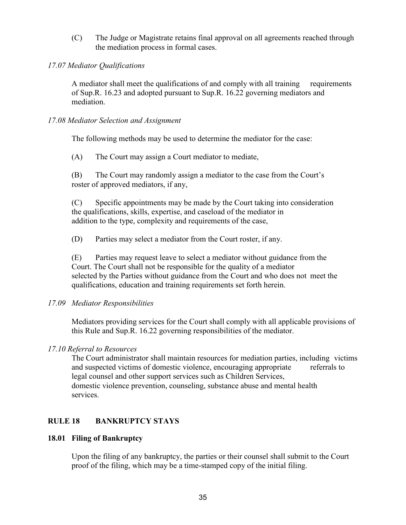(C) The Judge or Magistrate retains final approval on all agreements reached through the mediation process in formal cases.

# *17.07 Mediator Qualifications*

A mediator shall meet the qualifications of and comply with all training requirements of Sup.R. 16.23 and adopted pursuant to Sup.R. 16.22 governing mediators and mediation.

## *17.08 Mediator Selection and Assignment*

The following methods may be used to determine the mediator for the case:

(A) The Court may assign a Court mediator to mediate,

(B) The Court may randomly assign a mediator to the case from the Court's roster of approved mediators, if any,

(C) Specific appointments may be made by the Court taking into consideration the qualifications, skills, expertise, and caseload of the mediator in addition to the type, complexity and requirements of the case,

(D) Parties may select a mediator from the Court roster, if any.

(E) Parties may request leave to select a mediator without guidance from the Court. The Court shall not be responsible for the quality of a mediator selected by the Parties without guidance from the Court and who does not meet the qualifications, education and training requirements set forth herein.

### *17.09 Mediator Responsibilities*

Mediators providing services for the Court shall comply with all applicable provisions of this Rule and Sup.R. 16.22 governing responsibilities of the mediator.

### *17.10 Referral to Resources*

The Court administrator shall maintain resources for mediation parties, including victims and suspected victims of domestic violence, encouraging appropriate referrals to legal counsel and other support services such as Children Services, domestic violence prevention, counseling, substance abuse and mental health services.

# **RULE 18 BANKRUPTCY STAYS**

### **18.01 Filing of Bankruptcy**

Upon the filing of any bankruptcy, the parties or their counsel shall submit to the Court proof of the filing, which may be a time-stamped copy of the initial filing.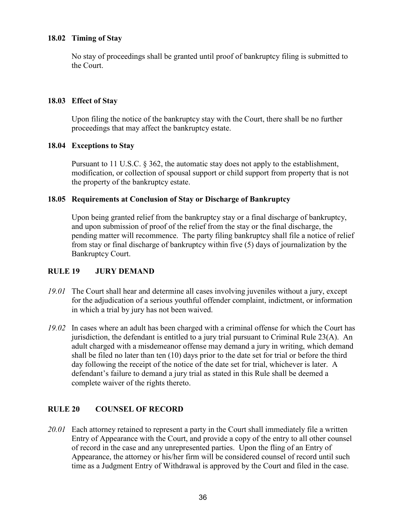# **18.02 Timing of Stay**

No stay of proceedings shall be granted until proof of bankruptcy filing is submitted to the Court.

# **18.03 Effect of Stay**

Upon filing the notice of the bankruptcy stay with the Court, there shall be no further proceedings that may affect the bankruptcy estate.

# **18.04 Exceptions to Stay**

Pursuant to 11 U.S.C. § 362, the automatic stay does not apply to the establishment, modification, or collection of spousal support or child support from property that is not the property of the bankruptcy estate.

# **18.05 Requirements at Conclusion of Stay or Discharge of Bankruptcy**

Upon being granted relief from the bankruptcy stay or a final discharge of bankruptcy, and upon submission of proof of the relief from the stay or the final discharge, the pending matter will recommence. The party filing bankruptcy shall file a notice of relief from stay or final discharge of bankruptcy within five (5) days of journalization by the Bankruptcy Court.

# **RULE 19 JURY DEMAND**

- *19.01* The Court shall hear and determine all cases involving juveniles without a jury, except for the adjudication of a serious youthful offender complaint, indictment, or information in which a trial by jury has not been waived.
- *19.02* In cases where an adult has been charged with a criminal offense for which the Court has jurisdiction, the defendant is entitled to a jury trial pursuant to Criminal Rule 23(A). An adult charged with a misdemeanor offense may demand a jury in writing, which demand shall be filed no later than ten (10) days prior to the date set for trial or before the third day following the receipt of the notice of the date set for trial, whichever is later. A defendant's failure to demand a jury trial as stated in this Rule shall be deemed a complete waiver of the rights thereto.

# **RULE 20 COUNSEL OF RECORD**

*20.01* Each attorney retained to represent a party in the Court shall immediately file a written Entry of Appearance with the Court, and provide a copy of the entry to all other counsel of record in the case and any unrepresented parties. Upon the fling of an Entry of Appearance, the attorney or his/her firm will be considered counsel of record until such time as a Judgment Entry of Withdrawal is approved by the Court and filed in the case.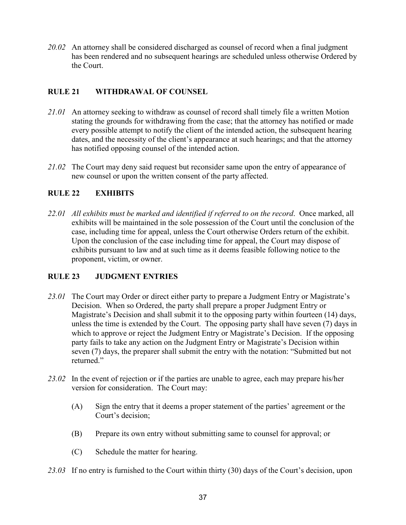*20.02* An attorney shall be considered discharged as counsel of record when a final judgment has been rendered and no subsequent hearings are scheduled unless otherwise Ordered by the Court.

# **RULE 21 WITHDRAWAL OF COUNSEL**

- *21.01* An attorney seeking to withdraw as counsel of record shall timely file a written Motion stating the grounds for withdrawing from the case; that the attorney has notified or made every possible attempt to notify the client of the intended action, the subsequent hearing dates, and the necessity of the client's appearance at such hearings; and that the attorney has notified opposing counsel of the intended action.
- 21.02 The Court may deny said request but reconsider same upon the entry of appearance of new counsel or upon the written consent of the party affected.

# **RULE 22 EXHIBITS**

*22.01 All exhibits must be marked and identified if referred to on the record*. Once marked, all exhibits will be maintained in the sole possession of the Court until the conclusion of the case, including time for appeal, unless the Court otherwise Orders return of the exhibit. Upon the conclusion of the case including time for appeal, the Court may dispose of exhibits pursuant to law and at such time as it deems feasible following notice to the proponent, victim, or owner.

# **RULE 23 JUDGMENT ENTRIES**

- *23.01* The Court may Order or direct either party to prepare a Judgment Entry or Magistrate's Decision. When so Ordered, the party shall prepare a proper Judgment Entry or Magistrate's Decision and shall submit it to the opposing party within fourteen (14) days, unless the time is extended by the Court. The opposing party shall have seven (7) days in which to approve or reject the Judgment Entry or Magistrate's Decision. If the opposing party fails to take any action on the Judgment Entry or Magistrate's Decision within seven (7) days, the preparer shall submit the entry with the notation: "Submitted but not returned."
- *23.02* In the event of rejection or if the parties are unable to agree, each may prepare his/her version for consideration. The Court may:
	- (A) Sign the entry that it deems a proper statement of the parties' agreement or the Court's decision;
	- (B) Prepare its own entry without submitting same to counsel for approval; or
	- (C) Schedule the matter for hearing.
- *23.03* If no entry is furnished to the Court within thirty (30) days of the Court's decision, upon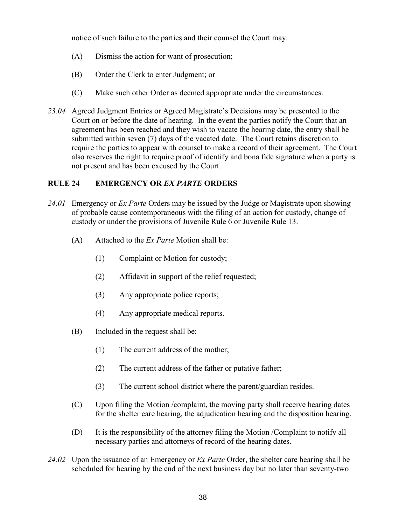notice of such failure to the parties and their counsel the Court may:

- (A) Dismiss the action for want of prosecution;
- (B) Order the Clerk to enter Judgment; or
- (C) Make such other Order as deemed appropriate under the circumstances.
- *23.04* Agreed Judgment Entries or Agreed Magistrate's Decisions may be presented to the Court on or before the date of hearing. In the event the parties notify the Court that an agreement has been reached and they wish to vacate the hearing date, the entry shall be submitted within seven (7) days of the vacated date. The Court retains discretion to require the parties to appear with counsel to make a record of their agreement. The Court also reserves the right to require proof of identify and bona fide signature when a party is not present and has been excused by the Court.

# **RULE 24 EMERGENCY OR** *EX PARTE* **ORDERS**

- *24.01* Emergency or *Ex Parte* Orders may be issued by the Judge or Magistrate upon showing of probable cause contemporaneous with the filing of an action for custody, change of custody or under the provisions of Juvenile Rule 6 or Juvenile Rule 13.
	- (A) Attached to the *Ex Parte* Motion shall be:
		- (1) Complaint or Motion for custody;
		- (2) Affidavit in support of the relief requested;
		- (3) Any appropriate police reports;
		- (4) Any appropriate medical reports.
	- (B) Included in the request shall be:
		- (1) The current address of the mother;
		- (2) The current address of the father or putative father;
		- (3) The current school district where the parent/guardian resides.
	- (C) Upon filing the Motion /complaint, the moving party shall receive hearing dates for the shelter care hearing, the adjudication hearing and the disposition hearing.
	- (D) It is the responsibility of the attorney filing the Motion /Complaint to notify all necessary parties and attorneys of record of the hearing dates.
- *24.02* Upon the issuance of an Emergency or *Ex Parte* Order, the shelter care hearing shall be scheduled for hearing by the end of the next business day but no later than seventy-two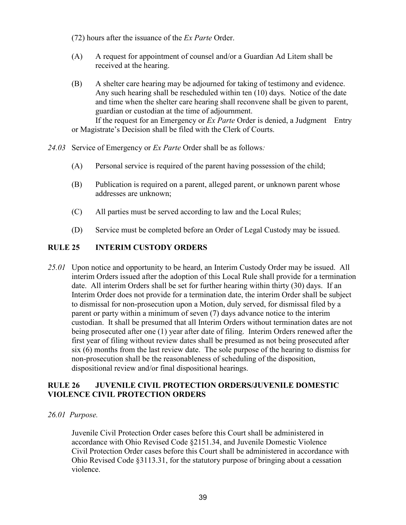- (72) hours after the issuance of the *Ex Parte* Order.
- (A) A request for appointment of counsel and/or a Guardian Ad Litem shall be received at the hearing.
- (B) A shelter care hearing may be adjourned for taking of testimony and evidence. Any such hearing shall be rescheduled within ten (10) days. Notice of the date and time when the shelter care hearing shall reconvene shall be given to parent, guardian or custodian at the time of adjournment. If the request for an Emergency or *Ex Parte* Order is denied, a Judgment Entry

or Magistrate's Decision shall be filed with the Clerk of Courts.

- *24.03* Service of Emergency or *Ex Parte* Order shall be as follows*:*
	- (A) Personal service is required of the parent having possession of the child;
	- (B) Publication is required on a parent, alleged parent, or unknown parent whose addresses are unknown;
	- (C) All parties must be served according to law and the Local Rules;
	- (D) Service must be completed before an Order of Legal Custody may be issued.

# **RULE 25 INTERIM CUSTODY ORDERS**

*25.01* Upon notice and opportunity to be heard, an Interim Custody Order may be issued. All interim Orders issued after the adoption of this Local Rule shall provide for a termination date. All interim Orders shall be set for further hearing within thirty (30) days. If an Interim Order does not provide for a termination date, the interim Order shall be subject to dismissal for non-prosecution upon a Motion, duly served, for dismissal filed by a parent or party within a minimum of seven (7) days advance notice to the interim custodian. It shall be presumed that all Interim Orders without termination dates are not being prosecuted after one (1) year after date of filing. Interim Orders renewed after the first year of filing without review dates shall be presumed as not being prosecuted after six (6) months from the last review date. The sole purpose of the hearing to dismiss for non-prosecution shall be the reasonableness of scheduling of the disposition, dispositional review and/or final dispositional hearings.

# **RULE 26 JUVENILE CIVIL PROTECTION ORDERS/JUVENILE DOMESTIC VIOLENCE CIVIL PROTECTION ORDERS**

# *26.01 Purpose.*

Juvenile Civil Protection Order cases before this Court shall be administered in accordance with Ohio Revised Code §2151.34, and Juvenile Domestic Violence Civil Protection Order cases before this Court shall be administered in accordance with Ohio Revised Code §3113.31, for the statutory purpose of bringing about a cessation violence.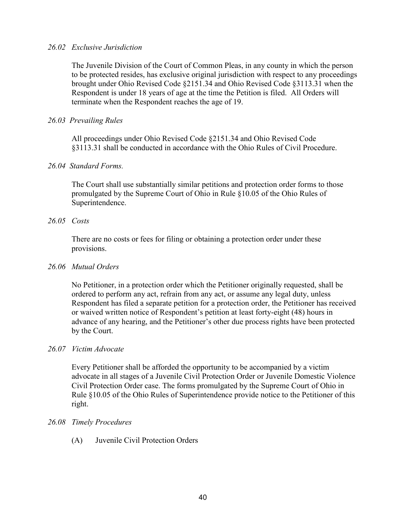## *26.02 Exclusive Jurisdiction*

The Juvenile Division of the Court of Common Pleas, in any county in which the person to be protected resides, has exclusive original jurisdiction with respect to any proceedings brought under Ohio Revised Code §2151.34 and Ohio Revised Code §3113.31 when the Respondent is under 18 years of age at the time the Petition is filed. All Orders will terminate when the Respondent reaches the age of 19.

# *26.03 Prevailing Rules*

All proceedings under Ohio Revised Code §2151.34 and Ohio Revised Code §3113.31 shall be conducted in accordance with the Ohio Rules of Civil Procedure.

# *26.04 Standard Forms.*

The Court shall use substantially similar petitions and protection order forms to those promulgated by the Supreme Court of Ohio in Rule §10.05 of the Ohio Rules of Superintendence.

### *26.05 Costs*

There are no costs or fees for filing or obtaining a protection order under these provisions.

## *26.06 Mutual Orders*

No Petitioner, in a protection order which the Petitioner originally requested, shall be ordered to perform any act, refrain from any act, or assume any legal duty, unless Respondent has filed a separate petition for a protection order, the Petitioner has received or waived written notice of Respondent's petition at least forty-eight (48) hours in advance of any hearing, and the Petitioner's other due process rights have been protected by the Court.

### *26.07 Victim Advocate*

Every Petitioner shall be afforded the opportunity to be accompanied by a victim advocate in all stages of a Juvenile Civil Protection Order or Juvenile Domestic Violence Civil Protection Order case. The forms promulgated by the Supreme Court of Ohio in Rule §10.05 of the Ohio Rules of Superintendence provide notice to the Petitioner of this right.

# *26.08 Timely Procedures*

(A) Juvenile Civil Protection Orders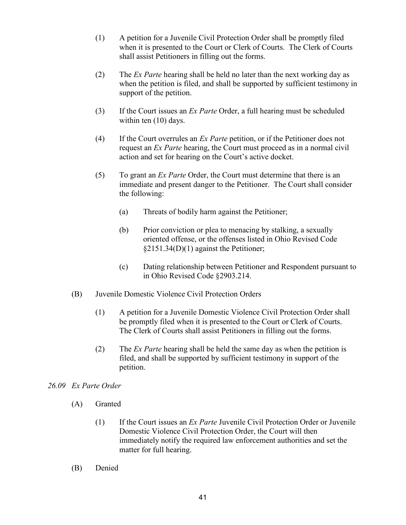- (1) A petition for a Juvenile Civil Protection Order shall be promptly filed when it is presented to the Court or Clerk of Courts. The Clerk of Courts shall assist Petitioners in filling out the forms.
- (2) The *Ex Parte* hearing shall be held no later than the next working day as when the petition is filed, and shall be supported by sufficient testimony in support of the petition.
- (3) If the Court issues an *Ex Parte* Order, a full hearing must be scheduled within ten (10) days.
- (4) If the Court overrules an *Ex Parte* petition, or if the Petitioner does not request an *Ex Parte* hearing, the Court must proceed as in a normal civil action and set for hearing on the Court's active docket.
- (5) To grant an *Ex Parte* Order, the Court must determine that there is an immediate and present danger to the Petitioner. The Court shall consider the following:
	- (a) Threats of bodily harm against the Petitioner;
	- (b) Prior conviction or plea to menacing by stalking, a sexually oriented offense, or the offenses listed in Ohio Revised Code §2151.34(D)(1) against the Petitioner;
	- (c) Dating relationship between Petitioner and Respondent pursuant to in Ohio Revised Code §2903.214.
- (B) Juvenile Domestic Violence Civil Protection Orders
	- (1) A petition for a Juvenile Domestic Violence Civil Protection Order shall be promptly filed when it is presented to the Court or Clerk of Courts. The Clerk of Courts shall assist Petitioners in filling out the forms.
	- (2) The *Ex Parte* hearing shall be held the same day as when the petition is filed, and shall be supported by sufficient testimony in support of the petition.

### *26.09 Ex Parte Order*

- (A) Granted
	- (1) If the Court issues an *Ex Parte* Juvenile Civil Protection Order or Juvenile Domestic Violence Civil Protection Order, the Court will then immediately notify the required law enforcement authorities and set the matter for full hearing.
- (B) Denied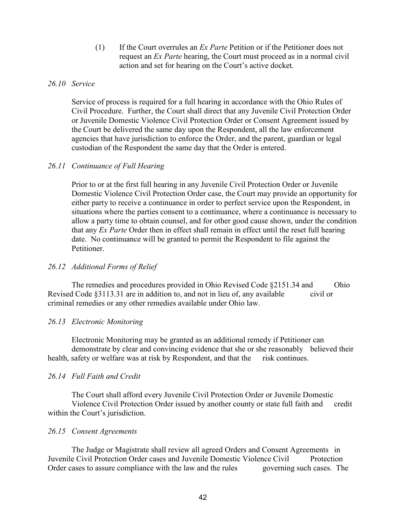(1) If the Court overrules an *Ex Parte* Petition or if the Petitioner does not request an *Ex Parte* hearing, the Court must proceed as in a normal civil action and set for hearing on the Court's active docket.

#### *26.10 Service*

Service of process is required for a full hearing in accordance with the Ohio Rules of Civil Procedure. Further, the Court shall direct that any Juvenile Civil Protection Order or Juvenile Domestic Violence Civil Protection Order or Consent Agreement issued by the Court be delivered the same day upon the Respondent, all the law enforcement agencies that have jurisdiction to enforce the Order, and the parent, guardian or legal custodian of the Respondent the same day that the Order is entered.

### *26.11 Continuance of Full Hearing*

Prior to or at the first full hearing in any Juvenile Civil Protection Order or Juvenile Domestic Violence Civil Protection Order case, the Court may provide an opportunity for either party to receive a continuance in order to perfect service upon the Respondent, in situations where the parties consent to a continuance, where a continuance is necessary to allow a party time to obtain counsel, and for other good cause shown, under the condition that any *Ex Parte* Order then in effect shall remain in effect until the reset full hearing date. No continuance will be granted to permit the Respondent to file against the Petitioner.

### *26.12 Additional Forms of Relief*

The remedies and procedures provided in Ohio Revised Code §2151.34 and Ohio Revised Code §3113.31 are in addition to, and not in lieu of, any available civil or criminal remedies or any other remedies available under Ohio law.

#### *26.13 Electronic Monitoring*

Electronic Monitoring may be granted as an additional remedy if Petitioner can demonstrate by clear and convincing evidence that she or she reasonably believed their health, safety or welfare was at risk by Respondent, and that the risk continues.

### *26.14 Full Faith and Credit*

The Court shall afford every Juvenile Civil Protection Order or Juvenile Domestic Violence Civil Protection Order issued by another county or state full faith and credit within the Court's jurisdiction.

#### *26.15 Consent Agreements*

The Judge or Magistrate shall review all agreed Orders and Consent Agreements in Juvenile Civil Protection Order cases and Juvenile Domestic Violence Civil Protection Order cases to assure compliance with the law and the rules governing such cases. The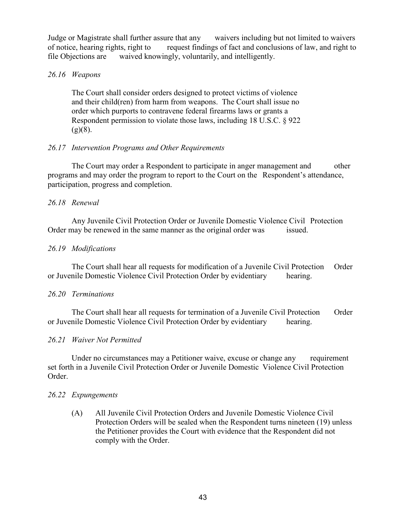Judge or Magistrate shall further assure that any waivers including but not limited to waivers of notice, hearing rights, right to request findings of fact and conclusions of law, and right to file Objections are waived knowingly, voluntarily, and intelligently.

## *26.16 Weapons*

The Court shall consider orders designed to protect victims of violence and their child(ren) from harm from weapons. The Court shall issue no order which purports to contravene federal firearms laws or grants a Respondent permission to violate those laws, including 18 U.S.C. § 922  $(g)(8)$ .

# *26.17 Intervention Programs and Other Requirements*

The Court may order a Respondent to participate in anger management and other programs and may order the program to report to the Court on the Respondent's attendance, participation, progress and completion.

# *26.18 Renewal*

Any Juvenile Civil Protection Order or Juvenile Domestic Violence Civil Protection Order may be renewed in the same manner as the original order was issued.

# *26.19 Modifications*

The Court shall hear all requests for modification of a Juvenile Civil Protection Order or Juvenile Domestic Violence Civil Protection Order by evidentiary hearing.

### *26.20 Terminations*

The Court shall hear all requests for termination of a Juvenile Civil Protection Order or Juvenile Domestic Violence Civil Protection Order by evidentiary hearing.

### *26.21 Waiver Not Permitted*

Under no circumstances may a Petitioner waive, excuse or change any requirement set forth in a Juvenile Civil Protection Order or Juvenile Domestic Violence Civil Protection Order.

### *26.22 Expungements*

(A) All Juvenile Civil Protection Orders and Juvenile Domestic Violence Civil Protection Orders will be sealed when the Respondent turns nineteen (19) unless the Petitioner provides the Court with evidence that the Respondent did not comply with the Order.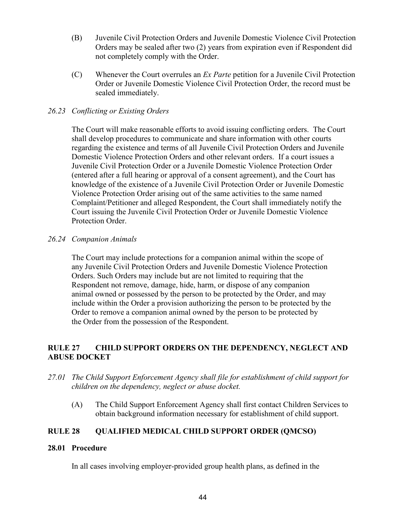- (B) Juvenile Civil Protection Orders and Juvenile Domestic Violence Civil Protection Orders may be sealed after two (2) years from expiration even if Respondent did not completely comply with the Order.
- (C) Whenever the Court overrules an *Ex Parte* petition for a Juvenile Civil Protection Order or Juvenile Domestic Violence Civil Protection Order, the record must be sealed immediately.

# *26.23 Conflicting or Existing Orders*

The Court will make reasonable efforts to avoid issuing conflicting orders. The Court shall develop procedures to communicate and share information with other courts regarding the existence and terms of all Juvenile Civil Protection Orders and Juvenile Domestic Violence Protection Orders and other relevant orders. If a court issues a Juvenile Civil Protection Order or a Juvenile Domestic Violence Protection Order (entered after a full hearing or approval of a consent agreement), and the Court has knowledge of the existence of a Juvenile Civil Protection Order or Juvenile Domestic Violence Protection Order arising out of the same activities to the same named Complaint/Petitioner and alleged Respondent, the Court shall immediately notify the Court issuing the Juvenile Civil Protection Order or Juvenile Domestic Violence Protection Order.

# *26.24 Companion Animals*

The Court may include protections for a companion animal within the scope of any Juvenile Civil Protection Orders and Juvenile Domestic Violence Protection Orders. Such Orders may include but are not limited to requiring that the Respondent not remove, damage, hide, harm, or dispose of any companion animal owned or possessed by the person to be protected by the Order, and may include within the Order a provision authorizing the person to be protected by the Order to remove a companion animal owned by the person to be protected by the Order from the possession of the Respondent.

# **RULE 27 CHILD SUPPORT ORDERS ON THE DEPENDENCY, NEGLECT AND ABUSE DOCKET**

- *27.01 The Child Support Enforcement Agency shall file for establishment of child support for children on the dependency, neglect or abuse docket.*
	- (A) The Child Support Enforcement Agency shall first contact Children Services to obtain background information necessary for establishment of child support.

# **RULE 28 QUALIFIED MEDICAL CHILD SUPPORT ORDER (QMCSO)**

### **28.01 Procedure**

In all cases involving employer-provided group health plans, as defined in the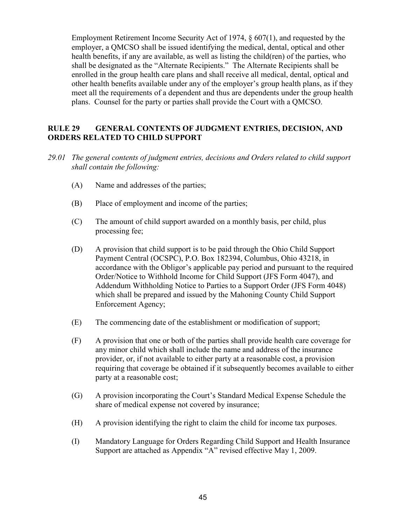Employment Retirement Income Security Act of 1974, § 607(1), and requested by the employer, a QMCSO shall be issued identifying the medical, dental, optical and other health benefits, if any are available, as well as listing the child(ren) of the parties, who shall be designated as the "Alternate Recipients." The Alternate Recipients shall be enrolled in the group health care plans and shall receive all medical, dental, optical and other health benefits available under any of the employer's group health plans, as if they meet all the requirements of a dependent and thus are dependents under the group health plans. Counsel for the party or parties shall provide the Court with a QMCSO.

# **RULE 29 GENERAL CONTENTS OF JUDGMENT ENTRIES, DECISION, AND ORDERS RELATED TO CHILD SUPPORT**

- *29.01 The general contents of judgment entries, decisions and Orders related to child support shall contain the following:*
	- (A) Name and addresses of the parties;
	- (B) Place of employment and income of the parties;
	- (C) The amount of child support awarded on a monthly basis, per child, plus processing fee;
	- (D) A provision that child support is to be paid through the Ohio Child Support Payment Central (OCSPC), P.O. Box 182394, Columbus, Ohio 43218, in accordance with the Obligor's applicable pay period and pursuant to the required Order/Notice to Withhold Income for Child Support (JFS Form 4047), and Addendum Withholding Notice to Parties to a Support Order (JFS Form 4048) which shall be prepared and issued by the Mahoning County Child Support Enforcement Agency;
	- (E) The commencing date of the establishment or modification of support;
	- (F) A provision that one or both of the parties shall provide health care coverage for any minor child which shall include the name and address of the insurance provider, or, if not available to either party at a reasonable cost, a provision requiring that coverage be obtained if it subsequently becomes available to either party at a reasonable cost;
	- (G) A provision incorporating the Court's Standard Medical Expense Schedule the share of medical expense not covered by insurance;
	- (H) A provision identifying the right to claim the child for income tax purposes.
	- (I) Mandatory Language for Orders Regarding Child Support and Health Insurance Support are attached as Appendix "A" revised effective May 1, 2009.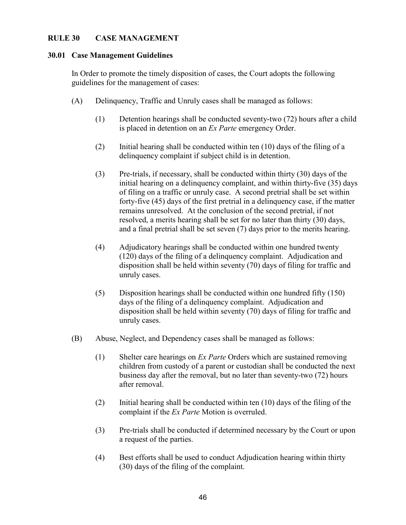# **RULE 30 CASE MANAGEMENT**

#### **30.01 Case Management Guidelines**

In Order to promote the timely disposition of cases, the Court adopts the following guidelines for the management of cases:

- (A) Delinquency, Traffic and Unruly cases shall be managed as follows:
	- (1) Detention hearings shall be conducted seventy-two (72) hours after a child is placed in detention on an *Ex Parte* emergency Order.
	- (2) Initial hearing shall be conducted within ten (10) days of the filing of a delinquency complaint if subject child is in detention.
	- (3) Pre-trials, if necessary, shall be conducted within thirty (30) days of the initial hearing on a delinquency complaint, and within thirty-five (35) days of filing on a traffic or unruly case. A second pretrial shall be set within forty-five (45) days of the first pretrial in a delinquency case, if the matter remains unresolved. At the conclusion of the second pretrial, if not resolved, a merits hearing shall be set for no later than thirty (30) days, and a final pretrial shall be set seven (7) days prior to the merits hearing.
	- (4) Adjudicatory hearings shall be conducted within one hundred twenty (120) days of the filing of a delinquency complaint. Adjudication and disposition shall be held within seventy (70) days of filing for traffic and unruly cases.
	- (5) Disposition hearings shall be conducted within one hundred fifty (150) days of the filing of a delinquency complaint. Adjudication and disposition shall be held within seventy (70) days of filing for traffic and unruly cases.
- (B) Abuse, Neglect, and Dependency cases shall be managed as follows:
	- (1) Shelter care hearings on *Ex Parte* Orders which are sustained removing children from custody of a parent or custodian shall be conducted the next business day after the removal, but no later than seventy-two (72) hours after removal.
	- (2) Initial hearing shall be conducted within ten (10) days of the filing of the complaint if the *Ex Parte* Motion is overruled.
	- (3) Pre-trials shall be conducted if determined necessary by the Court or upon a request of the parties.
	- (4) Best efforts shall be used to conduct Adjudication hearing within thirty (30) days of the filing of the complaint.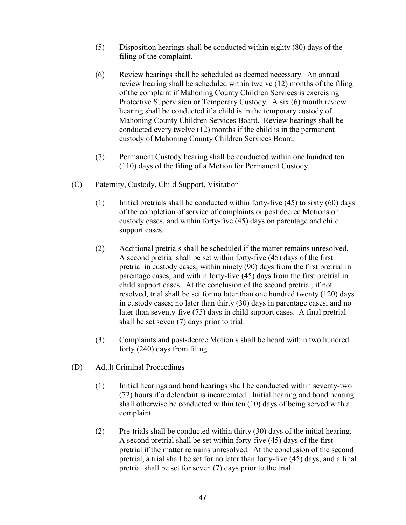- (5) Disposition hearings shall be conducted within eighty (80) days of the filing of the complaint.
- (6) Review hearings shall be scheduled as deemed necessary. An annual review hearing shall be scheduled within twelve (12) months of the filing of the complaint if Mahoning County Children Services is exercising Protective Supervision or Temporary Custody. A six (6) month review hearing shall be conducted if a child is in the temporary custody of Mahoning County Children Services Board. Review hearings shall be conducted every twelve (12) months if the child is in the permanent custody of Mahoning County Children Services Board.
- (7) Permanent Custody hearing shall be conducted within one hundred ten (110) days of the filing of a Motion for Permanent Custody.
- (C) Paternity, Custody, Child Support, Visitation
	- (1) Initial pretrials shall be conducted within forty-five  $(45)$  to sixty  $(60)$  days of the completion of service of complaints or post decree Motions on custody cases, and within forty-five (45) days on parentage and child support cases.
	- (2) Additional pretrials shall be scheduled if the matter remains unresolved. A second pretrial shall be set within forty-five (45) days of the first pretrial in custody cases; within ninety (90) days from the first pretrial in parentage cases; and within forty-five (45) days from the first pretrial in child support cases. At the conclusion of the second pretrial, if not resolved, trial shall be set for no later than one hundred twenty (120) days in custody cases; no later than thirty (30) days in parentage cases; and no later than seventy-five (75) days in child support cases. A final pretrial shall be set seven (7) days prior to trial.
	- (3) Complaints and post-decree Motion s shall be heard within two hundred forty (240) days from filing.
- (D) Adult Criminal Proceedings
	- (1) Initial hearings and bond hearings shall be conducted within seventy-two (72) hours if a defendant is incarcerated. Initial hearing and bond hearing shall otherwise be conducted within ten (10) days of being served with a complaint.
	- (2) Pre-trials shall be conducted within thirty (30) days of the initial hearing. A second pretrial shall be set within forty-five (45) days of the first pretrial if the matter remains unresolved. At the conclusion of the second pretrial, a trial shall be set for no later than forty-five (45) days, and a final pretrial shall be set for seven (7) days prior to the trial.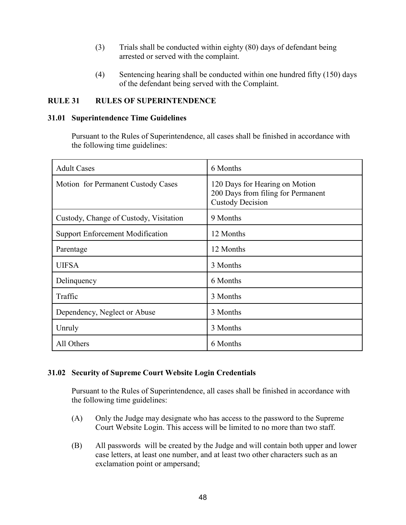- (3) Trials shall be conducted within eighty (80) days of defendant being arrested or served with the complaint.
- (4) Sentencing hearing shall be conducted within one hundred fifty (150) days of the defendant being served with the Complaint.

# **RULE 31 RULES OF SUPERINTENDENCE**

#### **31.01 Superintendence Time Guidelines**

Pursuant to the Rules of Superintendence, all cases shall be finished in accordance with the following time guidelines:

| <b>Adult Cases</b>                      | 6 Months                                                                                        |
|-----------------------------------------|-------------------------------------------------------------------------------------------------|
| Motion for Permanent Custody Cases      | 120 Days for Hearing on Motion<br>200 Days from filing for Permanent<br><b>Custody Decision</b> |
| Custody, Change of Custody, Visitation  | 9 Months                                                                                        |
| <b>Support Enforcement Modification</b> | 12 Months                                                                                       |
| Parentage                               | 12 Months                                                                                       |
| <b>UIFSA</b>                            | 3 Months                                                                                        |
| Delinquency                             | 6 Months                                                                                        |
| Traffic                                 | 3 Months                                                                                        |
| Dependency, Neglect or Abuse            | 3 Months                                                                                        |
| Unruly                                  | 3 Months                                                                                        |
| All Others                              | 6 Months                                                                                        |

### **31.02 Security of Supreme Court Website Login Credentials**

Pursuant to the Rules of Superintendence, all cases shall be finished in accordance with the following time guidelines:

- (A) Only the Judge may designate who has access to the password to the Supreme Court Website Login. This access will be limited to no more than two staff.
- (B) All passwords will be created by the Judge and will contain both upper and lower case letters, at least one number, and at least two other characters such as an exclamation point or ampersand;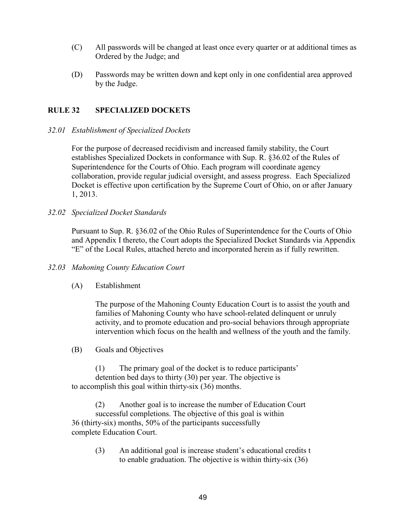- (C) All passwords will be changed at least once every quarter or at additional times as Ordered by the Judge; and
- (D) Passwords may be written down and kept only in one confidential area approved by the Judge.

# **RULE 32 SPECIALIZED DOCKETS**

#### *32.01 Establishment of Specialized Dockets*

For the purpose of decreased recidivism and increased family stability, the Court establishes Specialized Dockets in conformance with Sup. R. §36.02 of the Rules of Superintendence for the Courts of Ohio. Each program will coordinate agency collaboration, provide regular judicial oversight, and assess progress. Each Specialized Docket is effective upon certification by the Supreme Court of Ohio, on or after January 1, 2013.

#### *32.02 Specialized Docket Standards*

Pursuant to Sup. R. §36.02 of the Ohio Rules of Superintendence for the Courts of Ohio and Appendix I thereto, the Court adopts the Specialized Docket Standards via Appendix "E" of the Local Rules, attached hereto and incorporated herein as if fully rewritten.

#### *32.03 Mahoning County Education Court*

(A) Establishment

The purpose of the Mahoning County Education Court is to assist the youth and families of Mahoning County who have school-related delinquent or unruly activity, and to promote education and pro-social behaviors through appropriate intervention which focus on the health and wellness of the youth and the family.

(B) Goals and Objectives

(1) The primary goal of the docket is to reduce participants' detention bed days to thirty (30) per year. The objective is to accomplish this goal within thirty-six (36) months.

(2) Another goal is to increase the number of Education Court successful completions. The objective of this goal is within 36 (thirty-six) months, 50% of the participants successfully complete Education Court.

(3) An additional goal is increase student's educational credits t to enable graduation. The objective is within thirty-six (36)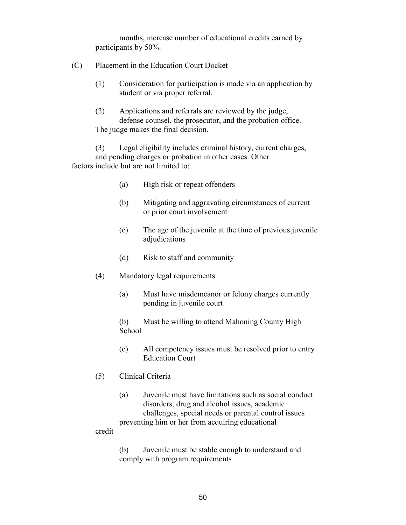months, increase number of educational credits earned by participants by 50%.

- (C) Placement in the Education Court Docket
	- (1) Consideration for participation is made via an application by student or via proper referral.
	- (2) Applications and referrals are reviewed by the judge, defense counsel, the prosecutor, and the probation office. The judge makes the final decision.

(3) Legal eligibility includes criminal history, current charges, and pending charges or probation in other cases. Other factors include but are not limited to:

- (a) High risk or repeat offenders
- (b) Mitigating and aggravating circumstances of current or prior court involvement
- (c) The age of the juvenile at the time of previous juvenile adjudications
- (d) Risk to staff and community
- (4) Mandatory legal requirements
	- (a) Must have misdemeanor or felony charges currently pending in juvenile court

(b) Must be willing to attend Mahoning County High School

- (c) All competency issues must be resolved prior to entry Education Court
- (5) Clinical Criteria
	- (a) Juvenile must have limitations such as social conduct disorders, drug and alcohol issues, academic challenges, special needs or parental control issues preventing him or her from acquiring educational

credit

(b) Juvenile must be stable enough to understand and comply with program requirements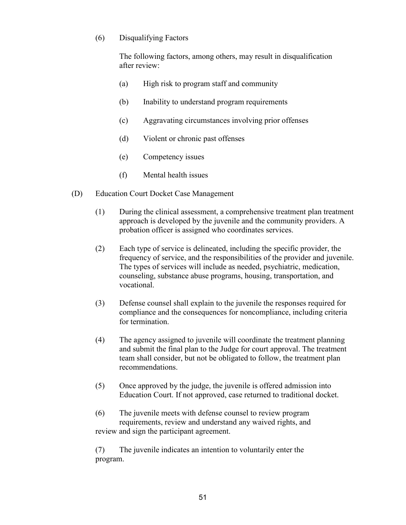(6) Disqualifying Factors

The following factors, among others, may result in disqualification after review:

- (a) High risk to program staff and community
- (b) Inability to understand program requirements
- (c) Aggravating circumstances involving prior offenses
- (d) Violent or chronic past offenses
- (e) Competency issues
- (f) Mental health issues
- (D) Education Court Docket Case Management
	- (1) During the clinical assessment, a comprehensive treatment plan treatment approach is developed by the juvenile and the community providers. A probation officer is assigned who coordinates services.
	- (2) Each type of service is delineated, including the specific provider, the frequency of service, and the responsibilities of the provider and juvenile. The types of services will include as needed, psychiatric, medication, counseling, substance abuse programs, housing, transportation, and vocational.
	- (3) Defense counsel shall explain to the juvenile the responses required for compliance and the consequences for noncompliance, including criteria for termination.
	- (4) The agency assigned to juvenile will coordinate the treatment planning and submit the final plan to the Judge for court approval. The treatment team shall consider, but not be obligated to follow, the treatment plan recommendations.
	- (5) Once approved by the judge, the juvenile is offered admission into Education Court. If not approved, case returned to traditional docket.
	- (6) The juvenile meets with defense counsel to review program requirements, review and understand any waived rights, and review and sign the participant agreement.

(7) The juvenile indicates an intention to voluntarily enter the program.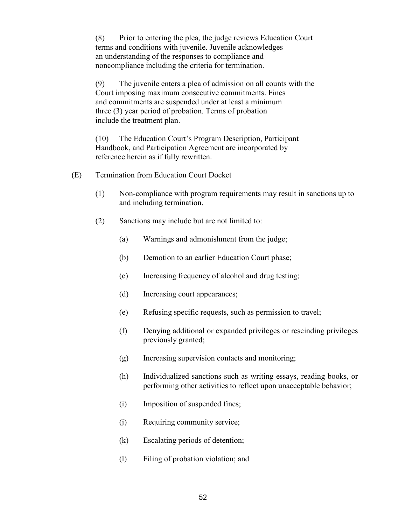(8) Prior to entering the plea, the judge reviews Education Court terms and conditions with juvenile. Juvenile acknowledges an understanding of the responses to compliance and noncompliance including the criteria for termination.

(9) The juvenile enters a plea of admission on all counts with the Court imposing maximum consecutive commitments. Fines and commitments are suspended under at least a minimum three (3) year period of probation. Terms of probation include the treatment plan.

(10) The Education Court's Program Description, Participant Handbook, and Participation Agreement are incorporated by reference herein as if fully rewritten.

- (E) Termination from Education Court Docket
	- (1) Non-compliance with program requirements may result in sanctions up to and including termination.
	- (2) Sanctions may include but are not limited to:
		- (a) Warnings and admonishment from the judge;
		- (b) Demotion to an earlier Education Court phase;
		- (c) Increasing frequency of alcohol and drug testing;
		- (d) Increasing court appearances;
		- (e) Refusing specific requests, such as permission to travel;
		- (f) Denying additional or expanded privileges or rescinding privileges previously granted;
		- (g) Increasing supervision contacts and monitoring;
		- (h) Individualized sanctions such as writing essays, reading books, or performing other activities to reflect upon unacceptable behavior;
		- (i) Imposition of suspended fines;
		- (j) Requiring community service;
		- (k) Escalating periods of detention;
		- (l) Filing of probation violation; and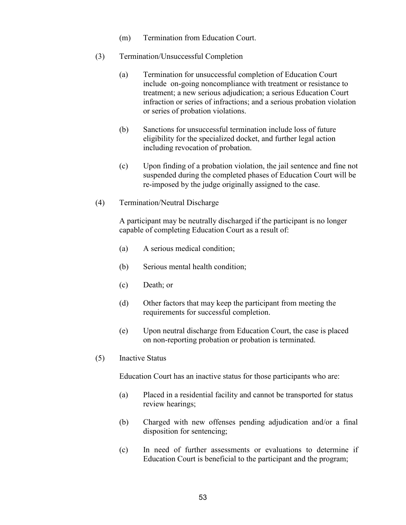- (m) Termination from Education Court.
- (3) Termination/Unsuccessful Completion
	- (a) Termination for unsuccessful completion of Education Court include on-going noncompliance with treatment or resistance to treatment; a new serious adjudication; a serious Education Court infraction or series of infractions; and a serious probation violation or series of probation violations.
	- (b) Sanctions for unsuccessful termination include loss of future eligibility for the specialized docket, and further legal action including revocation of probation.
	- (c) Upon finding of a probation violation, the jail sentence and fine not suspended during the completed phases of Education Court will be re-imposed by the judge originally assigned to the case.
- (4) Termination/Neutral Discharge

A participant may be neutrally discharged if the participant is no longer capable of completing Education Court as a result of:

- (a) A serious medical condition;
- (b) Serious mental health condition;
- (c) Death; or
- (d) Other factors that may keep the participant from meeting the requirements for successful completion.
- (e) Upon neutral discharge from Education Court, the case is placed on non-reporting probation or probation is terminated.
- (5) Inactive Status

Education Court has an inactive status for those participants who are:

- (a) Placed in a residential facility and cannot be transported for status review hearings;
- (b) Charged with new offenses pending adjudication and/or a final disposition for sentencing;
- (c) In need of further assessments or evaluations to determine if Education Court is beneficial to the participant and the program;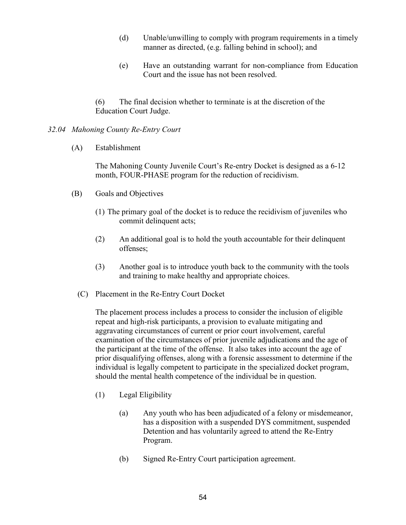- (d) Unable/unwilling to comply with program requirements in a timely manner as directed, (e.g. falling behind in school); and
- (e) Have an outstanding warrant for non-compliance from Education Court and the issue has not been resolved.

(6) The final decision whether to terminate is at the discretion of the Education Court Judge.

## *32.04 Mahoning County Re-Entry Court*

(A) Establishment

The Mahoning County Juvenile Court's Re-entry Docket is designed as a 6-12 month, FOUR-PHASE program for the reduction of recidivism.

- (B) Goals and Objectives
	- (1) The primary goal of the docket is to reduce the recidivism of juveniles who commit delinquent acts;
	- (2) An additional goal is to hold the youth accountable for their delinquent offenses;
	- (3) Another goal is to introduce youth back to the community with the tools and training to make healthy and appropriate choices.
	- (C) Placement in the Re-Entry Court Docket

The placement process includes a process to consider the inclusion of eligible repeat and high-risk participants, a provision to evaluate mitigating and aggravating circumstances of current or prior court involvement, careful examination of the circumstances of prior juvenile adjudications and the age of the participant at the time of the offense. It also takes into account the age of prior disqualifying offenses, along with a forensic assessment to determine if the individual is legally competent to participate in the specialized docket program, should the mental health competence of the individual be in question.

- (1) Legal Eligibility
	- (a) Any youth who has been adjudicated of a felony or misdemeanor, has a disposition with a suspended DYS commitment, suspended Detention and has voluntarily agreed to attend the Re-Entry Program.
	- (b) Signed Re-Entry Court participation agreement.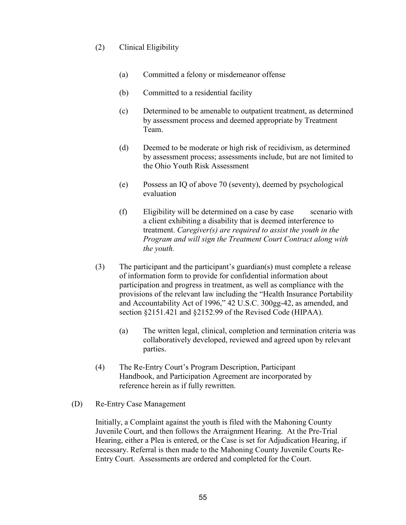# (2) Clinical Eligibility

- (a) Committed a felony or misdemeanor offense
- (b) Committed to a residential facility
- (c) Determined to be amenable to outpatient treatment, as determined by assessment process and deemed appropriate by Treatment Team.
- (d) Deemed to be moderate or high risk of recidivism, as determined by assessment process; assessments include, but are not limited to the Ohio Youth Risk Assessment
- (e) Possess an IQ of above 70 (seventy), deemed by psychological evaluation
- (f) Eligibility will be determined on a case by case scenario with a client exhibiting a disability that is deemed interference to treatment. *Caregiver(s) are required to assist the youth in the Program and will sign the Treatment Court Contract along with the youth.*
- (3) The participant and the participant's guardian(s) must complete a release of information form to provide for confidential information about participation and progress in treatment, as well as compliance with the provisions of the relevant law including the "Health Insurance Portability and Accountability Act of 1996," 42 U.S.C. 300gg-42, as amended, and section §2151.421 and §2152.99 of the Revised Code (HIPAA).
	- (a) The written legal, clinical, completion and termination criteria was collaboratively developed, reviewed and agreed upon by relevant parties.
- (4) The Re-Entry Court's Program Description, Participant Handbook, and Participation Agreement are incorporated by reference herein as if fully rewritten.
- (D) Re-Entry Case Management

Initially, a Complaint against the youth is filed with the Mahoning County Juvenile Court, and then follows the Arraignment Hearing. At the Pre-Trial Hearing, either a Plea is entered, or the Case is set for Adjudication Hearing, if necessary. Referral is then made to the Mahoning County Juvenile Courts Re-Entry Court. Assessments are ordered and completed for the Court.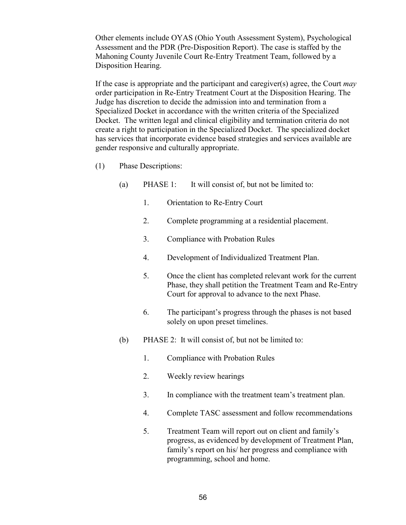Other elements include OYAS (Ohio Youth Assessment System), Psychological Assessment and the PDR (Pre-Disposition Report). The case is staffed by the Mahoning County Juvenile Court Re-Entry Treatment Team, followed by a Disposition Hearing.

If the case is appropriate and the participant and caregiver(s) agree, the Court *may*  order participation in Re-Entry Treatment Court at the Disposition Hearing. The Judge has discretion to decide the admission into and termination from a Specialized Docket in accordance with the written criteria of the Specialized Docket. The written legal and clinical eligibility and termination criteria do not create a right to participation in the Specialized Docket. The specialized docket has services that incorporate evidence based strategies and services available are gender responsive and culturally appropriate.

- (1) Phase Descriptions:
	- (a) PHASE 1: It will consist of, but not be limited to:
		- 1. Orientation to Re-Entry Court
		- 2. Complete programming at a residential placement.
		- 3. Compliance with Probation Rules
		- 4. Development of Individualized Treatment Plan.
		- 5. Once the client has completed relevant work for the current Phase, they shall petition the Treatment Team and Re-Entry Court for approval to advance to the next Phase.
		- 6. The participant's progress through the phases is not based solely on upon preset timelines.
	- (b) PHASE 2: It will consist of, but not be limited to:
		- 1. Compliance with Probation Rules
		- 2. Weekly review hearings
		- 3. In compliance with the treatment team's treatment plan.
		- 4. Complete TASC assessment and follow recommendations
		- 5. Treatment Team will report out on client and family's progress, as evidenced by development of Treatment Plan, family's report on his/ her progress and compliance with programming, school and home.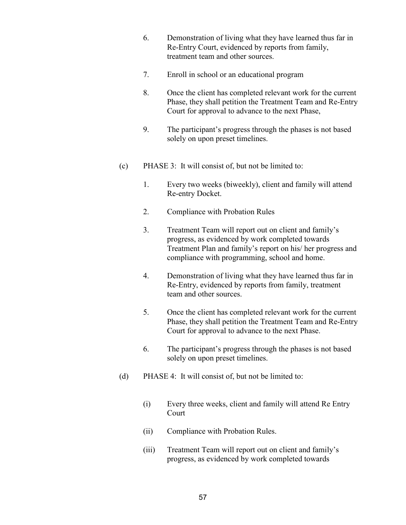- 6. Demonstration of living what they have learned thus far in Re-Entry Court, evidenced by reports from family, treatment team and other sources.
- 7. Enroll in school or an educational program
- 8. Once the client has completed relevant work for the current Phase, they shall petition the Treatment Team and Re-Entry Court for approval to advance to the next Phase,
- 9. The participant's progress through the phases is not based solely on upon preset timelines.
- (c) PHASE 3: It will consist of, but not be limited to:
	- 1. Every two weeks (biweekly), client and family will attend Re-entry Docket.
	- 2. Compliance with Probation Rules
	- 3. Treatment Team will report out on client and family's progress, as evidenced by work completed towards Treatment Plan and family's report on his/ her progress and compliance with programming, school and home.
	- 4. Demonstration of living what they have learned thus far in Re-Entry, evidenced by reports from family, treatment team and other sources.
	- 5. Once the client has completed relevant work for the current Phase, they shall petition the Treatment Team and Re-Entry Court for approval to advance to the next Phase.
	- 6. The participant's progress through the phases is not based solely on upon preset timelines.
- (d) PHASE 4: It will consist of, but not be limited to:
	- (i) Every three weeks, client and family will attend Re Entry Court
	- (ii) Compliance with Probation Rules.
	- (iii) Treatment Team will report out on client and family's progress, as evidenced by work completed towards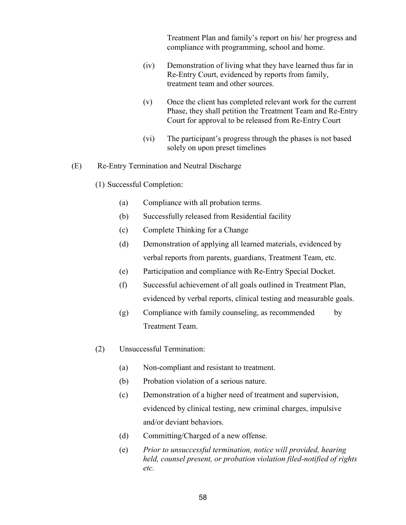Treatment Plan and family's report on his/ her progress and compliance with programming, school and home.

- (iv) Demonstration of living what they have learned thus far in Re-Entry Court, evidenced by reports from family, treatment team and other sources.
- (v) Once the client has completed relevant work for the current Phase, they shall petition the Treatment Team and Re-Entry Court for approval to be released from Re-Entry Court
- (vi) The participant's progress through the phases is not based solely on upon preset timelines

#### (E) Re-Entry Termination and Neutral Discharge

- (1) Successful Completion:
	- (a) Compliance with all probation terms.
	- (b) Successfully released from Residential facility
	- (c) Complete Thinking for a Change
	- (d) Demonstration of applying all learned materials, evidenced by verbal reports from parents, guardians, Treatment Team, etc.
	- (e) Participation and compliance with Re-Entry Special Docket.
	- (f) Successful achievement of all goals outlined in Treatment Plan, evidenced by verbal reports, clinical testing and measurable goals.
	- (g) Compliance with family counseling, as recommended by Treatment Team.
- (2) Unsuccessful Termination:
	- (a) Non-compliant and resistant to treatment.
	- (b) Probation violation of a serious nature.
	- (c) Demonstration of a higher need of treatment and supervision, evidenced by clinical testing, new criminal charges, impulsive and/or deviant behaviors.
	- (d) Committing/Charged of a new offense.
	- (e) *Prior to unsuccessful termination, notice will provided, hearing held, counsel present, or probation violation filed-notified of rights etc.*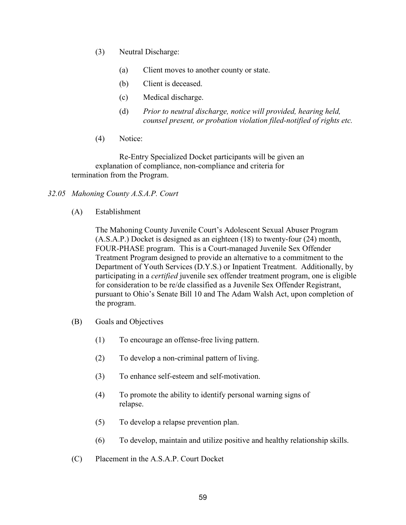- (3) Neutral Discharge:
	- (a) Client moves to another county or state.
	- (b) Client is deceased.
	- (c) Medical discharge.
	- (d) *Prior to neutral discharge, notice will provided, hearing held, counsel present, or probation violation filed-notified of rights etc.*
- (4) Notice:

Re-Entry Specialized Docket participants will be given an explanation of compliance, non-compliance and criteria for termination from the Program.

- *32.05 Mahoning County A.S.A.P. Court*
	- (A) Establishment

The Mahoning County Juvenile Court's Adolescent Sexual Abuser Program (A.S.A.P.) Docket is designed as an eighteen (18) to twenty-four (24) month, FOUR-PHASE program. This is a Court-managed Juvenile Sex Offender Treatment Program designed to provide an alternative to a commitment to the Department of Youth Services (D.Y.S.) or Inpatient Treatment. Additionally, by participating in a *certified* juvenile sex offender treatment program, one is eligible for consideration to be re/de classified as a Juvenile Sex Offender Registrant, pursuant to Ohio's Senate Bill 10 and The Adam Walsh Act, upon completion of the program.

- (B) Goals and Objectives
	- (1) To encourage an offense-free living pattern.
	- (2) To develop a non-criminal pattern of living.
	- (3) To enhance self-esteem and self-motivation.
	- (4) To promote the ability to identify personal warning signs of relapse.
	- (5) To develop a relapse prevention plan.
	- (6) To develop, maintain and utilize positive and healthy relationship skills.
- (C) Placement in the A.S.A.P. Court Docket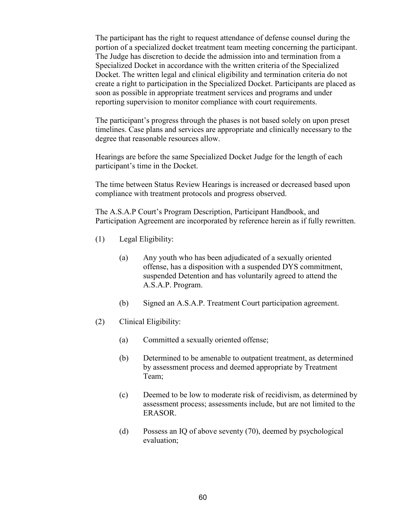The participant has the right to request attendance of defense counsel during the portion of a specialized docket treatment team meeting concerning the participant. The Judge has discretion to decide the admission into and termination from a Specialized Docket in accordance with the written criteria of the Specialized Docket. The written legal and clinical eligibility and termination criteria do not create a right to participation in the Specialized Docket. Participants are placed as soon as possible in appropriate treatment services and programs and under reporting supervision to monitor compliance with court requirements.

The participant's progress through the phases is not based solely on upon preset timelines. Case plans and services are appropriate and clinically necessary to the degree that reasonable resources allow.

Hearings are before the same Specialized Docket Judge for the length of each participant's time in the Docket.

The time between Status Review Hearings is increased or decreased based upon compliance with treatment protocols and progress observed.

The A.S.A.P Court's Program Description, Participant Handbook, and Participation Agreement are incorporated by reference herein as if fully rewritten.

- (1) Legal Eligibility:
	- (a) Any youth who has been adjudicated of a sexually oriented offense, has a disposition with a suspended DYS commitment, suspended Detention and has voluntarily agreed to attend the A.S.A.P. Program.
	- (b) Signed an A.S.A.P. Treatment Court participation agreement.
- (2) Clinical Eligibility:
	- (a) Committed a sexually oriented offense;
	- (b) Determined to be amenable to outpatient treatment, as determined by assessment process and deemed appropriate by Treatment Team;
	- (c) Deemed to be low to moderate risk of recidivism, as determined by assessment process; assessments include, but are not limited to the ERASOR.
	- (d) Possess an IQ of above seventy (70), deemed by psychological evaluation;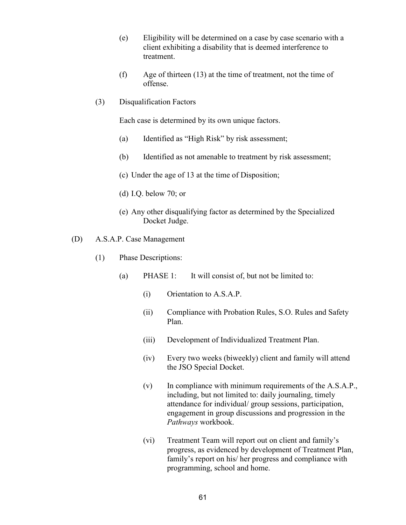- (e) Eligibility will be determined on a case by case scenario with a client exhibiting a disability that is deemed interference to treatment.
- (f) Age of thirteen (13) at the time of treatment, not the time of offense.
- (3) Disqualification Factors

Each case is determined by its own unique factors.

- (a) Identified as "High Risk" by risk assessment;
- (b) Identified as not amenable to treatment by risk assessment;
- (c) Under the age of 13 at the time of Disposition;
- (d) I.Q. below 70; or
- (e) Any other disqualifying factor as determined by the Specialized Docket Judge.
- (D) A.S.A.P. Case Management
	- (1) Phase Descriptions:
		- (a) PHASE 1: It will consist of, but not be limited to:
			- (i) Orientation to A.S.A.P.
			- (ii) Compliance with Probation Rules, S.O. Rules and Safety Plan.
			- (iii) Development of Individualized Treatment Plan.
			- (iv) Every two weeks (biweekly) client and family will attend the JSO Special Docket.
			- (v) In compliance with minimum requirements of the A.S.A.P., including, but not limited to: daily journaling, timely attendance for individual/ group sessions, participation, engagement in group discussions and progression in the *Pathways* workbook.
			- (vi) Treatment Team will report out on client and family's progress, as evidenced by development of Treatment Plan, family's report on his/ her progress and compliance with programming, school and home.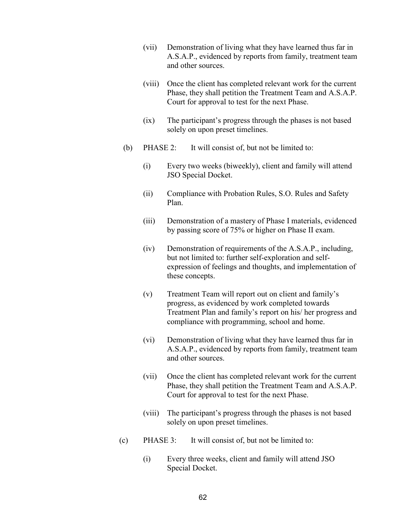- (vii) Demonstration of living what they have learned thus far in A.S.A.P., evidenced by reports from family, treatment team and other sources.
- (viii) Once the client has completed relevant work for the current Phase, they shall petition the Treatment Team and A.S.A.P. Court for approval to test for the next Phase.
- (ix) The participant's progress through the phases is not based solely on upon preset timelines.
- (b) PHASE 2: It will consist of, but not be limited to:
	- (i) Every two weeks (biweekly), client and family will attend JSO Special Docket.
	- (ii) Compliance with Probation Rules, S.O. Rules and Safety Plan.
	- (iii) Demonstration of a mastery of Phase I materials, evidenced by passing score of 75% or higher on Phase II exam.
	- (iv) Demonstration of requirements of the A.S.A.P., including, but not limited to: further self-exploration and selfexpression of feelings and thoughts, and implementation of these concepts.
	- (v) Treatment Team will report out on client and family's progress, as evidenced by work completed towards Treatment Plan and family's report on his/ her progress and compliance with programming, school and home.
	- (vi) Demonstration of living what they have learned thus far in A.S.A.P., evidenced by reports from family, treatment team and other sources.
	- (vii) Once the client has completed relevant work for the current Phase, they shall petition the Treatment Team and A.S.A.P. Court for approval to test for the next Phase.
	- (viii) The participant's progress through the phases is not based solely on upon preset timelines.
- (c) PHASE 3: It will consist of, but not be limited to:
	- (i) Every three weeks, client and family will attend JSO Special Docket.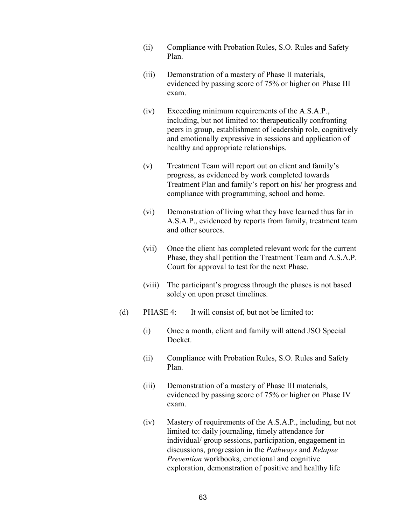- (ii) Compliance with Probation Rules, S.O. Rules and Safety Plan.
- (iii) Demonstration of a mastery of Phase II materials, evidenced by passing score of 75% or higher on Phase III exam.
- (iv) Exceeding minimum requirements of the A.S.A.P., including, but not limited to: therapeutically confronting peers in group, establishment of leadership role, cognitively and emotionally expressive in sessions and application of healthy and appropriate relationships.
- (v) Treatment Team will report out on client and family's progress, as evidenced by work completed towards Treatment Plan and family's report on his/ her progress and compliance with programming, school and home.
- (vi) Demonstration of living what they have learned thus far in A.S.A.P., evidenced by reports from family, treatment team and other sources.
- (vii) Once the client has completed relevant work for the current Phase, they shall petition the Treatment Team and A.S.A.P. Court for approval to test for the next Phase.
- (viii) The participant's progress through the phases is not based solely on upon preset timelines.
- (d) PHASE 4: It will consist of, but not be limited to:
	- (i) Once a month, client and family will attend JSO Special Docket.
	- (ii) Compliance with Probation Rules, S.O. Rules and Safety Plan.
	- (iii) Demonstration of a mastery of Phase III materials, evidenced by passing score of 75% or higher on Phase IV exam.
	- (iv) Mastery of requirements of the A.S.A.P., including, but not limited to: daily journaling, timely attendance for individual/ group sessions, participation, engagement in discussions, progression in the *Pathways* and *Relapse Prevention* workbooks, emotional and cognitive exploration, demonstration of positive and healthy life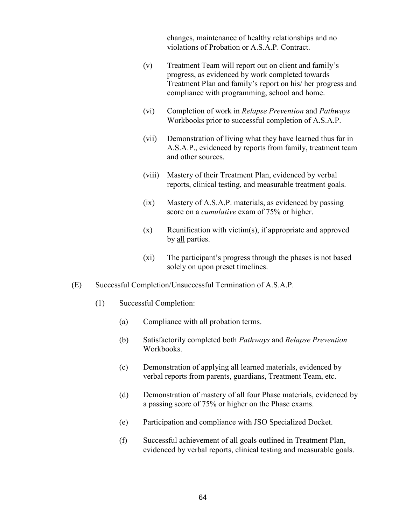changes, maintenance of healthy relationships and no violations of Probation or A.S.A.P. Contract.

- (v) Treatment Team will report out on client and family's progress, as evidenced by work completed towards Treatment Plan and family's report on his/ her progress and compliance with programming, school and home.
- (vi) Completion of work in *Relapse Prevention* and *Pathways* Workbooks prior to successful completion of A.S.A.P.
- (vii) Demonstration of living what they have learned thus far in A.S.A.P., evidenced by reports from family, treatment team and other sources.
- (viii) Mastery of their Treatment Plan, evidenced by verbal reports, clinical testing, and measurable treatment goals.
- (ix) Mastery of A.S.A.P. materials, as evidenced by passing score on a *cumulative* exam of 75% or higher.
- $(x)$  Reunification with victim(s), if appropriate and approved by all parties.
- (xi) The participant's progress through the phases is not based solely on upon preset timelines.
- (E) Successful Completion/Unsuccessful Termination of A.S.A.P.
	- (1) Successful Completion:
		- (a) Compliance with all probation terms.
		- (b) Satisfactorily completed both *Pathways* and *Relapse Prevention* Workbooks.
		- (c) Demonstration of applying all learned materials, evidenced by verbal reports from parents, guardians, Treatment Team, etc.
		- (d) Demonstration of mastery of all four Phase materials, evidenced by a passing score of 75% or higher on the Phase exams.
		- (e) Participation and compliance with JSO Specialized Docket.
		- (f) Successful achievement of all goals outlined in Treatment Plan, evidenced by verbal reports, clinical testing and measurable goals.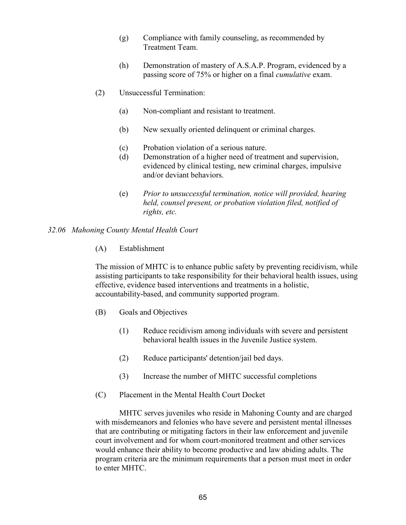- (g) Compliance with family counseling, as recommended by Treatment Team.
- (h) Demonstration of mastery of A.S.A.P. Program, evidenced by a passing score of 75% or higher on a final *cumulative* exam.
- (2) Unsuccessful Termination:
	- (a) Non-compliant and resistant to treatment.
	- (b) New sexually oriented delinquent or criminal charges.
	- (c) Probation violation of a serious nature.
	- (d) Demonstration of a higher need of treatment and supervision, evidenced by clinical testing, new criminal charges, impulsive and/or deviant behaviors.
	- (e) *Prior to unsuccessful termination, notice will provided, hearing held, counsel present, or probation violation filed, notified of rights, etc.*

# *32.06 Mahoning County Mental Health Court*

(A) Establishment

The mission of MHTC is to enhance public safety by preventing recidivism, while assisting participants to take responsibility for their behavioral health issues, using effective, evidence based interventions and treatments in a holistic, accountability-based, and community supported program.

- (B) Goals and Objectives
	- (1) Reduce recidivism among individuals with severe and persistent behavioral health issues in the Juvenile Justice system.
	- (2) Reduce participants' detention/jail bed days.
	- (3) Increase the number of MHTC successful completions
- (C) Placement in the Mental Health Court Docket

MHTC serves juveniles who reside in Mahoning County and are charged with misdemeanors and felonies who have severe and persistent mental illnesses that are contributing or mitigating factors in their law enforcement and juvenile court involvement and for whom court-monitored treatment and other services would enhance their ability to become productive and law abiding adults. The program criteria are the minimum requirements that a person must meet in order to enter MHTC.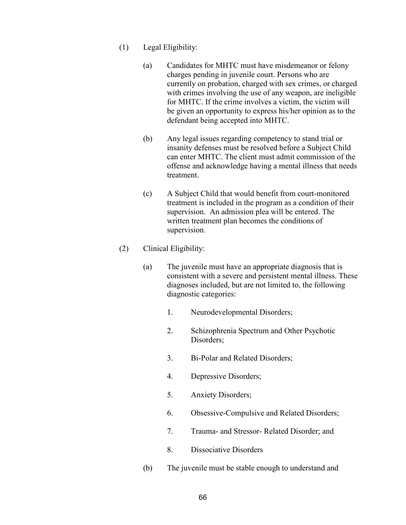- (1) Legal Eligibility:
	- (a) Candidates for MHTC must have misdemeanor or felony charges pending in juvenile court. Persons who are currently on probation, charged with sex crimes, or charged with crimes involving the use of any weapon, are ineligible for MHTC. If the crime involves a victim, the victim will be given an opportunity to express his/her opinion as to the defendant being accepted into MHTC.
	- (b) Any legal issues regarding competency to stand trial or insanity defenses must be resolved before a Subject Child can enter MHTC. The client must admit commission of the offense and acknowledge having a mental illness that needs treatment.
	- (c) A Subject Child that would benefit from court-monitored treatment is included in the program as a condition of their supervision. An admission plea will be entered. The written treatment plan becomes the conditions of supervision.
- (2) Clinical Eligibility:
	- (a) The juvenile must have an appropriate diagnosis that is consistent with a severe and persistent mental illness. These diagnoses included, but are not limited to, the following diagnostic categories:
		- 1. Neurodevelopmental Disorders;
		- 2. Schizophrenia Spectrum and Other Psychotic Disorders;
		- 3. Bi-Polar and Related Disorders;
		- 4. Depressive Disorders;
		- 5. Anxiety Disorders;
		- 6. Obsessive-Compulsive and Related Disorders;
		- 7. Trauma- and Stressor- Related Disorder; and
		- 8. Dissociative Disorders
	- (b) The juvenile must be stable enough to understand and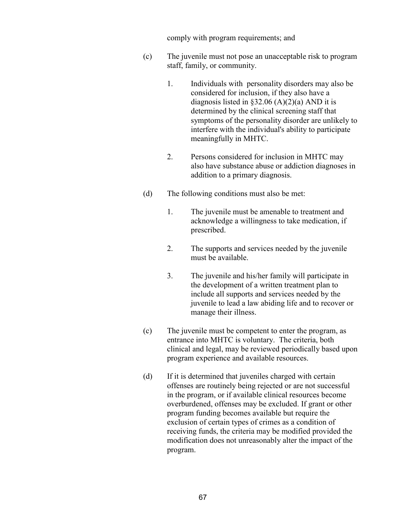comply with program requirements; and

- (c) The juvenile must not pose an unacceptable risk to program staff, family, or community.
	- 1. Individuals with personality disorders may also be considered for inclusion, if they also have a diagnosis listed in  $\S 32.06$  (A)(2)(a) AND it is determined by the clinical screening staff that symptoms of the personality disorder are unlikely to interfere with the individual's ability to participate meaningfully in MHTC.
	- 2. Persons considered for inclusion in MHTC may also have substance abuse or addiction diagnoses in addition to a primary diagnosis.
- (d) The following conditions must also be met:
	- 1. The juvenile must be amenable to treatment and acknowledge a willingness to take medication, if prescribed.
	- 2. The supports and services needed by the juvenile must be available.
	- 3. The juvenile and his/her family will participate in the development of a written treatment plan to include all supports and services needed by the juvenile to lead a law abiding life and to recover or manage their illness.
- (c) The juvenile must be competent to enter the program, as entrance into MHTC is voluntary. The criteria, both clinical and legal, may be reviewed periodically based upon program experience and available resources.
- (d) If it is determined that juveniles charged with certain offenses are routinely being rejected or are not successful in the program, or if available clinical resources become overburdened, offenses may be excluded. If grant or other program funding becomes available but require the exclusion of certain types of crimes as a condition of receiving funds, the criteria may be modified provided the modification does not unreasonably alter the impact of the program.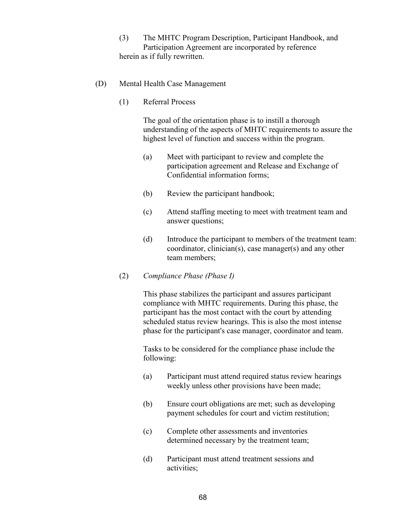(3) The MHTC Program Description, Participant Handbook, and Participation Agreement are incorporated by reference herein as if fully rewritten.

#### (D) Mental Health Case Management

(1) Referral Process

The goal of the orientation phase is to instill a thorough understanding of the aspects of MHTC requirements to assure the highest level of function and success within the program.

- (a) Meet with participant to review and complete the participation agreement and Release and Exchange of Confidential information forms;
- (b) Review the participant handbook;
- (c) Attend staffing meeting to meet with treatment team and answer questions;
- (d) Introduce the participant to members of the treatment team: coordinator, clinician(s), case manager(s) and any other team members;
- (2) *Compliance Phase (Phase I)*

This phase stabilizes the participant and assures participant compliance with MHTC requirements. During this phase, the participant has the most contact with the court by attending scheduled status review hearings. This is also the most intense phase for the participant's case manager, coordinator and team.

Tasks to be considered for the compliance phase include the following:

- (a) Participant must attend required status review hearings weekly unless other provisions have been made;
- (b) Ensure court obligations are met; such as developing payment schedules for court and victim restitution;
- (c) Complete other assessments and inventories determined necessary by the treatment team;
- (d) Participant must attend treatment sessions and activities;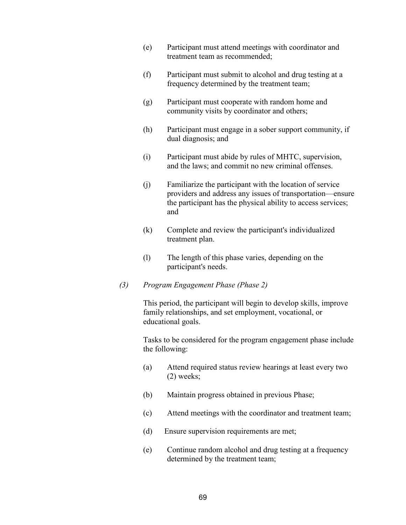- (e) Participant must attend meetings with coordinator and treatment team as recommended;
- (f) Participant must submit to alcohol and drug testing at a frequency determined by the treatment team;
- (g) Participant must cooperate with random home and community visits by coordinator and others;
- (h) Participant must engage in a sober support community, if dual diagnosis; and
- (i) Participant must abide by rules of MHTC, supervision, and the laws; and commit no new criminal offenses.
- (j) Familiarize the participant with the location of service providers and address any issues of transportation—ensure the participant has the physical ability to access services; and
- (k) Complete and review the participant's individualized treatment plan.
- (l) The length of this phase varies, depending on the participant's needs.

### *(3) Program Engagement Phase (Phase 2)*

This period, the participant will begin to develop skills, improve family relationships, and set employment, vocational, or educational goals.

Tasks to be considered for the program engagement phase include the following:

- (a) Attend required status review hearings at least every two (2) weeks;
- (b) Maintain progress obtained in previous Phase;
- (c) Attend meetings with the coordinator and treatment team;
- (d) Ensure supervision requirements are met;
- (e) Continue random alcohol and drug testing at a frequency determined by the treatment team;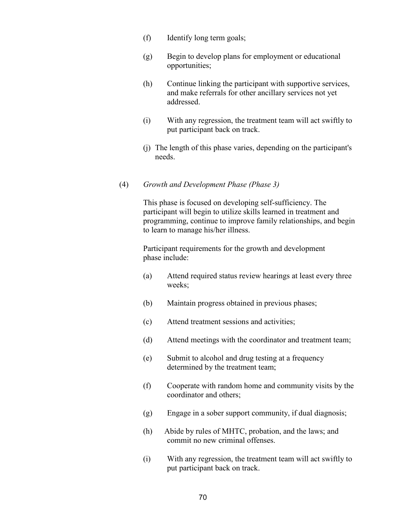- (f) Identify long term goals;
- (g) Begin to develop plans for employment or educational opportunities;
- (h) Continue linking the participant with supportive services, and make referrals for other ancillary services not yet addressed.
- (i) With any regression, the treatment team will act swiftly to put participant back on track.
- (j) The length of this phase varies, depending on the participant's needs.

#### (4) *Growth and Development Phase (Phase 3)*

This phase is focused on developing self-sufficiency. The participant will begin to utilize skills learned in treatment and programming, continue to improve family relationships, and begin to learn to manage his/her illness.

Participant requirements for the growth and development phase include:

- (a) Attend required status review hearings at least every three weeks;
- (b) Maintain progress obtained in previous phases;
- (c) Attend treatment sessions and activities;
- (d) Attend meetings with the coordinator and treatment team;
- (e) Submit to alcohol and drug testing at a frequency determined by the treatment team;
- (f) Cooperate with random home and community visits by the coordinator and others;
- (g) Engage in a sober support community, if dual diagnosis;
- (h) Abide by rules of MHTC, probation, and the laws; and commit no new criminal offenses.
- (i) With any regression, the treatment team will act swiftly to put participant back on track.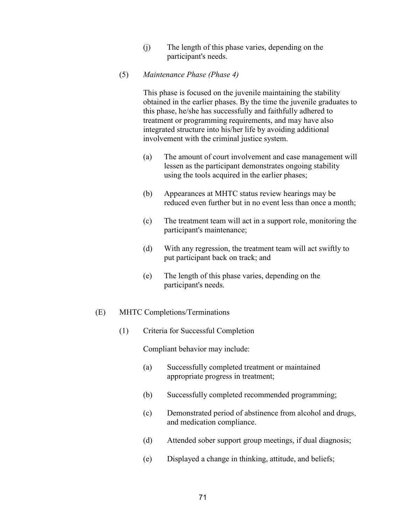- (j) The length of this phase varies, depending on the participant's needs.
- (5) *Maintenance Phase (Phase 4)*

This phase is focused on the juvenile maintaining the stability obtained in the earlier phases. By the time the juvenile graduates to this phase, he/she has successfully and faithfully adhered to treatment or programming requirements, and may have also integrated structure into his/her life by avoiding additional involvement with the criminal justice system.

- (a) The amount of court involvement and case management will lessen as the participant demonstrates ongoing stability using the tools acquired in the earlier phases;
- (b) Appearances at MHTC status review hearings may be reduced even further but in no event less than once a month;
- (c) The treatment team will act in a support role, monitoring the participant's maintenance;
- (d) With any regression, the treatment team will act swiftly to put participant back on track; and
- (e) The length of this phase varies, depending on the participant's needs.
- (E) MHTC Completions/Terminations
	- (1) Criteria for Successful Completion

Compliant behavior may include:

- (a) Successfully completed treatment or maintained appropriate progress in treatment;
- (b) Successfully completed recommended programming;
- (c) Demonstrated period of abstinence from alcohol and drugs, and medication compliance.
- (d) Attended sober support group meetings, if dual diagnosis;
- (e) Displayed a change in thinking, attitude, and beliefs;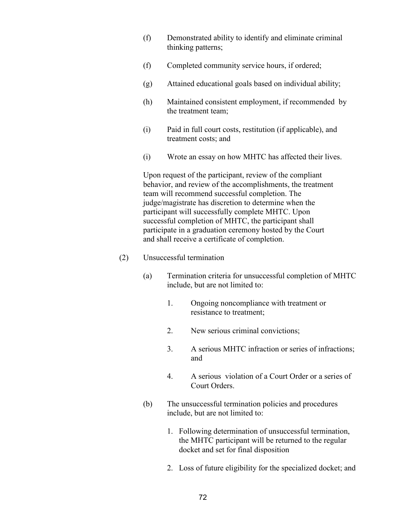- (f) Demonstrated ability to identify and eliminate criminal thinking patterns;
- (f) Completed community service hours, if ordered;
- (g) Attained educational goals based on individual ability;
- (h) Maintained consistent employment, if recommended by the treatment team;
- (i) Paid in full court costs, restitution (if applicable), and treatment costs; and
- (i) Wrote an essay on how MHTC has affected their lives.

Upon request of the participant, review of the compliant behavior, and review of the accomplishments, the treatment team will recommend successful completion. The judge/magistrate has discretion to determine when the participant will successfully complete MHTC. Upon successful completion of MHTC, the participant shall participate in a graduation ceremony hosted by the Court and shall receive a certificate of completion.

- (2) Unsuccessful termination
	- (a) Termination criteria for unsuccessful completion of MHTC include, but are not limited to:
		- 1. Ongoing noncompliance with treatment or resistance to treatment;
		- 2. New serious criminal convictions;
		- 3. A serious MHTC infraction or series of infractions; and
		- 4. A serious violation of a Court Order or a series of Court Orders.
	- (b) The unsuccessful termination policies and procedures include, but are not limited to:
		- 1. Following determination of unsuccessful termination, the MHTC participant will be returned to the regular docket and set for final disposition
		- 2. Loss of future eligibility for the specialized docket; and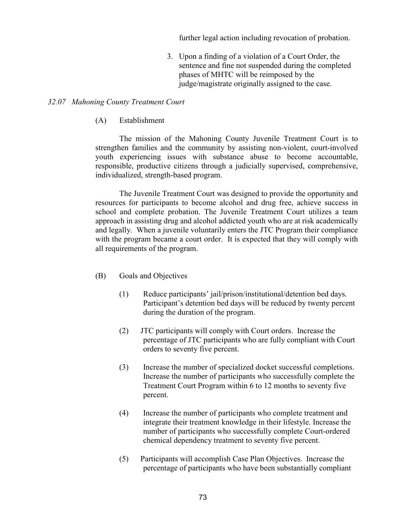further legal action including revocation of probation.

3. Upon a finding of a violation of a Court Order, the sentence and fine not suspended during the completed phases of MHTC will be reimposed by the judge/magistrate originally assigned to the case.

#### *32.07 Mahoning County Treatment Court*

#### (A) Establishment

The mission of the Mahoning County Juvenile Treatment Court is to strengthen families and the community by assisting non-violent, court-involved youth experiencing issues with substance abuse to become accountable, responsible, productive citizens through a judicially supervised, comprehensive, individualized, strength-based program.

The Juvenile Treatment Court was designed to provide the opportunity and resources for participants to become alcohol and drug free, achieve success in school and complete probation. The Juvenile Treatment Court utilizes a team approach in assisting drug and alcohol addicted youth who are at risk academically and legally. When a juvenile voluntarily enters the JTC Program their compliance with the program became a court order. It is expected that they will comply with all requirements of the program.

- (B) Goals and Objectives
	- (1) Reduce participants' jail/prison/institutional/detention bed days. Participant's detention bed days will be reduced by twenty percent during the duration of the program.
	- (2) JTC participants will comply with Court orders. Increase the percentage of JTC participants who are fully compliant with Court orders to seventy five percent.
	- (3) Increase the number of specialized docket successful completions. Increase the number of participants who successfully complete the Treatment Court Program within 6 to 12 months to seventy five percent.
	- (4) Increase the number of participants who complete treatment and integrate their treatment knowledge in their lifestyle. Increase the number of participants who successfully complete Court-ordered chemical dependency treatment to seventy five percent.
	- (5) Participants will accomplish Case Plan Objectives. Increase the percentage of participants who have been substantially compliant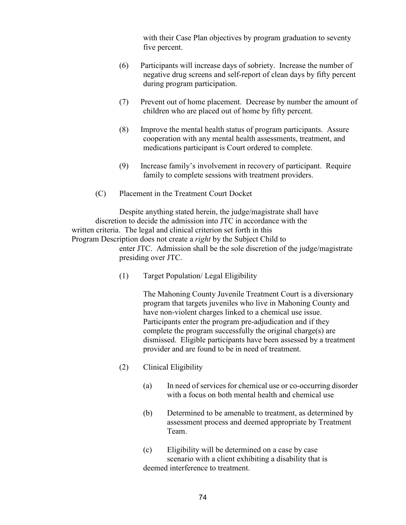with their Case Plan objectives by program graduation to seventy five percent.

- (6) Participants will increase days of sobriety. Increase the number of negative drug screens and self-report of clean days by fifty percent during program participation.
- (7) Prevent out of home placement. Decrease by number the amount of children who are placed out of home by fifty percent.
- (8) Improve the mental health status of program participants. Assure cooperation with any mental health assessments, treatment, and medications participant is Court ordered to complete.
- (9) Increase family's involvement in recovery of participant. Require family to complete sessions with treatment providers.
- (C) Placement in the Treatment Court Docket

Despite anything stated herein, the judge/magistrate shall have discretion to decide the admission into JTC in accordance with the written criteria. The legal and clinical criterion set forth in this Program Description does not create a *right* by the Subject Child to enter JTC. Admission shall be the sole discretion of the judge/magistrate presiding over JTC.

(1) Target Population/ Legal Eligibility

The Mahoning County Juvenile Treatment Court is a diversionary program that targets juveniles who live in Mahoning County and have non-violent charges linked to a chemical use issue. Participants enter the program pre-adjudication and if they complete the program successfully the original charge(s) are dismissed. Eligible participants have been assessed by a treatment provider and are found to be in need of treatment.

- (2) Clinical Eligibility
	- (a) In need of services for chemical use or co-occurring disorder with a focus on both mental health and chemical use
	- (b) Determined to be amenable to treatment, as determined by assessment process and deemed appropriate by Treatment Team.
	- (c) Eligibility will be determined on a case by case scenario with a client exhibiting a disability that is deemed interference to treatment.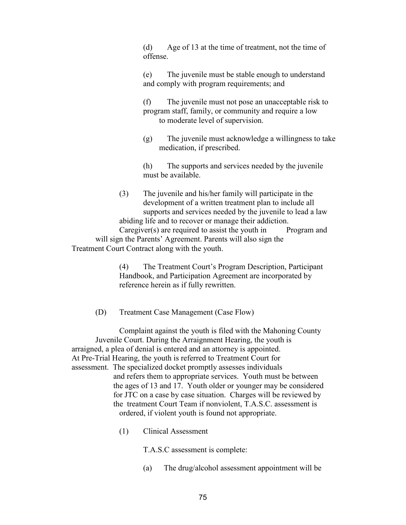(d) Age of 13 at the time of treatment, not the time of offense.

(e) The juvenile must be stable enough to understand and comply with program requirements; and

(f) The juvenile must not pose an unacceptable risk to program staff, family, or community and require a low to moderate level of supervision.

(g) The juvenile must acknowledge a willingness to take medication, if prescribed.

(h) The supports and services needed by the juvenile must be available.

 (3) The juvenile and his/her family will participate in the development of a written treatment plan to include all supports and services needed by the juvenile to lead a law abiding life and to recover or manage their addiction.

Caregiver(s) are required to assist the youth in Program and will sign the Parents' Agreement. Parents will also sign the Treatment Court Contract along with the youth.

> (4) The Treatment Court's Program Description, Participant Handbook, and Participation Agreement are incorporated by reference herein as if fully rewritten.

(D) Treatment Case Management (Case Flow)

Complaint against the youth is filed with the Mahoning County Juvenile Court. During the Arraignment Hearing, the youth is arraigned, a plea of denial is entered and an attorney is appointed. At Pre-Trial Hearing, the youth is referred to Treatment Court for assessment. The specialized docket promptly assesses individuals and refers them to appropriate services. Youth must be between

 the ages of 13 and 17. Youth older or younger may be considered for JTC on a case by case situation. Charges will be reviewed by the treatment Court Team if nonviolent, T.A.S.C. assessment is ordered, if violent youth is found not appropriate.

(1) Clinical Assessment

T.A.S.C assessment is complete:

(a) The drug/alcohol assessment appointment will be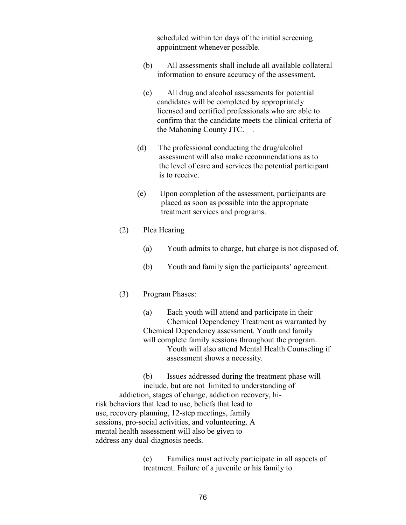scheduled within ten days of the initial screening appointment whenever possible.

- (b) All assessments shall include all available collateral information to ensure accuracy of the assessment.
- (c) All drug and alcohol assessments for potential candidates will be completed by appropriately licensed and certified professionals who are able to confirm that the candidate meets the clinical criteria of the Mahoning County JTC. .
- (d) The professional conducting the drug/alcohol assessment will also make recommendations as to the level of care and services the potential participant is to receive.
- (e) Upon completion of the assessment, participants are placed as soon as possible into the appropriate treatment services and programs.
- (2) Plea Hearing
	- (a) Youth admits to charge, but charge is not disposed of.
	- (b) Youth and family sign the participants' agreement.

#### (3) Program Phases:

(a) Each youth will attend and participate in their Chemical Dependency Treatment as warranted by Chemical Dependency assessment. Youth and family will complete family sessions throughout the program. Youth will also attend Mental Health Counseling if assessment shows a necessity.

(b) Issues addressed during the treatment phase will include, but are not limited to understanding of addiction, stages of change, addiction recovery, hirisk behaviors that lead to use, beliefs that lead to use, recovery planning, 12-step meetings, family sessions, pro-social activities, and volunteering. A mental health assessment will also be given to address any dual-diagnosis needs.

> (c) Families must actively participate in all aspects of treatment. Failure of a juvenile or his family to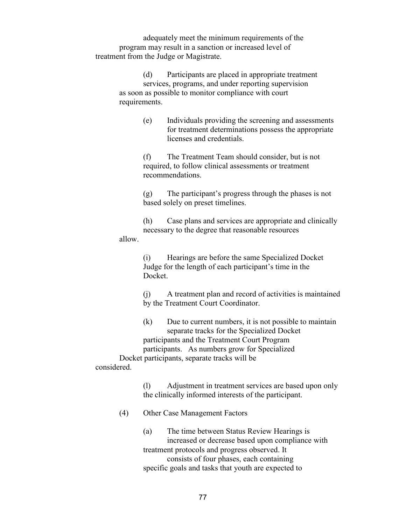adequately meet the minimum requirements of the program may result in a sanction or increased level of treatment from the Judge or Magistrate.

> (d) Participants are placed in appropriate treatment services, programs, and under reporting supervision as soon as possible to monitor compliance with court requirements.

> > (e) Individuals providing the screening and assessments for treatment determinations possess the appropriate licenses and credentials.

(f) The Treatment Team should consider, but is not required, to follow clinical assessments or treatment recommendations.

(g) The participant's progress through the phases is not based solely on preset timelines.

(h) Case plans and services are appropriate and clinically necessary to the degree that reasonable resources

allow.

(i) Hearings are before the same Specialized Docket Judge for the length of each participant's time in the Docket.

(j) A treatment plan and record of activities is maintained by the Treatment Court Coordinator.

(k) Due to current numbers, it is not possible to maintain separate tracks for the Specialized Docket participants and the Treatment Court Program

participants. As numbers grow for Specialized

Docket participants, separate tracks will be considered.

> (l) Adjustment in treatment services are based upon only the clinically informed interests of the participant.

#### (4) Other Case Management Factors

(a) The time between Status Review Hearings is increased or decrease based upon compliance with treatment protocols and progress observed. It consists of four phases, each containing specific goals and tasks that youth are expected to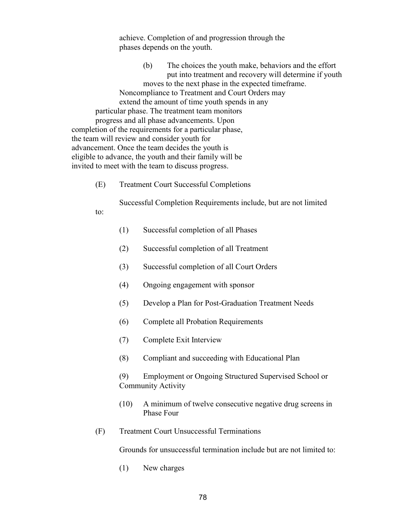achieve. Completion of and progression through the phases depends on the youth.

(b) The choices the youth make, behaviors and the effort put into treatment and recovery will determine if youth moves to the next phase in the expected timeframe. Noncompliance to Treatment and Court Orders may extend the amount of time youth spends in any particular phase. The treatment team monitors progress and all phase advancements. Upon completion of the requirements for a particular phase, the team will review and consider youth for advancement. Once the team decides the youth is eligible to advance, the youth and their family will be invited to meet with the team to discuss progress.

(E) Treatment Court Successful Completions

Successful Completion Requirements include, but are not limited

to:

- (1) Successful completion of all Phases
- (2) Successful completion of all Treatment
- (3) Successful completion of all Court Orders
- (4) Ongoing engagement with sponsor
- (5) Develop a Plan for Post-Graduation Treatment Needs
- (6) Complete all Probation Requirements
- (7) Complete Exit Interview
- (8) Compliant and succeeding with Educational Plan

(9) Employment or Ongoing Structured Supervised School or Community Activity

- (10) A minimum of twelve consecutive negative drug screens in Phase Four
- (F) Treatment Court Unsuccessful Terminations

Grounds for unsuccessful termination include but are not limited to:

(1) New charges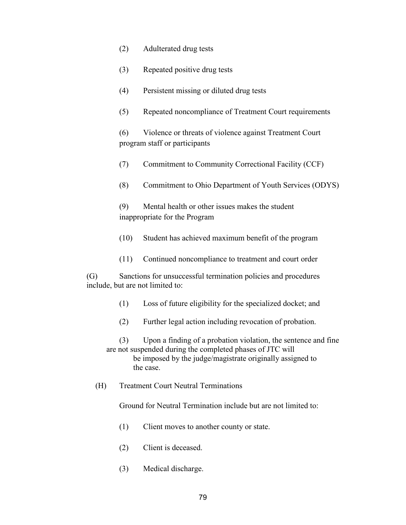- (2) Adulterated drug tests
- (3) Repeated positive drug tests
- (4) Persistent missing or diluted drug tests
- (5) Repeated noncompliance of Treatment Court requirements

(6) Violence or threats of violence against Treatment Court program staff or participants

- (7) Commitment to Community Correctional Facility (CCF)
- (8) Commitment to Ohio Department of Youth Services (ODYS)

(9) Mental health or other issues makes the student inappropriate for the Program

- (10) Student has achieved maximum benefit of the program
- (11) Continued noncompliance to treatment and court order

(G) Sanctions for unsuccessful termination policies and procedures include, but are not limited to:

- (1) Loss of future eligibility for the specialized docket; and
- (2) Further legal action including revocation of probation.

(3) Upon a finding of a probation violation, the sentence and fine are not suspended during the completed phases of JTC will be imposed by the judge/magistrate originally assigned to the case.

(H) Treatment Court Neutral Terminations

Ground for Neutral Termination include but are not limited to:

- (1) Client moves to another county or state.
- (2) Client is deceased.
- (3) Medical discharge.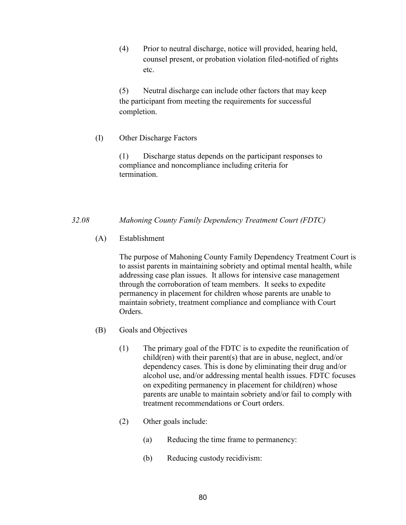(4) Prior to neutral discharge, notice will provided, hearing held, counsel present, or probation violation filed-notified of rights etc.

(5) Neutral discharge can include other factors that may keep the participant from meeting the requirements for successful completion.

(I) Other Discharge Factors

(1) Discharge status depends on the participant responses to compliance and noncompliance including criteria for termination.

### *32.08 Mahoning County Family Dependency Treatment Court (FDTC)*

(A) Establishment

The purpose of Mahoning County Family Dependency Treatment Court is to assist parents in maintaining sobriety and optimal mental health, while addressing case plan issues. It allows for intensive case management through the corroboration of team members. It seeks to expedite permanency in placement for children whose parents are unable to maintain sobriety, treatment compliance and compliance with Court Orders.

- (B) Goals and Objectives
	- (1) The primary goal of the FDTC is to expedite the reunification of child(ren) with their parent(s) that are in abuse, neglect, and/or dependency cases. This is done by eliminating their drug and/or alcohol use, and/or addressing mental health issues. FDTC focuses on expediting permanency in placement for child(ren) whose parents are unable to maintain sobriety and/or fail to comply with treatment recommendations or Court orders.
	- (2) Other goals include:
		- (a) Reducing the time frame to permanency:
		- (b) Reducing custody recidivism: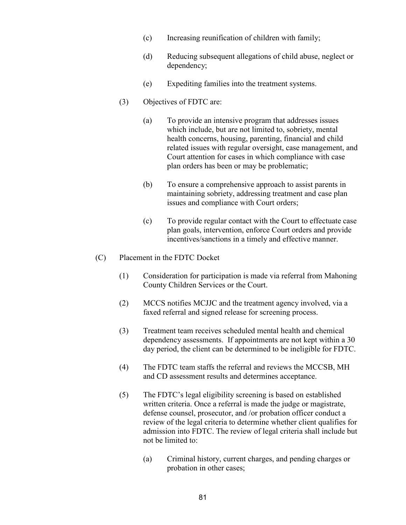- (c) Increasing reunification of children with family;
- (d) Reducing subsequent allegations of child abuse, neglect or dependency;
- (e) Expediting families into the treatment systems.
- (3) Objectives of FDTC are:
	- (a) To provide an intensive program that addresses issues which include, but are not limited to, sobriety, mental health concerns, housing, parenting, financial and child related issues with regular oversight, case management, and Court attention for cases in which compliance with case plan orders has been or may be problematic;
	- (b) To ensure a comprehensive approach to assist parents in maintaining sobriety, addressing treatment and case plan issues and compliance with Court orders;
	- (c) To provide regular contact with the Court to effectuate case plan goals, intervention, enforce Court orders and provide incentives/sanctions in a timely and effective manner.

#### (C) Placement in the FDTC Docket

- (1) Consideration for participation is made via referral from Mahoning County Children Services or the Court.
- (2) MCCS notifies MCJJC and the treatment agency involved, via a faxed referral and signed release for screening process.
- (3) Treatment team receives scheduled mental health and chemical dependency assessments. If appointments are not kept within a 30 day period, the client can be determined to be ineligible for FDTC.
- (4) The FDTC team staffs the referral and reviews the MCCSB, MH and CD assessment results and determines acceptance.
- (5) The FDTC's legal eligibility screening is based on established written criteria. Once a referral is made the judge or magistrate, defense counsel, prosecutor, and /or probation officer conduct a review of the legal criteria to determine whether client qualifies for admission into FDTC. The review of legal criteria shall include but not be limited to:
	- (a) Criminal history, current charges, and pending charges or probation in other cases;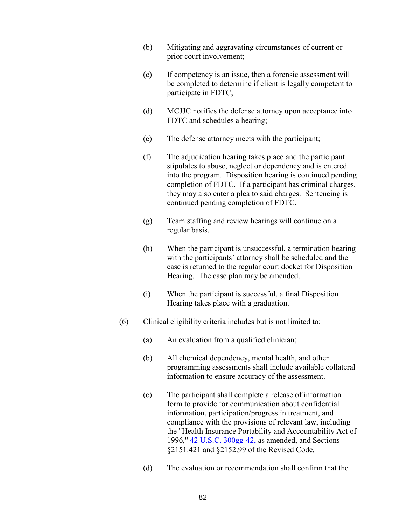- (b) Mitigating and aggravating circumstances of current or prior court involvement;
- (c) If competency is an issue, then a forensic assessment will be completed to determine if client is legally competent to participate in FDTC;
- (d) MCJJC notifies the defense attorney upon acceptance into FDTC and schedules a hearing;
- (e) The defense attorney meets with the participant;
- (f) The adjudication hearing takes place and the participant stipulates to abuse, neglect or dependency and is entered into the program. Disposition hearing is continued pending completion of FDTC. If a participant has criminal charges, they may also enter a plea to said charges. Sentencing is continued pending completion of FDTC.
- (g) Team staffing and review hearings will continue on a regular basis.
- (h) When the participant is unsuccessful, a termination hearing with the participants' attorney shall be scheduled and the case is returned to the regular court docket for Disposition Hearing. The case plan may be amended.
- (i) When the participant is successful, a final Disposition Hearing takes place with a graduation.
- (6) Clinical eligibility criteria includes but is not limited to:
	- (a) An evaluation from a qualified clinician;
	- (b) All chemical dependency, mental health, and other programming assessments shall include available collateral information to ensure accuracy of the assessment.
	- (c) The participant shall complete a release of information form to provide for communication about confidential information, participation/progress in treatment, and compliance with the provisions of relevant law, including the "Health Insurance Portability and Accountability Act of 1996," [42 U.S.C. 300gg-42,](https://www.lexis.com/research/buttonTFLink?_m=bd969a662c212e2270d2390b05f79ce1&_xfercite=%3ccite%20cc%3d%22USA%22%3e%3c%21%5bCDATA%5bORC%20Ann.%201751.18%5d%5d%3e%3c%2fcite%3e&_butType=4&_butStat=0&_butNum=6&_butInline=1&_butinfo=42%20USC%20300GG-42&_fmtstr=FULL&docnum=4&_startdoc=1&wchp=dGLbVlb-zSkAB&_md5=187130a68e75a7f513a7565fff2f4b39) as amended, and Sections §2151.421 and §2152.99 of the Revised Code*.*
	- (d) The evaluation or recommendation shall confirm that the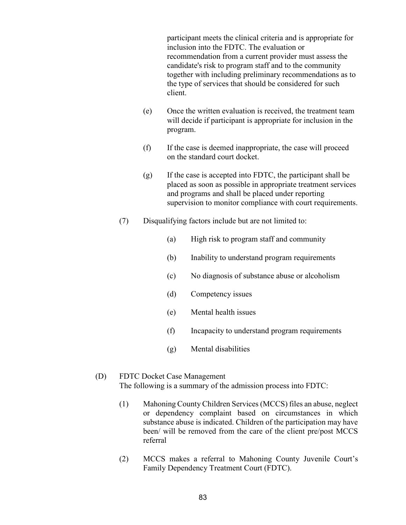participant meets the clinical criteria and is appropriate for inclusion into the FDTC. The evaluation or recommendation from a current provider must assess the candidate's risk to program staff and to the community together with including preliminary recommendations as to the type of services that should be considered for such client.

- (e) Once the written evaluation is received, the treatment team will decide if participant is appropriate for inclusion in the program.
- (f) If the case is deemed inappropriate, the case will proceed on the standard court docket.
- (g) If the case is accepted into FDTC, the participant shall be placed as soon as possible in appropriate treatment services and programs and shall be placed under reporting supervision to monitor compliance with court requirements.
- (7) Disqualifying factors include but are not limited to:
	- (a) High risk to program staff and community
	- (b) Inability to understand program requirements
	- (c) No diagnosis of substance abuse or alcoholism
	- (d) Competency issues
	- (e) Mental health issues
	- (f) Incapacity to understand program requirements
	- (g) Mental disabilities
- (D) FDTC Docket Case Management The following is a summary of the admission process into FDTC:
	- (1) Mahoning County Children Services (MCCS) files an abuse, neglect or dependency complaint based on circumstances in which substance abuse is indicated. Children of the participation may have been/ will be removed from the care of the client pre/post MCCS referral
	- (2) MCCS makes a referral to Mahoning County Juvenile Court's Family Dependency Treatment Court (FDTC).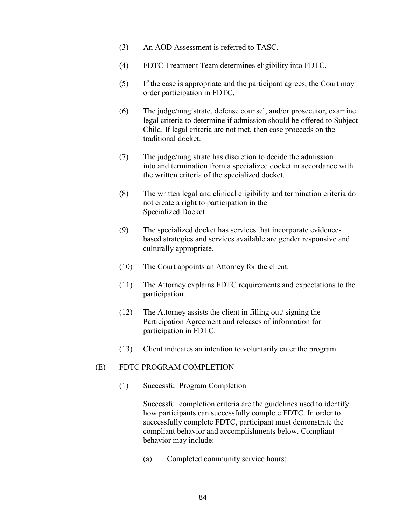- (3) An AOD Assessment is referred to TASC.
- (4) FDTC Treatment Team determines eligibility into FDTC.
- (5) If the case is appropriate and the participant agrees, the Court may order participation in FDTC.
- (6) The judge/magistrate, defense counsel, and/or prosecutor, examine legal criteria to determine if admission should be offered to Subject Child. If legal criteria are not met, then case proceeds on the traditional docket.
- (7) The judge/magistrate has discretion to decide the admission into and termination from a specialized docket in accordance with the written criteria of the specialized docket.
- (8) The written legal and clinical eligibility and termination criteria do not create a right to participation in the Specialized Docket
- (9) The specialized docket has services that incorporate evidencebased strategies and services available are gender responsive and culturally appropriate.
- (10) The Court appoints an Attorney for the client.
- (11) The Attorney explains FDTC requirements and expectations to the participation.
- (12) The Attorney assists the client in filling out/ signing the Participation Agreement and releases of information for participation in FDTC.
- (13) Client indicates an intention to voluntarily enter the program.

#### (E) FDTC PROGRAM COMPLETION

(1) Successful Program Completion

Successful completion criteria are the guidelines used to identify how participants can successfully complete FDTC. In order to successfully complete FDTC, participant must demonstrate the compliant behavior and accomplishments below. Compliant behavior may include:

(a) Completed community service hours;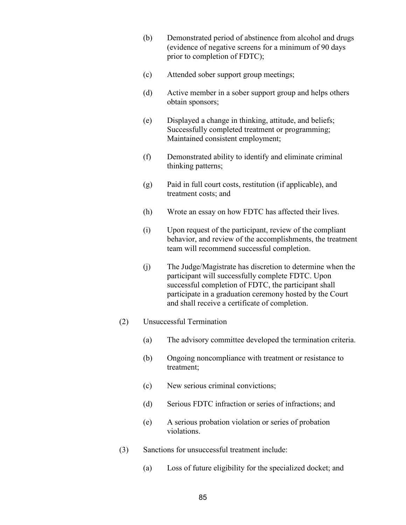- (b) Demonstrated period of abstinence from alcohol and drugs (evidence of negative screens for a minimum of 90 days prior to completion of FDTC);
- (c) Attended sober support group meetings;
- (d) Active member in a sober support group and helps others obtain sponsors;
- (e) Displayed a change in thinking, attitude, and beliefs; Successfully completed treatment or programming; Maintained consistent employment;
- (f) Demonstrated ability to identify and eliminate criminal thinking patterns;
- (g) Paid in full court costs, restitution (if applicable), and treatment costs; and
- (h) Wrote an essay on how FDTC has affected their lives.
- (i) Upon request of the participant, review of the compliant behavior, and review of the accomplishments, the treatment team will recommend successful completion.
- (j) The Judge/Magistrate has discretion to determine when the participant will successfully complete FDTC. Upon successful completion of FDTC, the participant shall participate in a graduation ceremony hosted by the Court and shall receive a certificate of completion.

### (2) Unsuccessful Termination

- (a) The advisory committee developed the termination criteria.
- (b) Ongoing noncompliance with treatment or resistance to treatment;
- (c) New serious criminal convictions;
- (d) Serious FDTC infraction or series of infractions; and
- (e) A serious probation violation or series of probation violations.
- (3) Sanctions for unsuccessful treatment include:
	- (a) Loss of future eligibility for the specialized docket; and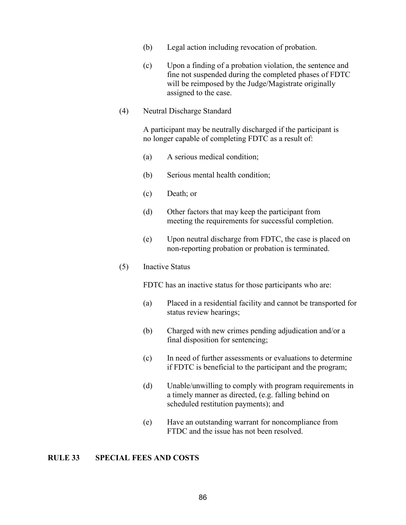- (b) Legal action including revocation of probation.
- (c) Upon a finding of a probation violation, the sentence and fine not suspended during the completed phases of FDTC will be reimposed by the Judge/Magistrate originally assigned to the case.
- (4) Neutral Discharge Standard

A participant may be neutrally discharged if the participant is no longer capable of completing FDTC as a result of:

- (a) A serious medical condition;
- (b) Serious mental health condition;
- (c) Death; or
- (d) Other factors that may keep the participant from meeting the requirements for successful completion.
- (e) Upon neutral discharge from FDTC, the case is placed on non-reporting probation or probation is terminated.
- (5) Inactive Status

FDTC has an inactive status for those participants who are:

- (a) Placed in a residential facility and cannot be transported for status review hearings;
- (b) Charged with new crimes pending adjudication and/or a final disposition for sentencing;
- (c) In need of further assessments or evaluations to determine if FDTC is beneficial to the participant and the program;
- (d) Unable/unwilling to comply with program requirements in a timely manner as directed, (e.g. falling behind on scheduled restitution payments); and
- (e) Have an outstanding warrant for noncompliance from FTDC and the issue has not been resolved.

#### **RULE 33 SPECIAL FEES AND COSTS**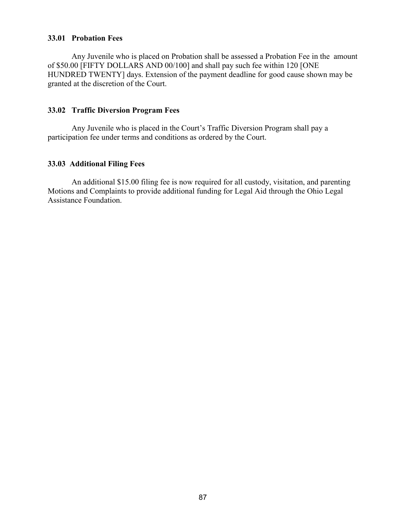#### **33.01 Probation Fees**

Any Juvenile who is placed on Probation shall be assessed a Probation Fee in the amount of \$50.00 [FIFTY DOLLARS AND 00/100] and shall pay such fee within 120 [ONE HUNDRED TWENTY] days. Extension of the payment deadline for good cause shown may be granted at the discretion of the Court.

#### **33.02 Traffic Diversion Program Fees**

Any Juvenile who is placed in the Court's Traffic Diversion Program shall pay a participation fee under terms and conditions as ordered by the Court.

### **33.03 Additional Filing Fees**

An additional \$15.00 filing fee is now required for all custody, visitation, and parenting Motions and Complaints to provide additional funding for Legal Aid through the Ohio Legal Assistance Foundation.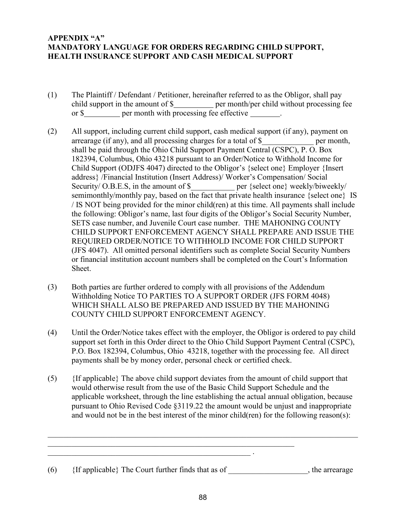# **APPENDIX "A" MANDATORY LANGUAGE FOR ORDERS REGARDING CHILD SUPPORT, HEALTH INSURANCE SUPPORT AND CASH MEDICAL SUPPORT**

- (1) The Plaintiff / Defendant / Petitioner, hereinafter referred to as the Obligor, shall pay child support in the amount of  $\S$  per month/per child without processing fee or \$ per month with processing fee effective .
- (2) All support, including current child support, cash medical support (if any), payment on arrearage (if any), and all processing charges for a total of  $\$ shall be paid through the Ohio Child Support Payment Central (CSPC), P. O. Box 182394, Columbus, Ohio 43218 pursuant to an Order/Notice to Withhold Income for Child Support (ODJFS 4047) directed to the Obligor's {select one} Employer {Insert address} /Financial Institution (Insert Address)/ Worker's Compensation/ Social Security/ O.B.E.S, in the amount of \$\_\_\_\_\_\_\_\_\_\_\_ per {select one} weekly/biweekly/ semimonthly/monthly pay, based on the fact that private health insurance {select one} IS / IS NOT being provided for the minor child(ren) at this time. All payments shall include the following: Obligor's name, last four digits of the Obligor's Social Security Number, SETS case number, and Juvenile Court case number. THE MAHONING COUNTY CHILD SUPPORT ENFORCEMENT AGENCY SHALL PREPARE AND ISSUE THE REQUIRED ORDER/NOTICE TO WITHHOLD INCOME FOR CHILD SUPPORT (JFS 4047). All omitted personal identifiers such as complete Social Security Numbers or financial institution account numbers shall be completed on the Court's Information Sheet.
- (3) Both parties are further ordered to comply with all provisions of the Addendum Withholding Notice TO PARTIES TO A SUPPORT ORDER (JFS FORM 4048) WHICH SHALL ALSO BE PREPARED AND ISSUED BY THE MAHONING COUNTY CHILD SUPPORT ENFORCEMENT AGENCY.
- (4) Until the Order/Notice takes effect with the employer, the Obligor is ordered to pay child support set forth in this Order direct to the Ohio Child Support Payment Central (CSPC), P.O. Box 182394, Columbus, Ohio 43218, together with the processing fee. All direct payments shall be by money order, personal check or certified check.
- (5) {If applicable} The above child support deviates from the amount of child support that would otherwise result from the use of the Basic Child Support Schedule and the applicable worksheet, through the line establishing the actual annual obligation, because pursuant to Ohio Revised Code §3119.22 the amount would be unjust and inappropriate and would not be in the best interest of the minor child(ren) for the following reason(s):

(6) {If applicable} The Court further finds that as of \_\_\_\_\_\_\_\_\_\_\_\_\_\_\_\_, the arrearage

 $\frac{1}{2}$  . The set of  $\frac{1}{2}$  ,  $\frac{1}{2}$  ,  $\frac{1}{2}$  ,  $\frac{1}{2}$ 

\_\_\_\_\_\_\_\_\_\_\_\_\_\_\_\_\_\_\_\_\_\_\_\_\_\_\_\_\_\_\_\_\_\_\_\_\_\_\_\_\_\_\_\_\_\_\_\_\_\_\_\_\_\_\_\_\_\_\_\_\_\_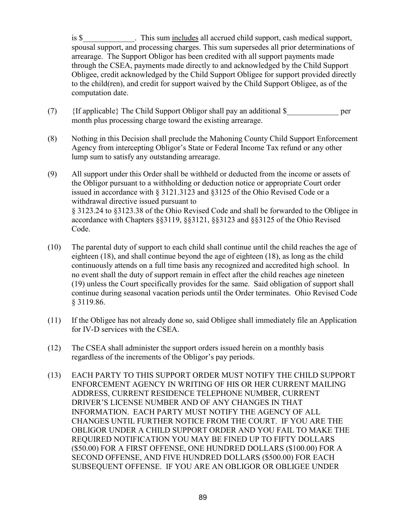is \$ This sum includes all accrued child support, cash medical support, spousal support, and processing charges. This sum supersedes all prior determinations of arrearage. The Support Obligor has been credited with all support payments made through the CSEA, payments made directly to and acknowledged by the Child Support Obligee, credit acknowledged by the Child Support Obligee for support provided directly to the child(ren), and credit for support waived by the Child Support Obligee, as of the computation date.

- (7) {If applicable} The Child Support Obligor shall pay an additional \$ per month plus processing charge toward the existing arrearage.
- (8) Nothing in this Decision shall preclude the Mahoning County Child Support Enforcement Agency from intercepting Obligor's State or Federal Income Tax refund or any other lump sum to satisfy any outstanding arrearage.
- (9) All support under this Order shall be withheld or deducted from the income or assets of the Obligor pursuant to a withholding or deduction notice or appropriate Court order issued in accordance with § 3121.3123 and §3125 of the Ohio Revised Code or a withdrawal directive issued pursuant to § 3123.24 to §3123.38 of the Ohio Revised Code and shall be forwarded to the Obligee in accordance with Chapters §§3119, §§3121, §§3123 and §§3125 of the Ohio Revised Code.
- (10) The parental duty of support to each child shall continue until the child reaches the age of eighteen (18), and shall continue beyond the age of eighteen (18), as long as the child continuously attends on a full time basis any recognized and accredited high school. In no event shall the duty of support remain in effect after the child reaches age nineteen (19) unless the Court specifically provides for the same. Said obligation of support shall continue during seasonal vacation periods until the Order terminates. Ohio Revised Code § 3119.86.
- (11) If the Obligee has not already done so, said Obligee shall immediately file an Application for IV-D services with the CSEA.
- (12) The CSEA shall administer the support orders issued herein on a monthly basis regardless of the increments of the Obligor's pay periods.
- (13) EACH PARTY TO THIS SUPPORT ORDER MUST NOTIFY THE CHILD SUPPORT ENFORCEMENT AGENCY IN WRITING OF HIS OR HER CURRENT MAILING ADDRESS, CURRENT RESIDENCE TELEPHONE NUMBER, CURRENT DRIVER'S LICENSE NUMBER AND OF ANY CHANGES IN THAT INFORMATION. EACH PARTY MUST NOTIFY THE AGENCY OF ALL CHANGES UNTIL FURTHER NOTICE FROM THE COURT. IF YOU ARE THE OBLIGOR UNDER A CHILD SUPPORT ORDER AND YOU FAIL TO MAKE THE REQUIRED NOTIFICATION YOU MAY BE FINED UP TO FIFTY DOLLARS (\$50.00) FOR A FIRST OFFENSE, ONE HUNDRED DOLLARS (\$100.00) FOR A SECOND OFFENSE, AND FIVE HUNDRED DOLLARS (\$500.00) FOR EACH SUBSEQUENT OFFENSE. IF YOU ARE AN OBLIGOR OR OBLIGEE UNDER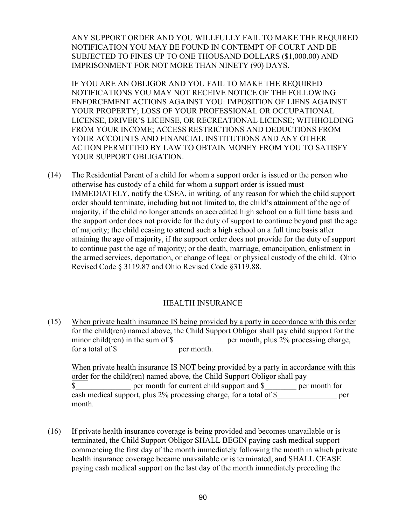ANY SUPPORT ORDER AND YOU WILLFULLY FAIL TO MAKE THE REQUIRED NOTIFICATION YOU MAY BE FOUND IN CONTEMPT OF COURT AND BE SUBJECTED TO FINES UP TO ONE THOUSAND DOLLARS (\$1,000.00) AND IMPRISONMENT FOR NOT MORE THAN NINETY (90) DAYS.

IF YOU ARE AN OBLIGOR AND YOU FAIL TO MAKE THE REQUIRED NOTIFICATIONS YOU MAY NOT RECEIVE NOTICE OF THE FOLLOWING ENFORCEMENT ACTIONS AGAINST YOU: IMPOSITION OF LIENS AGAINST YOUR PROPERTY; LOSS OF YOUR PROFESSIONAL OR OCCUPATIONAL LICENSE, DRIVER'S LICENSE, OR RECREATIONAL LICENSE; WITHHOLDING FROM YOUR INCOME; ACCESS RESTRICTIONS AND DEDUCTIONS FROM YOUR ACCOUNTS AND FINANCIAL INSTITUTIONS AND ANY OTHER ACTION PERMITTED BY LAW TO OBTAIN MONEY FROM YOU TO SATISFY YOUR SUPPORT OBLIGATION.

(14) The Residential Parent of a child for whom a support order is issued or the person who otherwise has custody of a child for whom a support order is issued must IMMEDIATELY, notify the CSEA, in writing, of any reason for which the child support order should terminate, including but not limited to, the child's attainment of the age of majority, if the child no longer attends an accredited high school on a full time basis and the support order does not provide for the duty of support to continue beyond past the age of majority; the child ceasing to attend such a high school on a full time basis after attaining the age of majority, if the support order does not provide for the duty of support to continue past the age of majority; or the death, marriage, emancipation, enlistment in the armed services, deportation, or change of legal or physical custody of the child. Ohio Revised Code § 3119.87 and Ohio Revised Code §3119.88.

# HEALTH INSURANCE

(15) When private health insurance IS being provided by a party in accordance with this order for the child(ren) named above, the Child Support Obligor shall pay child support for the minor child(ren) in the sum of  $\$  per month, plus 2% processing charge, for a total of \$ per month.

When private health insurance IS NOT being provided by a party in accordance with this order for the child(ren) named above, the Child Support Obligor shall pay \$\_\_\_\_\_\_\_\_\_\_\_\_\_\_ per month for current child support and \$\_\_\_\_\_\_\_\_ per month for cash medical support, plus 2% processing charge, for a total of \$ per month.

(16) If private health insurance coverage is being provided and becomes unavailable or is terminated, the Child Support Obligor SHALL BEGIN paying cash medical support commencing the first day of the month immediately following the month in which private health insurance coverage became unavailable or is terminated, and SHALL CEASE paying cash medical support on the last day of the month immediately preceding the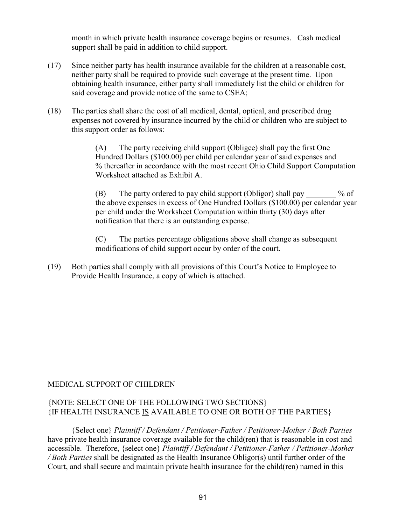month in which private health insurance coverage begins or resumes. Cash medical support shall be paid in addition to child support.

- (17) Since neither party has health insurance available for the children at a reasonable cost, neither party shall be required to provide such coverage at the present time. Upon obtaining health insurance, either party shall immediately list the child or children for said coverage and provide notice of the same to CSEA;
- (18) The parties shall share the cost of all medical, dental, optical, and prescribed drug expenses not covered by insurance incurred by the child or children who are subject to this support order as follows:

(A) The party receiving child support (Obligee) shall pay the first One Hundred Dollars (\$100.00) per child per calendar year of said expenses and % thereafter in accordance with the most recent Ohio Child Support Computation Worksheet attached as Exhibit A.

(B) The party ordered to pay child support (Obligor) shall pay  $\%$  of the above expenses in excess of One Hundred Dollars (\$100.00) per calendar year per child under the Worksheet Computation within thirty (30) days after notification that there is an outstanding expense.

(C) The parties percentage obligations above shall change as subsequent modifications of child support occur by order of the court.

(19) Both parties shall comply with all provisions of this Court's Notice to Employee to Provide Health Insurance, a copy of which is attached.

### MEDICAL SUPPORT OF CHILDREN

### {NOTE: SELECT ONE OF THE FOLLOWING TWO SECTIONS} {IF HEALTH INSURANCE IS AVAILABLE TO ONE OR BOTH OF THE PARTIES}

{Select one} *Plaintiff / Defendant / Petitioner-Father / Petitioner-Mother / Both Parties*  have private health insurance coverage available for the child(ren) that is reasonable in cost and accessible. Therefore, {select one} *Plaintiff / Defendant / Petitioner-Father / Petitioner-Mother / Both Parties* shall be designated as the Health Insurance Obligor(s) until further order of the Court, and shall secure and maintain private health insurance for the child(ren) named in this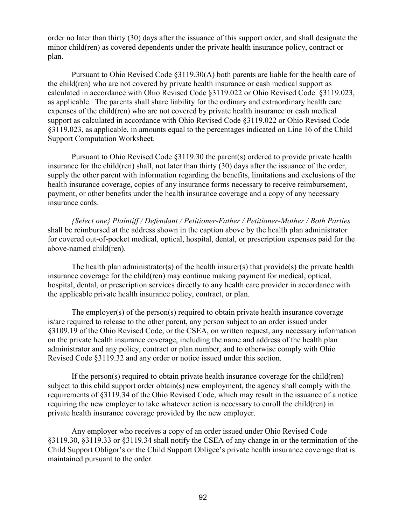order no later than thirty (30) days after the issuance of this support order, and shall designate the minor child(ren) as covered dependents under the private health insurance policy, contract or plan.

Pursuant to Ohio Revised Code §3119.30(A) both parents are liable for the health care of the child(ren) who are not covered by private health insurance or cash medical support as calculated in accordance with Ohio Revised Code §3119.022 or Ohio Revised Code §3119.023, as applicable. The parents shall share liability for the ordinary and extraordinary health care expenses of the child(ren) who are not covered by private health insurance or cash medical support as calculated in accordance with Ohio Revised Code §3119.022 or Ohio Revised Code §3119.023, as applicable, in amounts equal to the percentages indicated on Line 16 of the Child Support Computation Worksheet.

Pursuant to Ohio Revised Code §3119.30 the parent(s) ordered to provide private health insurance for the child(ren) shall, not later than thirty (30) days after the issuance of the order, supply the other parent with information regarding the benefits, limitations and exclusions of the health insurance coverage, copies of any insurance forms necessary to receive reimbursement, payment, or other benefits under the health insurance coverage and a copy of any necessary insurance cards.

*{Select one} Plaintiff / Defendant / Petitioner-Father / Petitioner-Mother / Both Parties* shall be reimbursed at the address shown in the caption above by the health plan administrator for covered out-of-pocket medical, optical, hospital, dental, or prescription expenses paid for the above-named child(ren).

The health plan administrator(s) of the health insurer(s) that provide(s) the private health insurance coverage for the child(ren) may continue making payment for medical, optical, hospital, dental, or prescription services directly to any health care provider in accordance with the applicable private health insurance policy, contract, or plan.

The employer(s) of the person(s) required to obtain private health insurance coverage is/are required to release to the other parent, any person subject to an order issued under §3109.19 of the Ohio Revised Code, or the CSEA, on written request, any necessary information on the private health insurance coverage, including the name and address of the health plan administrator and any policy, contract or plan number, and to otherwise comply with Ohio Revised Code §3119.32 and any order or notice issued under this section.

If the person(s) required to obtain private health insurance coverage for the child(ren) subject to this child support order obtain(s) new employment, the agency shall comply with the requirements of §3119.34 of the Ohio Revised Code, which may result in the issuance of a notice requiring the new employer to take whatever action is necessary to enroll the child(ren) in private health insurance coverage provided by the new employer.

Any employer who receives a copy of an order issued under Ohio Revised Code §3119.30, §3119.33 or §3119.34 shall notify the CSEA of any change in or the termination of the Child Support Obligor's or the Child Support Obligee's private health insurance coverage that is maintained pursuant to the order.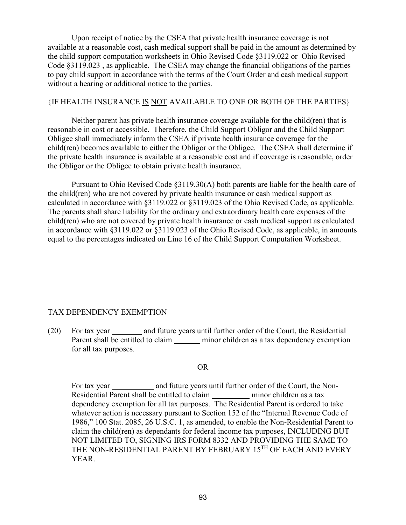Upon receipt of notice by the CSEA that private health insurance coverage is not available at a reasonable cost, cash medical support shall be paid in the amount as determined by the child support computation worksheets in Ohio Revised Code §3119.022 or Ohio Revised Code §3119.023 , as applicable. The CSEA may change the financial obligations of the parties to pay child support in accordance with the terms of the Court Order and cash medical support without a hearing or additional notice to the parties.

#### {IF HEALTH INSURANCE IS NOT AVAILABLE TO ONE OR BOTH OF THE PARTIES}

Neither parent has private health insurance coverage available for the child(ren) that is reasonable in cost or accessible. Therefore, the Child Support Obligor and the Child Support Obligee shall immediately inform the CSEA if private health insurance coverage for the child(ren) becomes available to either the Obligor or the Obligee. The CSEA shall determine if the private health insurance is available at a reasonable cost and if coverage is reasonable, order the Obligor or the Obligee to obtain private health insurance.

Pursuant to Ohio Revised Code §3119.30(A) both parents are liable for the health care of the child(ren) who are not covered by private health insurance or cash medical support as calculated in accordance with §3119.022 or §3119.023 of the Ohio Revised Code, as applicable. The parents shall share liability for the ordinary and extraordinary health care expenses of the child(ren) who are not covered by private health insurance or cash medical support as calculated in accordance with §3119.022 or §3119.023 of the Ohio Revised Code, as applicable, in amounts equal to the percentages indicated on Line 16 of the Child Support Computation Worksheet.

# TAX DEPENDENCY EXEMPTION

(20) For tax year and future years until further order of the Court, the Residential Parent shall be entitled to claim minor children as a tax dependency exemption for all tax purposes.

### OR

For tax year and future years until further order of the Court, the Non-Residential Parent shall be entitled to claim minor children as a tax dependency exemption for all tax purposes. The Residential Parent is ordered to take whatever action is necessary pursuant to Section 152 of the "Internal Revenue Code of 1986," 100 Stat. 2085, 26 U.S.C. 1, as amended, to enable the Non-Residential Parent to claim the child(ren) as dependants for federal income tax purposes, INCLUDING BUT NOT LIMITED TO, SIGNING IRS FORM 8332 AND PROVIDING THE SAME TO THE NON-RESIDENTIAL PARENT BY FEBRUARY 15TH OF EACH AND EVERY YEAR.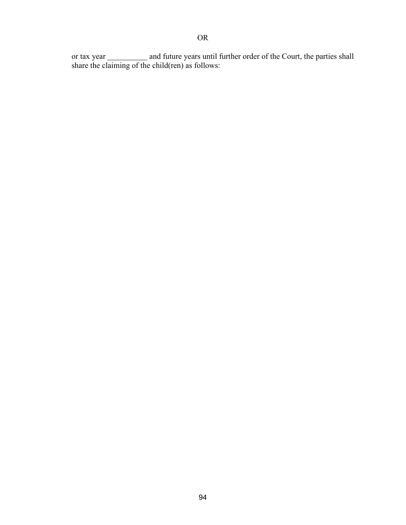or tax year \_\_\_\_\_\_\_\_\_\_\_\_ and future years until further order of the Court, the parties shall share the claiming of the child(ren) as follows: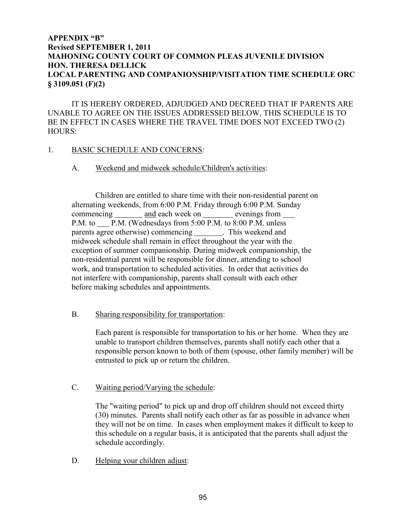# **APPENDIX "B" Revised SEPTEMBER 1, 2011 MAHONING COUNTY COURT OF COMMON PLEAS JUVENILE DIVISION HON. THERESA DELLICK LOCAL PARENTING AND COMPANIONSHIP/VISITATION TIME SCHEDULE ORC § 3109.051 (F)(2)**

IT IS HEREBY ORDERED, ADJUDGED AND DECREED THAT IF PARENTS ARE UNABLE TO AGREE ON THE ISSUES ADDRESSED BELOW, THIS SCHEDULE IS TO BE IN EFFECT IN CASES WHERE THE TRAVEL TIME DOES NOT EXCEED TWO (2) HOURS:

### 1. BASIC SCHEDULE AND CONCERNS:

A. Weekend and midweek schedule/Children's activities:

Children are entitled to share time with their non-residential parent on alternating weekends, from 6:00 P.M. Friday through 6:00 P.M. Sunday commencing and each week on evenings from P.M. to P.M. (Wednesdays from 5:00 P.M. to 8:00 P.M. unless parents agree otherwise) commencing . This weekend and midweek schedule shall remain in effect throughout the year with the exception of summer companionship. During midweek companionship, the non-residential parent will be responsible for dinner, attending to school work, and transportation to scheduled activities. In order that activities do not interfere with companionship, parents shall consult with each other before making schedules and appointments.

### B. Sharing responsibility for transportation:

Each parent is responsible for transportation to his or her home. When they are unable to transport children themselves, parents shall notify each other that a responsible person known to both of them (spouse, other family member) will be entrusted to pick up or return the children.

# C. Waiting period/Varying the schedule:

The "waiting period" to pick up and drop off children should not exceed thirty (30) minutes. Parents shall notify each other as far as possible in advance when they will not be on time. In cases when employment makes it difficult to keep to this schedule on a regular basis, it is anticipated that the parents shall adjust the schedule accordingly.

D. Helping your children adjust: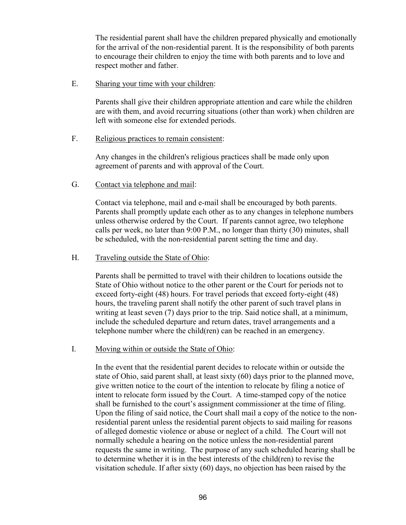The residential parent shall have the children prepared physically and emotionally for the arrival of the non-residential parent. It is the responsibility of both parents to encourage their children to enjoy the time with both parents and to love and respect mother and father.

### E. Sharing your time with your children:

Parents shall give their children appropriate attention and care while the children are with them, and avoid recurring situations (other than work) when children are left with someone else for extended periods.

### F. Religious practices to remain consistent:

Any changes in the children's religious practices shall be made only upon agreement of parents and with approval of the Court.

### G. Contact via telephone and mail:

Contact via telephone, mail and e-mail shall be encouraged by both parents. Parents shall promptly update each other as to any changes in telephone numbers unless otherwise ordered by the Court. If parents cannot agree, two telephone calls per week, no later than 9:00 P.M., no longer than thirty (30) minutes, shall be scheduled, with the non-residential parent setting the time and day.

#### H. Traveling outside the State of Ohio:

Parents shall be permitted to travel with their children to locations outside the State of Ohio without notice to the other parent or the Court for periods not to exceed forty-eight (48) hours. For travel periods that exceed forty-eight (48) hours, the traveling parent shall notify the other parent of such travel plans in writing at least seven (7) days prior to the trip. Said notice shall, at a minimum, include the scheduled departure and return dates, travel arrangements and a telephone number where the child(ren) can be reached in an emergency.

#### I. Moving within or outside the State of Ohio:

In the event that the residential parent decides to relocate within or outside the state of Ohio, said parent shall, at least sixty (60) days prior to the planned move, give written notice to the court of the intention to relocate by filing a notice of intent to relocate form issued by the Court. A time-stamped copy of the notice shall be furnished to the court's assignment commissioner at the time of filing. Upon the filing of said notice, the Court shall mail a copy of the notice to the nonresidential parent unless the residential parent objects to said mailing for reasons of alleged domestic violence or abuse or neglect of a child. The Court will not normally schedule a hearing on the notice unless the non-residential parent requests the same in writing. The purpose of any such scheduled hearing shall be to determine whether it is in the best interests of the child(ren) to revise the visitation schedule. If after sixty (60) days, no objection has been raised by the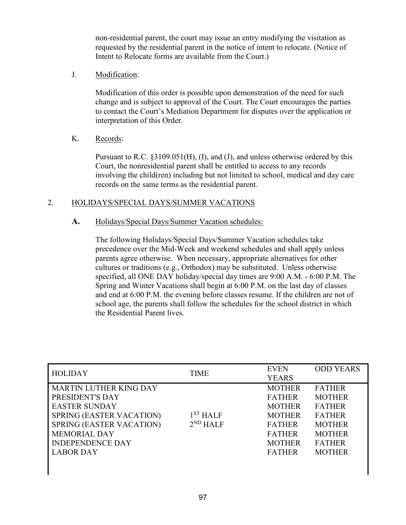non-residential parent, the court may issue an entry modifying the visitation as requested by the residential parent in the notice of intent to relocate. (Notice of Intent to Relocate forms are available from the Court.)

J. Modification:

Modification of this order is possible upon demonstration of the need for such change and is subject to approval of the Court. The Court encourages the parties to contact the Court's Mediation Department for disputes over the application or interpretation of this Order.

K. Records:

Pursuant to R.C. §3109.051(H), (I), and (J), and unless otherwise ordered by this Court, the nonresidential parent shall be entitled to access to any records involving the child(ren) including but not limited to school, medical and day care records on the same terms as the residential parent.

# 2. HOLIDAYS/SPECIAL DAYS/SUMMER VACATIONS

# A. Holidays/Special Days/Summer Vacation schedules:

The following Holidays/Special Days/Summer Vacation schedules take precedence over the Mid-Week and weekend schedules and shall apply unless parents agree otherwise. When necessary, appropriate alternatives for other cultures or traditions (e.g., Orthodox) may be substituted. Unless otherwise specified, all ONE DAY holiday/special day times are 9:00 A.M. - 6:00 P.M. The Spring and Winter Vacations shall begin at 6:00 P.M. on the last day of classes and end at 6:00 P.M. the evening before classes resume. If the children are not of school age, the parents shall follow the schedules for the school district in which the Residential Parent lives.

| <b>HOLIDAY</b>                  | <b>TIME</b>          | <b>EVEN</b>   | <b>ODD YEARS</b> |
|---------------------------------|----------------------|---------------|------------------|
|                                 |                      | <b>YEARS</b>  |                  |
| <b>MARTIN LUTHER KING DAY</b>   |                      | <b>MOTHER</b> | <b>FATHER</b>    |
| <b>PRESIDENT'S DAY</b>          |                      | <b>FATHER</b> | <b>MOTHER</b>    |
| <b>EASTER SUNDAY</b>            |                      | <b>MOTHER</b> | <b>FATHER</b>    |
| <b>SPRING (EASTER VACATION)</b> | 1 <sup>ST</sup> HALF | <b>MOTHER</b> | <b>FATHER</b>    |
| <b>SPRING (EASTER VACATION)</b> | $2^{ND}$ HALF        | <b>FATHER</b> | <b>MOTHER</b>    |
| MEMORIAL DAY                    |                      | <b>FATHER</b> | <b>MOTHER</b>    |
| <b>INDEPENDENCE DAY</b>         |                      | <b>MOTHER</b> | <b>FATHER</b>    |
| <b>LABOR DAY</b>                |                      | <b>FATHER</b> | <b>MOTHER</b>    |
|                                 |                      |               |                  |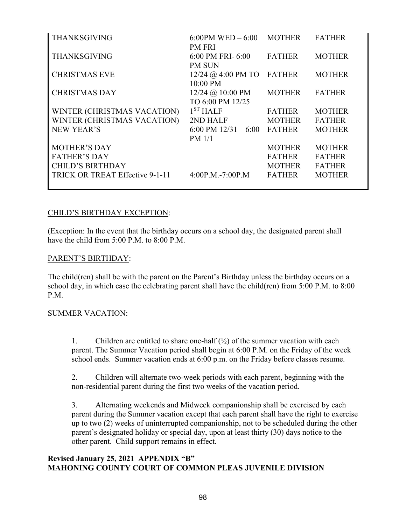| <b>THANKSGIVING</b>                | $6:00$ PM WED $-6:00$ MOTHER<br><b>PM FRI</b> |               | <b>FATHER</b> |
|------------------------------------|-----------------------------------------------|---------------|---------------|
| <b>THANKSGIVING</b>                | $6:00$ PM FRI- $6:00$<br><b>PM SUN</b>        | FATHER        | <b>MOTHER</b> |
| <b>CHRISTMAS EVE</b>               | $12/24$ @ 4:00 PM TO<br>10:00 PM              | FATHER        | <b>MOTHER</b> |
| <b>CHRISTMAS DAY</b>               | $12/24$ @ 10:00 PM<br>TO 6:00 PM 12/25        | <b>MOTHER</b> | <b>FATHER</b> |
| WINTER (CHRISTMAS VACATION)        | 1 <sup>ST</sup> HALF                          | <b>FATHER</b> | <b>MOTHER</b> |
| <b>WINTER (CHRISTMAS VACATION)</b> | 2ND HALF                                      | <b>MOTHER</b> | <b>FATHER</b> |
| NEW YEAR'S                         | 6:00 PM $12/31 - 6:00$<br>PM 1/1              | <b>FATHER</b> | <b>MOTHER</b> |
| <b>MOTHER'S DAY</b>                |                                               | <b>MOTHER</b> | <b>MOTHER</b> |
| <b>FATHER'S DAY</b>                |                                               | <b>FATHER</b> | <b>FATHER</b> |
|                                    |                                               |               |               |
| <b>CHILD'S BIRTHDAY</b>            |                                               | <b>MOTHER</b> | <b>FATHER</b> |
| TRICK OR TREAT Effective 9-1-11    | $4:00P.M.-7:00P.M$                            | <b>FATHER</b> | <b>MOTHER</b> |

### CHILD'S BIRTHDAY EXCEPTION:

(Exception: In the event that the birthday occurs on a school day, the designated parent shall have the child from 5:00 P.M. to 8:00 P.M.

### PARENT'S BIRTHDAY:

The child(ren) shall be with the parent on the Parent's Birthday unless the birthday occurs on a school day, in which case the celebrating parent shall have the child(ren) from 5:00 P.M. to 8:00 P.M.

#### SUMMER VACATION:

1. Children are entitled to share one-half  $(\frac{1}{2})$  of the summer vacation with each parent. The Summer Vacation period shall begin at 6:00 P.M. on the Friday of the week school ends. Summer vacation ends at 6:00 p.m. on the Friday before classes resume.

2. Children will alternate two-week periods with each parent, beginning with the non-residential parent during the first two weeks of the vacation period.

3. Alternating weekends and Midweek companionship shall be exercised by each parent during the Summer vacation except that each parent shall have the right to exercise up to two (2) weeks of uninterrupted companionship, not to be scheduled during the other parent's designated holiday or special day, upon at least thirty (30) days notice to the other parent. Child support remains in effect.

### **Revised January 25, 2021 APPENDIX "B" MAHONING COUNTY COURT OF COMMON PLEAS JUVENILE DIVISION**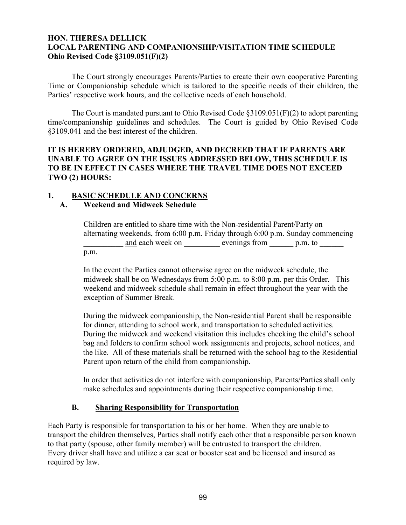# **HON. THERESA DELLICK LOCAL PARENTING AND COMPANIONSHIP/VISITATION TIME SCHEDULE Ohio Revised Code §3109.051(F)(2)**

The Court strongly encourages Parents/Parties to create their own cooperative Parenting Time or Companionship schedule which is tailored to the specific needs of their children, the Parties' respective work hours, and the collective needs of each household.

The Court is mandated pursuant to Ohio Revised Code §3109.051(F)(2) to adopt parenting time/companionship guidelines and schedules. The Court is guided by Ohio Revised Code §3109.041 and the best interest of the children.

## **IT IS HEREBY ORDERED, ADJUDGED, AND DECREED THAT IF PARENTS ARE UNABLE TO AGREE ON THE ISSUES ADDRESSED BELOW, THIS SCHEDULE IS TO BE IN EFFECT IN CASES WHERE THE TRAVEL TIME DOES NOT EXCEED TWO (2) HOURS:**

# **1. BASIC SCHEDULE AND CONCERNS**

# **A. Weekend and Midweek Schedule**

Children are entitled to share time with the Non-residential Parent/Party on alternating weekends, from 6:00 p.m. Friday through 6:00 p.m. Sunday commencing and each week on \_\_\_\_\_\_\_\_\_\_ evenings from \_\_\_\_\_\_\_ p.m. to \_\_\_\_\_\_ p.m.

In the event the Parties cannot otherwise agree on the midweek schedule, the midweek shall be on Wednesdays from 5:00 p.m. to 8:00 p.m. per this Order. This weekend and midweek schedule shall remain in effect throughout the year with the exception of Summer Break.

During the midweek companionship, the Non-residential Parent shall be responsible for dinner, attending to school work, and transportation to scheduled activities. During the midweek and weekend visitation this includes checking the child's school bag and folders to confirm school work assignments and projects, school notices, and the like. All of these materials shall be returned with the school bag to the Residential Parent upon return of the child from companionship.

In order that activities do not interfere with companionship, Parents/Parties shall only make schedules and appointments during their respective companionship time.

# **B. Sharing Responsibility for Transportation**

Each Party is responsible for transportation to his or her home. When they are unable to transport the children themselves, Parties shall notify each other that a responsible person known to that party (spouse, other family member) will be entrusted to transport the children. Every driver shall have and utilize a car seat or booster seat and be licensed and insured as required by law.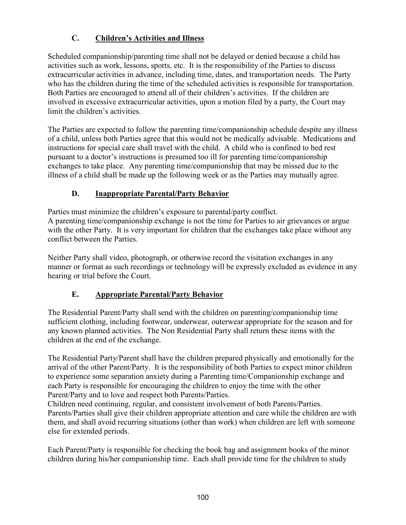# **C. Children's Activities and Illness**

Scheduled companionship/parenting time shall not be delayed or denied because a child has activities such as work, lessons, sports, etc. It is the responsibility of the Parties to discuss extracurricular activities in advance, including time, dates, and transportation needs. The Party who has the children during the time of the scheduled activities is responsible for transportation. Both Parties are encouraged to attend all of their children's activities. If the children are involved in excessive extracurricular activities, upon a motion filed by a party, the Court may limit the children's activities.

The Parties are expected to follow the parenting time/companionship schedule despite any illness of a child, unless both Parties agree that this would not be medically advisable. Medications and instructions for special care shall travel with the child. A child who is confined to bed rest pursuant to a doctor's instructions is presumed too ill for parenting time/companionship exchanges to take place. Any parenting time/companionship that may be missed due to the illness of a child shall be made up the following week or as the Parties may mutually agree.

# **D. Inappropriate Parental/Party Behavior**

Parties must minimize the children's exposure to parental/party conflict. A parenting time/companionship exchange is not the time for Parties to air grievances or argue with the other Party. It is very important for children that the exchanges take place without any conflict between the Parties.

Neither Party shall video, photograph, or otherwise record the visitation exchanges in any manner or format as such recordings or technology will be expressly excluded as evidence in any hearing or trial before the Court.

# **E. Appropriate Parental/Party Behavior**

The Residential Parent/Party shall send with the children on parenting/companionship time sufficient clothing, including footwear, underwear, outerwear appropriate for the season and for any known planned activities. The Non Residential Party shall return these items with the children at the end of the exchange.

The Residential Party/Parent shall have the children prepared physically and emotionally for the arrival of the other Parent/Party. It is the responsibility of both Parties to expect minor children to experience some separation anxiety during a Parenting time/Companionship exchange and each Party is responsible for encouraging the children to enjoy the time with the other Parent/Party and to love and respect both Parents/Parties.

Children need continuing, regular, and consistent involvement of both Parents/Parties. Parents/Parties shall give their children appropriate attention and care while the children are with them, and shall avoid recurring situations (other than work) when children are left with someone else for extended periods.

Each Parent/Party is responsible for checking the book bag and assignment books of the minor children during his/her companionship time. Each shall provide time for the children to study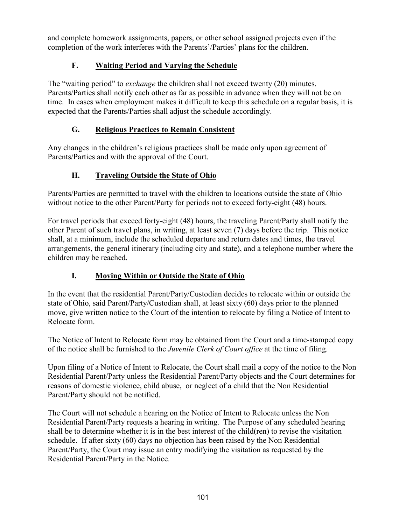and complete homework assignments, papers, or other school assigned projects even if the completion of the work interferes with the Parents'/Parties' plans for the children.

# **F. Waiting Period and Varying the Schedule**

The "waiting period" to *exchange* the children shall not exceed twenty (20) minutes. Parents/Parties shall notify each other as far as possible in advance when they will not be on time. In cases when employment makes it difficult to keep this schedule on a regular basis, it is expected that the Parents/Parties shall adjust the schedule accordingly.

# **G. Religious Practices to Remain Consistent**

Any changes in the children's religious practices shall be made only upon agreement of Parents/Parties and with the approval of the Court.

# **H. Traveling Outside the State of Ohio**

Parents/Parties are permitted to travel with the children to locations outside the state of Ohio without notice to the other Parent/Party for periods not to exceed forty-eight (48) hours.

For travel periods that exceed forty-eight (48) hours, the traveling Parent/Party shall notify the other Parent of such travel plans, in writing, at least seven (7) days before the trip. This notice shall, at a minimum, include the scheduled departure and return dates and times, the travel arrangements, the general itinerary (including city and state), and a telephone number where the children may be reached.

# **I. Moving Within or Outside the State of Ohio**

In the event that the residential Parent/Party/Custodian decides to relocate within or outside the state of Ohio, said Parent/Party/Custodian shall, at least sixty (60) days prior to the planned move, give written notice to the Court of the intention to relocate by filing a Notice of Intent to Relocate form.

The Notice of Intent to Relocate form may be obtained from the Court and a time-stamped copy of the notice shall be furnished to the *Juvenile Clerk of Court office* at the time of filing.

Upon filing of a Notice of Intent to Relocate, the Court shall mail a copy of the notice to the Non Residential Parent/Party unless the Residential Parent/Party objects and the Court determines for reasons of domestic violence, child abuse, or neglect of a child that the Non Residential Parent/Party should not be notified.

The Court will not schedule a hearing on the Notice of Intent to Relocate unless the Non Residential Parent/Party requests a hearing in writing. The Purpose of any scheduled hearing shall be to determine whether it is in the best interest of the child(ren) to revise the visitation schedule. If after sixty (60) days no objection has been raised by the Non Residential Parent/Party, the Court may issue an entry modifying the visitation as requested by the Residential Parent/Party in the Notice.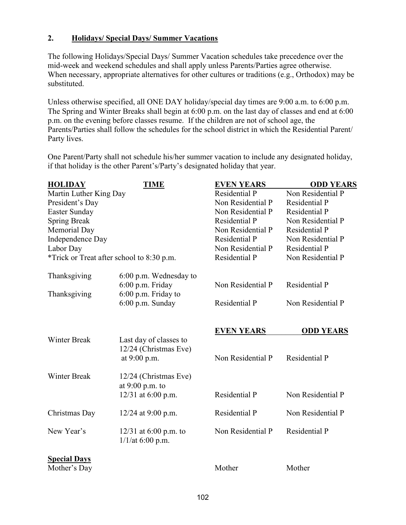# **2. Holidays/ Special Days/ Summer Vacations**

The following Holidays/Special Days/ Summer Vacation schedules take precedence over the mid-week and weekend schedules and shall apply unless Parents/Parties agree otherwise. When necessary, appropriate alternatives for other cultures or traditions (e.g., Orthodox) may be substituted.

Unless otherwise specified, all ONE DAY holiday/special day times are 9:00 a.m. to 6:00 p.m. The Spring and Winter Breaks shall begin at 6:00 p.m. on the last day of classes and end at 6:00 p.m. on the evening before classes resume. If the children are not of school age, the Parents/Parties shall follow the schedules for the school district in which the Residential Parent/ Party lives.

One Parent/Party shall not schedule his/her summer vacation to include any designated holiday, if that holiday is the other Parent's/Party's designated holiday that year.

| <b>HOLIDAY</b>         | <b>TIME</b>                                                     | <b>EVEN YEARS</b> | <b>ODD YEARS</b>  |
|------------------------|-----------------------------------------------------------------|-------------------|-------------------|
| Martin Luther King Day |                                                                 | Residential P     | Non Residential P |
| President's Day        |                                                                 | Non Residential P | Residential P     |
| Easter Sunday          |                                                                 | Non Residential P | Residential P     |
| <b>Spring Break</b>    |                                                                 | Residential P     | Non Residential P |
| Memorial Day           |                                                                 | Non Residential P | Residential P     |
| Independence Day       |                                                                 | Residential P     | Non Residential P |
| Labor Day              |                                                                 | Non Residential P | Residential P     |
|                        | *Trick or Treat after school to 8:30 p.m.                       | Residential P     | Non Residential P |
| Thanksgiving           | 6:00 p.m. Wednesday to                                          |                   |                   |
|                        | 6:00 p.m. Friday                                                | Non Residential P | Residential P     |
| Thanksgiving           | 6:00 p.m. Friday to                                             |                   |                   |
|                        | $6:00$ p.m. Sunday                                              | Residential P     | Non Residential P |
|                        |                                                                 | <b>EVEN YEARS</b> | <b>ODD YEARS</b>  |
| <b>Winter Break</b>    | Last day of classes to<br>12/24 (Christmas Eve)<br>at 9:00 p.m. | Non Residential P | Residential P     |
| <b>Winter Break</b>    | 12/24 (Christmas Eve)<br>at 9:00 p.m. to                        |                   |                   |
|                        | 12/31 at 6:00 p.m.                                              | Residential P     | Non Residential P |
| Christmas Day          | $12/24$ at 9:00 p.m.                                            | Residential P     | Non Residential P |
| New Year's             | $12/31$ at 6:00 p.m. to<br>$1/1$ /at 6:00 p.m.                  | Non Residential P | Residential P     |
| <b>Special Days</b>    |                                                                 |                   |                   |
| Mother's Day           |                                                                 | Mother            | Mother            |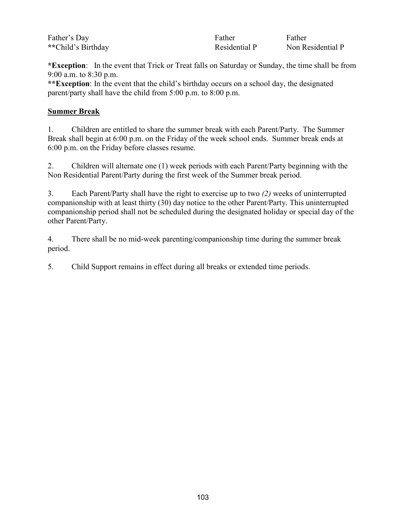| Father's Day       | Father        | Father            |
|--------------------|---------------|-------------------|
| **Child's Birthday | Residential P | Non Residential P |

**\*Exception**: In the event that Trick or Treat falls on Saturday or Sunday, the time shall be from 9:00 a.m. to 8:30 p.m.

**\*\*Exception**: In the event that the child's birthday occurs on a school day, the designated parent/party shall have the child from 5:00 p.m. to 8:00 p.m.

# **Summer Break**

1. Children are entitled to share the summer break with each Parent/Party. The Summer Break shall begin at 6:00 p.m. on the Friday of the week school ends. Summer break ends at 6:00 p.m. on the Friday before classes resume.

2. Children will alternate one (1) week periods with each Parent/Party beginning with the Non Residential Parent/Party during the first week of the Summer break period.

3. Each Parent/Party shall have the right to exercise up to two *(2)* weeks of uninterrupted companionship with at least thirty (30) day notice to the other Parent/Party. This uninterrupted companionship period shall not be scheduled during the designated holiday or special day of the other Parent/Party.

4. There shall be no mid-week parenting/companionship time during the summer break period.

5. Child Support remains in effect during all breaks or extended time periods.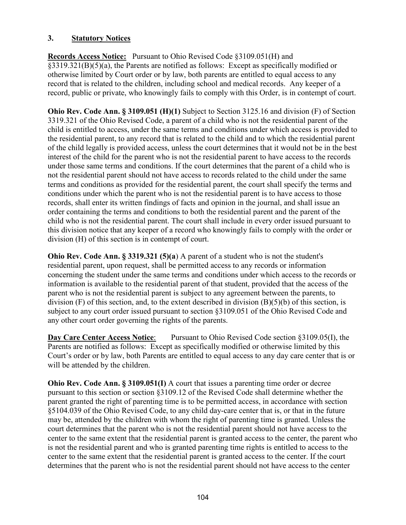## **3. Statutory Notices**

**Records Access Notice:** Pursuant to Ohio Revised Code §3109.051(H) and §3319.321(B)(5)(a), the Parents are notified as follows: Except as specifically modified or otherwise limited by Court order or by law, both parents are entitled to equal access to any record that is related to the children, including school and medical records. Any keeper of a record, public or private, who knowingly fails to comply with this Order, is in contempt of court.

**Ohio Rev. Code Ann. § 3109.051 (H)(1)** Subject to Section 3125.16 and division (F) of Section 3319.321 of the Ohio Revised Code, a parent of a child who is not the residential parent of the child is entitled to access, under the same terms and conditions under which access is provided to the residential parent, to any record that is related to the child and to which the residential parent of the child legally is provided access, unless the court determines that it would not be in the best interest of the child for the parent who is not the residential parent to have access to the records under those same terms and conditions. If the court determines that the parent of a child who is not the residential parent should not have access to records related to the child under the same terms and conditions as provided for the residential parent, the court shall specify the terms and conditions under which the parent who is not the residential parent is to have access to those records, shall enter its written findings of facts and opinion in the journal, and shall issue an order containing the terms and conditions to both the residential parent and the parent of the child who is not the residential parent. The court shall include in every order issued pursuant to this division notice that any keeper of a record who knowingly fails to comply with the order or division (H) of this section is in contempt of court.

**Ohio Rev. Code Ann. § 3319.321 (5)(a)** A parent of a student who is not the student's residential parent, upon request, shall be permitted access to any records or information concerning the student under the same terms and conditions under which access to the records or information is available to the residential parent of that student, provided that the access of the parent who is not the residential parent is subject to any agreement between the parents, to division (F) of this section, and, to the extent described in division (B)(5)(b) of this section, is subject to any court order issued pursuant to section §3109.051 of the Ohio Revised Code and any other court order governing the rights of the parents.

**Day Care Center Access Notice**: Pursuant to Ohio Revised Code section §3109.05(I), the Parents are notified as follows: Except as specifically modified or otherwise limited by this Court's order or by law, both Parents are entitled to equal access to any day care center that is or will be attended by the children.

**Ohio Rev. Code Ann. § 3109.051(I)** A court that issues a parenting time order or decree pursuant to this section or section §3109.12 of the Revised Code shall determine whether the parent granted the right of parenting time is to be permitted access, in accordance with section §5104.039 of the Ohio Revised Code, to any child day-care center that is, or that in the future may be, attended by the children with whom the right of parenting time is granted. Unless the court determines that the parent who is not the residential parent should not have access to the center to the same extent that the residential parent is granted access to the center, the parent who is not the residential parent and who is granted parenting time rights is entitled to access to the center to the same extent that the residential parent is granted access to the center. If the court determines that the parent who is not the residential parent should not have access to the center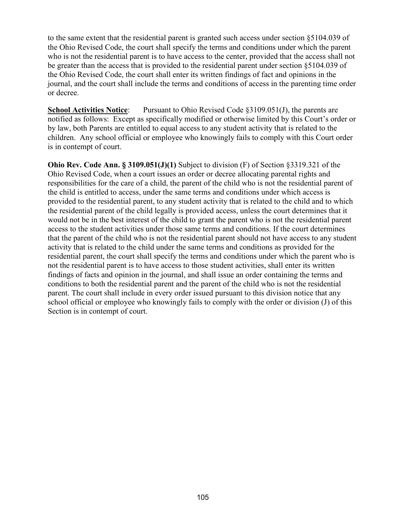to the same extent that the residential parent is granted such access under section §5104.039 of the Ohio Revised Code, the court shall specify the terms and conditions under which the parent who is not the residential parent is to have access to the center, provided that the access shall not be greater than the access that is provided to the residential parent under section §5104.039 of the Ohio Revised Code, the court shall enter its written findings of fact and opinions in the journal, and the court shall include the terms and conditions of access in the parenting time order or decree.

**School Activities Notice:** Pursuant to Ohio Revised Code §3109.051(J), the parents are notified as follows: Except as specifically modified or otherwise limited by this Court's order or by law, both Parents are entitled to equal access to any student activity that is related to the children. Any school official or employee who knowingly fails to comply with this Court order is in contempt of court.

**Ohio Rev. Code Ann. § 3109.051(J)(1)** Subject to division (F) of Section §3319.321 of the Ohio Revised Code, when a court issues an order or decree allocating parental rights and responsibilities for the care of a child, the parent of the child who is not the residential parent of the child is entitled to access, under the same terms and conditions under which access is provided to the residential parent, to any student activity that is related to the child and to which the residential parent of the child legally is provided access, unless the court determines that it would not be in the best interest of the child to grant the parent who is not the residential parent access to the student activities under those same terms and conditions. If the court determines that the parent of the child who is not the residential parent should not have access to any student activity that is related to the child under the same terms and conditions as provided for the residential parent, the court shall specify the terms and conditions under which the parent who is not the residential parent is to have access to those student activities, shall enter its written findings of facts and opinion in the journal, and shall issue an order containing the terms and conditions to both the residential parent and the parent of the child who is not the residential parent. The court shall include in every order issued pursuant to this division notice that any school official or employee who knowingly fails to comply with the order or division (J) of this Section is in contempt of court.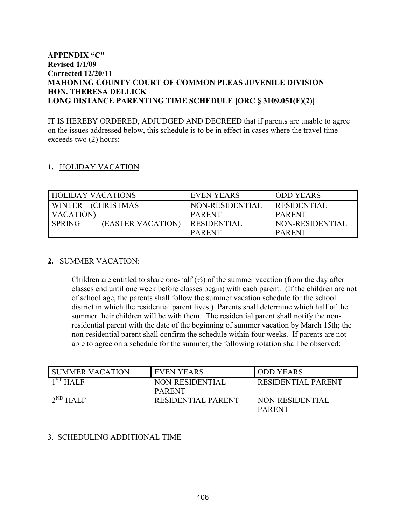## **APPENDIX "C" Revised 1/1/09 Corrected 12/20/11 MAHONING COUNTY COURT OF COMMON PLEAS JUVENILE DIVISION HON. THERESA DELLICK LONG DISTANCE PARENTING TIME SCHEDULE [ORC § 3109.051(F)(2)]**

IT IS HEREBY ORDERED, ADJUDGED AND DECREED that if parents are unable to agree on the issues addressed below, this schedule is to be in effect in cases where the travel time exceeds two (2) hours:

### **1.** HOLIDAY VACATION

|               | <b>HOLIDAY VACATIONS</b> | <b>EVEN YEARS</b>  | <b>ODD YEARS</b> |
|---------------|--------------------------|--------------------|------------------|
|               | WINTER (CHRISTMAS        | NON-RESIDENTIAL    | RESIDENTIAL      |
| VACATION)     |                          | <b>PARENT</b>      | <b>PARENT</b>    |
| <b>SPRING</b> | (EASTER VACATION)        | <b>RESIDENTIAL</b> | NON-RESIDENTIAL  |
|               |                          | <b>PARENT</b>      | <b>PARENT</b>    |

#### **2.** SUMMER VACATION:

Children are entitled to share one-half  $(\frac{1}{2})$  of the summer vacation (from the day after classes end until one week before classes begin) with each parent. (If the children are not of school age, the parents shall follow the summer vacation schedule for the school district in which the residential parent lives.) Parents shall determine which half of the summer their children will be with them. The residential parent shall notify the nonresidential parent with the date of the beginning of summer vacation by March 15th; the non-residential parent shall confirm the schedule within four weeks. If parents are not able to agree on a schedule for the summer, the following rotation shall be observed:

| I SUMMER VACATION | EVEN YEARS         | <b>ODD YEARS</b>   |
|-------------------|--------------------|--------------------|
| $1^{ST}$ HALF     | NON-RESIDENTIAL    | RESIDENTIAL PARENT |
|                   | <b>PARENT</b>      |                    |
| $2^{ND}$ HALF     | RESIDENTIAL PARENT | NON-RESIDENTIAL    |
|                   |                    | <b>PARENT</b>      |

### 3. SCHEDULING ADDITIONAL TIME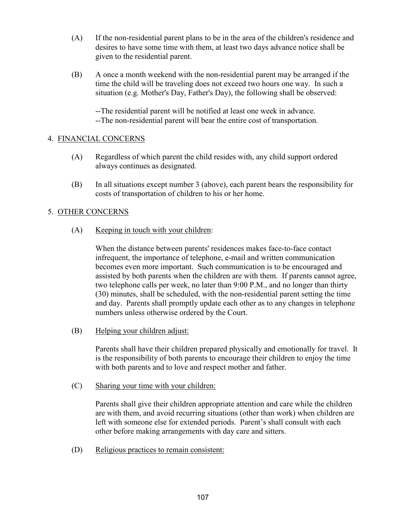- (A) If the non-residential parent plans to be in the area of the children's residence and desires to have some time with them, at least two days advance notice shall be given to the residential parent.
- (B) A once a month weekend with the non-residential parent may be arranged if the time the child will be traveling does not exceed two hours one way. In such a situation (e.g. Mother's Day, Father's Day), the following shall be observed:

--The residential parent will be notified at least one week in advance. --The non-residential parent will bear the entire cost of transportation.

# 4. FINANCIAL CONCERNS

- (A) Regardless of which parent the child resides with, any child support ordered always continues as designated.
- (B) In all situations except number 3 (above), each parent bears the responsibility for costs of transportation of children to his or her home.

# 5. OTHER CONCERNS

(A) Keeping in touch with your children:

When the distance between parents' residences makes face-to-face contact infrequent, the importance of telephone, e-mail and written communication becomes even more important. Such communication is to be encouraged and assisted by both parents when the children are with them. If parents cannot agree, two telephone calls per week, no later than 9:00 P.M., and no longer than thirty (30) minutes, shall be scheduled, with the non-residential parent setting the time and day. Parents shall promptly update each other as to any changes in telephone numbers unless otherwise ordered by the Court.

(B) Helping your children adjust:

Parents shall have their children prepared physically and emotionally for travel. It is the responsibility of both parents to encourage their children to enjoy the time with both parents and to love and respect mother and father.

(C) Sharing your time with your children:

Parents shall give their children appropriate attention and care while the children are with them, and avoid recurring situations (other than work) when children are left with someone else for extended periods. Parent's shall consult with each other before making arrangements with day care and sitters.

(D) Religious practices to remain consistent: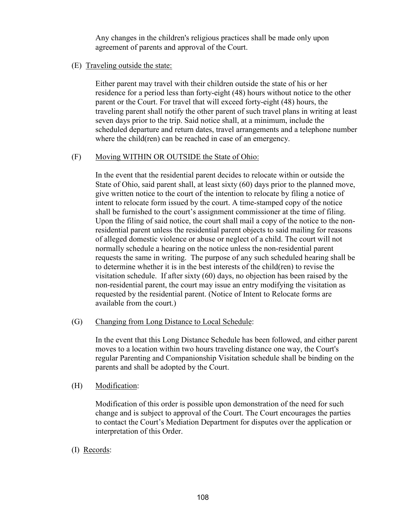Any changes in the children's religious practices shall be made only upon agreement of parents and approval of the Court.

### (E) Traveling outside the state:

Either parent may travel with their children outside the state of his or her residence for a period less than forty-eight (48) hours without notice to the other parent or the Court. For travel that will exceed forty-eight (48) hours, the traveling parent shall notify the other parent of such travel plans in writing at least seven days prior to the trip. Said notice shall, at a minimum, include the scheduled departure and return dates, travel arrangements and a telephone number where the child(ren) can be reached in case of an emergency.

#### (F) Moving WITHIN OR OUTSIDE the State of Ohio:

In the event that the residential parent decides to relocate within or outside the State of Ohio, said parent shall, at least sixty (60) days prior to the planned move, give written notice to the court of the intention to relocate by filing a notice of intent to relocate form issued by the court. A time-stamped copy of the notice shall be furnished to the court's assignment commissioner at the time of filing. Upon the filing of said notice, the court shall mail a copy of the notice to the nonresidential parent unless the residential parent objects to said mailing for reasons of alleged domestic violence or abuse or neglect of a child. The court will not normally schedule a hearing on the notice unless the non-residential parent requests the same in writing. The purpose of any such scheduled hearing shall be to determine whether it is in the best interests of the child(ren) to revise the visitation schedule. If after sixty (60) days, no objection has been raised by the non-residential parent, the court may issue an entry modifying the visitation as requested by the residential parent. (Notice of Intent to Relocate forms are available from the court.)

#### (G) Changing from Long Distance to Local Schedule:

In the event that this Long Distance Schedule has been followed, and either parent moves to a location within two hours traveling distance one way, the Court's regular Parenting and Companionship Visitation schedule shall be binding on the parents and shall be adopted by the Court.

#### (H) Modification:

Modification of this order is possible upon demonstration of the need for such change and is subject to approval of the Court. The Court encourages the parties to contact the Court's Mediation Department for disputes over the application or interpretation of this Order.

## (I) Records: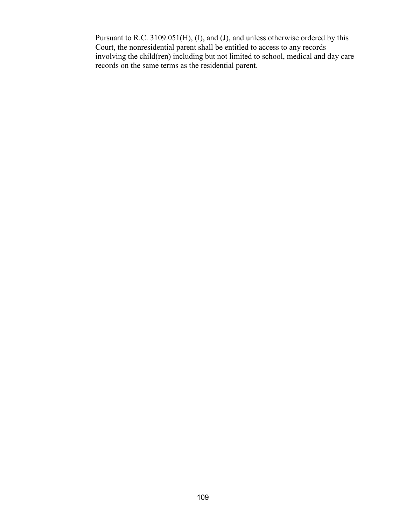Pursuant to R.C. 3109.051(H), (I), and (J), and unless otherwise ordered by this Court, the nonresidential parent shall be entitled to access to any records involving the child(ren) including but not limited to school, medical and day care records on the same terms as the residential parent.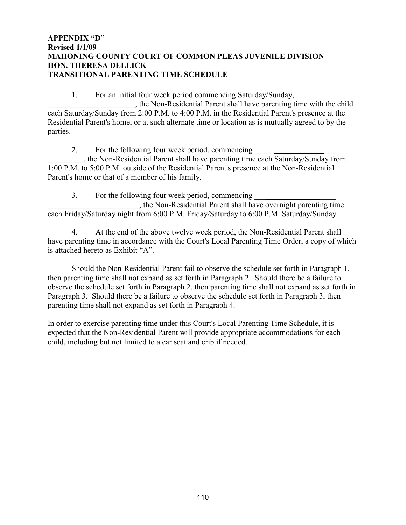## **APPENDIX "D" Revised 1/1/09 MAHONING COUNTY COURT OF COMMON PLEAS JUVENILE DIVISION HON. THERESA DELLICK TRANSITIONAL PARENTING TIME SCHEDULE**

1. For an initial four week period commencing Saturday/Sunday,

\_\_\_\_\_\_\_\_\_\_\_\_\_\_\_\_\_\_\_\_\_\_, the Non-Residential Parent shall have parenting time with the child each Saturday/Sunday from 2:00 P.M. to 4:00 P.M. in the Residential Parent's presence at the Residential Parent's home, or at such alternate time or location as is mutually agreed to by the parties.

2. For the following four week period, commencing

\_\_\_\_\_\_\_\_\_, the Non-Residential Parent shall have parenting time each Saturday/Sunday from 1:00 P.M. to 5:00 P.M. outside of the Residential Parent's presence at the Non-Residential Parent's home or that of a member of his family.

3. For the following four week period, commencing

, the Non-Residential Parent shall have overnight parenting time each Friday/Saturday night from 6:00 P.M. Friday/Saturday to 6:00 P.M. Saturday/Sunday.

4. At the end of the above twelve week period, the Non-Residential Parent shall have parenting time in accordance with the Court's Local Parenting Time Order, a copy of which is attached hereto as Exhibit "A".

Should the Non-Residential Parent fail to observe the schedule set forth in Paragraph 1, then parenting time shall not expand as set forth in Paragraph 2. Should there be a failure to observe the schedule set forth in Paragraph 2, then parenting time shall not expand as set forth in Paragraph 3. Should there be a failure to observe the schedule set forth in Paragraph 3, then parenting time shall not expand as set forth in Paragraph 4.

In order to exercise parenting time under this Court's Local Parenting Time Schedule, it is expected that the Non-Residential Parent will provide appropriate accommodations for each child, including but not limited to a car seat and crib if needed.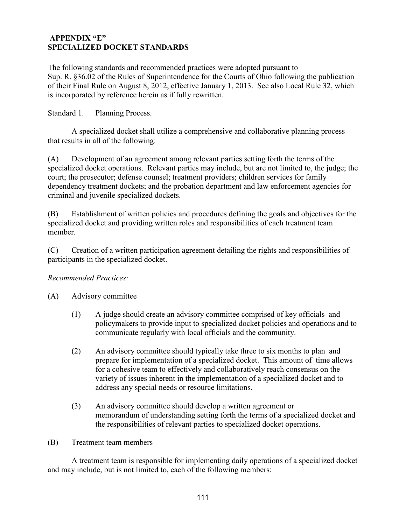# **APPENDIX "E" SPECIALIZED DOCKET STANDARDS**

The following standards and recommended practices were adopted pursuant to Sup. R. §36.02 of the Rules of Superintendence for the Courts of Ohio following the publication of their Final Rule on August 8, 2012, effective January 1, 2013. See also Local Rule 32, which is incorporated by reference herein as if fully rewritten.

Standard 1. Planning Process.

A specialized docket shall utilize a comprehensive and collaborative planning process that results in all of the following:

(A) Development of an agreement among relevant parties setting forth the terms of the specialized docket operations. Relevant parties may include, but are not limited to, the judge; the court; the prosecutor; defense counsel; treatment providers; children services for family dependency treatment dockets; and the probation department and law enforcement agencies for criminal and juvenile specialized dockets.

(B) Establishment of written policies and procedures defining the goals and objectives for the specialized docket and providing written roles and responsibilities of each treatment team member.

(C) Creation of a written participation agreement detailing the rights and responsibilities of participants in the specialized docket.

## *Recommended Practices:*

(A) Advisory committee

- (1) A judge should create an advisory committee comprised of key officials and policymakers to provide input to specialized docket policies and operations and to communicate regularly with local officials and the community.
- (2) An advisory committee should typically take three to six months to plan and prepare for implementation of a specialized docket. This amount of time allows for a cohesive team to effectively and collaboratively reach consensus on the variety of issues inherent in the implementation of a specialized docket and to address any special needs or resource limitations.
- (3) An advisory committee should develop a written agreement or memorandum of understanding setting forth the terms of a specialized docket and the responsibilities of relevant parties to specialized docket operations.

#### (B) Treatment team members

A treatment team is responsible for implementing daily operations of a specialized docket and may include, but is not limited to, each of the following members: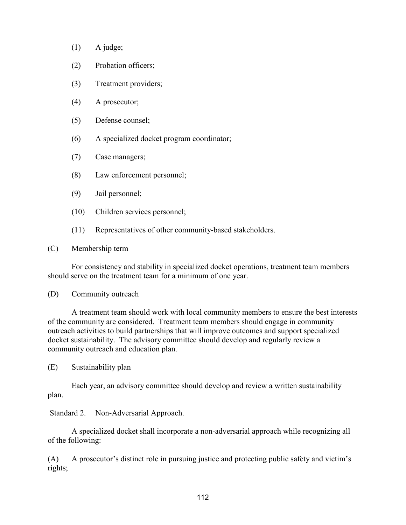- (1) A judge;
- (2) Probation officers;
- (3) Treatment providers;
- (4) A prosecutor;
- (5) Defense counsel;
- (6) A specialized docket program coordinator;
- (7) Case managers;
- (8) Law enforcement personnel;
- (9) Jail personnel;
- (10) Children services personnel;
- (11) Representatives of other community-based stakeholders.

(C) Membership term

For consistency and stability in specialized docket operations, treatment team members should serve on the treatment team for a minimum of one year.

#### (D) Community outreach

A treatment team should work with local community members to ensure the best interests of the community are considered. Treatment team members should engage in community outreach activities to build partnerships that will improve outcomes and support specialized docket sustainability. The advisory committee should develop and regularly review a community outreach and education plan.

(E) Sustainability plan

Each year, an advisory committee should develop and review a written sustainability plan.

#### Standard 2. Non-Adversarial Approach.

A specialized docket shall incorporate a non-adversarial approach while recognizing all of the following:

(A) A prosecutor's distinct role in pursuing justice and protecting public safety and victim's rights;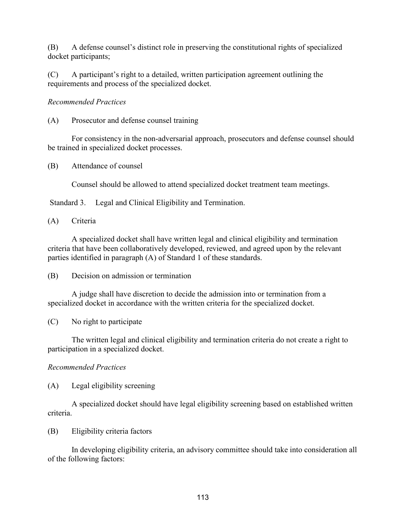(B) A defense counsel's distinct role in preserving the constitutional rights of specialized docket participants;

(C) A participant's right to a detailed, written participation agreement outlining the requirements and process of the specialized docket.

### *Recommended Practices*

(A) Prosecutor and defense counsel training

For consistency in the non-adversarial approach, prosecutors and defense counsel should be trained in specialized docket processes.

(B) Attendance of counsel

Counsel should be allowed to attend specialized docket treatment team meetings.

Standard 3. Legal and Clinical Eligibility and Termination.

(A) Criteria

A specialized docket shall have written legal and clinical eligibility and termination criteria that have been collaboratively developed, reviewed, and agreed upon by the relevant parties identified in paragraph (A) of Standard 1 of these standards.

#### (B) Decision on admission or termination

A judge shall have discretion to decide the admission into or termination from a specialized docket in accordance with the written criteria for the specialized docket.

(C) No right to participate

The written legal and clinical eligibility and termination criteria do not create a right to participation in a specialized docket.

#### *Recommended Practices*

(A) Legal eligibility screening

A specialized docket should have legal eligibility screening based on established written criteria.

(B) Eligibility criteria factors

In developing eligibility criteria, an advisory committee should take into consideration all of the following factors: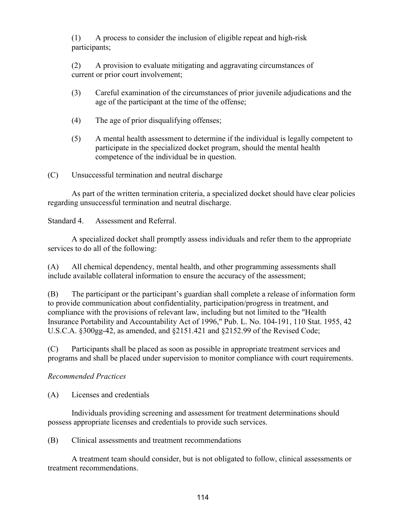(1) A process to consider the inclusion of eligible repeat and high-risk participants;

(2) A provision to evaluate mitigating and aggravating circumstances of current or prior court involvement;

- (3) Careful examination of the circumstances of prior juvenile adjudications and the age of the participant at the time of the offense;
- (4) The age of prior disqualifying offenses;
- (5) A mental health assessment to determine if the individual is legally competent to participate in the specialized docket program, should the mental health competence of the individual be in question.

(C) Unsuccessful termination and neutral discharge

As part of the written termination criteria, a specialized docket should have clear policies regarding unsuccessful termination and neutral discharge.

Standard 4. Assessment and Referral.

A specialized docket shall promptly assess individuals and refer them to the appropriate services to do all of the following:

(A) All chemical dependency, mental health, and other programming assessments shall include available collateral information to ensure the accuracy of the assessment;

(B) The participant or the participant's guardian shall complete a release of information form to provide communication about confidentiality, participation/progress in treatment, and compliance with the provisions of relevant law, including but not limited to the "Health Insurance Portability and Accountability Act of 1996," Pub. L. No. 104-191, 110 Stat. 1955, 42 U.S.C.A. §300gg-42, as amended, and §2151.421 and §2152.99 of the Revised Code;

(C) Participants shall be placed as soon as possible in appropriate treatment services and programs and shall be placed under supervision to monitor compliance with court requirements.

## *Recommended Practices*

(A) Licenses and credentials

Individuals providing screening and assessment for treatment determinations should possess appropriate licenses and credentials to provide such services.

(B) Clinical assessments and treatment recommendations

A treatment team should consider, but is not obligated to follow, clinical assessments or treatment recommendations.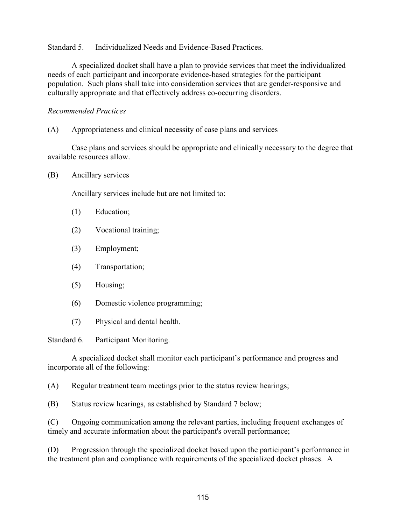Standard 5. Individualized Needs and Evidence-Based Practices.

A specialized docket shall have a plan to provide services that meet the individualized needs of each participant and incorporate evidence-based strategies for the participant population. Such plans shall take into consideration services that are gender-responsive and culturally appropriate and that effectively address co-occurring disorders.

### *Recommended Practices*

(A) Appropriateness and clinical necessity of case plans and services

Case plans and services should be appropriate and clinically necessary to the degree that available resources allow.

(B) Ancillary services

Ancillary services include but are not limited to:

- (1) Education;
- (2) Vocational training;
- (3) Employment;
- (4) Transportation;
- (5) Housing;
- (6) Domestic violence programming;
- (7) Physical and dental health.

Standard 6. Participant Monitoring.

A specialized docket shall monitor each participant's performance and progress and incorporate all of the following:

(A) Regular treatment team meetings prior to the status review hearings;

(B) Status review hearings, as established by Standard 7 below;

(C) Ongoing communication among the relevant parties, including frequent exchanges of timely and accurate information about the participant's overall performance;

(D) Progression through the specialized docket based upon the participant's performance in the treatment plan and compliance with requirements of the specialized docket phases. A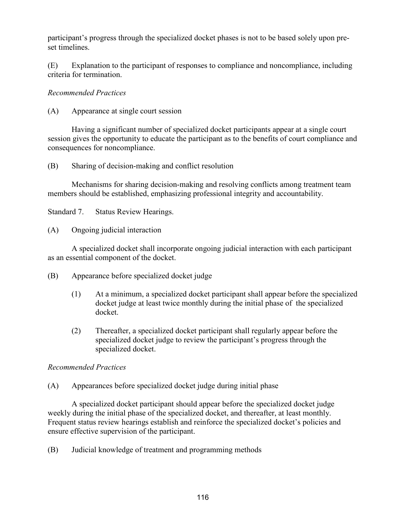participant's progress through the specialized docket phases is not to be based solely upon preset timelines.

(E) Explanation to the participant of responses to compliance and noncompliance, including criteria for termination.

# *Recommended Practices*

(A) Appearance at single court session

Having a significant number of specialized docket participants appear at a single court session gives the opportunity to educate the participant as to the benefits of court compliance and consequences for noncompliance.

(B) Sharing of decision-making and conflict resolution

Mechanisms for sharing decision-making and resolving conflicts among treatment team members should be established, emphasizing professional integrity and accountability.

Standard 7. Status Review Hearings.

(A) Ongoing judicial interaction

A specialized docket shall incorporate ongoing judicial interaction with each participant as an essential component of the docket.

- (B) Appearance before specialized docket judge
	- (1) At a minimum, a specialized docket participant shall appear before the specialized docket judge at least twice monthly during the initial phase of the specialized docket.
	- (2) Thereafter, a specialized docket participant shall regularly appear before the specialized docket judge to review the participant's progress through the specialized docket.

## *Recommended Practices*

(A) Appearances before specialized docket judge during initial phase

A specialized docket participant should appear before the specialized docket judge weekly during the initial phase of the specialized docket, and thereafter, at least monthly. Frequent status review hearings establish and reinforce the specialized docket's policies and ensure effective supervision of the participant.

(B) Judicial knowledge of treatment and programming methods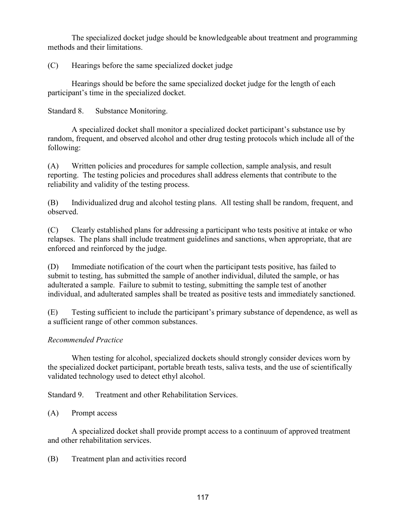The specialized docket judge should be knowledgeable about treatment and programming methods and their limitations.

(C) Hearings before the same specialized docket judge

Hearings should be before the same specialized docket judge for the length of each participant's time in the specialized docket.

Standard 8. Substance Monitoring.

A specialized docket shall monitor a specialized docket participant's substance use by random, frequent, and observed alcohol and other drug testing protocols which include all of the following:

(A) Written policies and procedures for sample collection, sample analysis, and result reporting. The testing policies and procedures shall address elements that contribute to the reliability and validity of the testing process.

(B) Individualized drug and alcohol testing plans. All testing shall be random, frequent, and observed.

(C) Clearly established plans for addressing a participant who tests positive at intake or who relapses. The plans shall include treatment guidelines and sanctions, when appropriate, that are enforced and reinforced by the judge.

(D) Immediate notification of the court when the participant tests positive, has failed to submit to testing, has submitted the sample of another individual, diluted the sample, or has adulterated a sample. Failure to submit to testing, submitting the sample test of another individual, and adulterated samples shall be treated as positive tests and immediately sanctioned.

(E) Testing sufficient to include the participant's primary substance of dependence, as well as a sufficient range of other common substances.

## *Recommended Practice*

When testing for alcohol, specialized dockets should strongly consider devices worn by the specialized docket participant, portable breath tests, saliva tests, and the use of scientifically validated technology used to detect ethyl alcohol.

Standard 9. Treatment and other Rehabilitation Services.

(A) Prompt access

A specialized docket shall provide prompt access to a continuum of approved treatment and other rehabilitation services.

(B) Treatment plan and activities record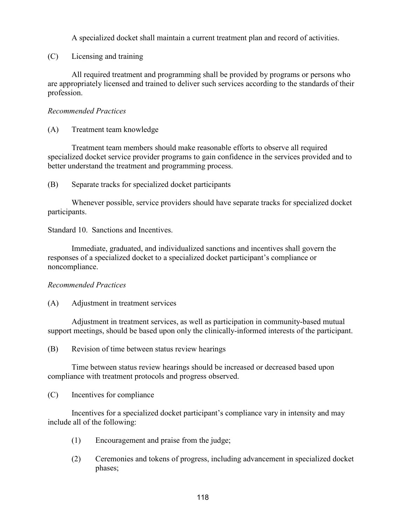A specialized docket shall maintain a current treatment plan and record of activities.

(C) Licensing and training

All required treatment and programming shall be provided by programs or persons who are appropriately licensed and trained to deliver such services according to the standards of their profession.

### *Recommended Practices*

(A) Treatment team knowledge

Treatment team members should make reasonable efforts to observe all required specialized docket service provider programs to gain confidence in the services provided and to better understand the treatment and programming process.

(B) Separate tracks for specialized docket participants

Whenever possible, service providers should have separate tracks for specialized docket participants.

Standard 10. Sanctions and Incentives.

Immediate, graduated, and individualized sanctions and incentives shall govern the responses of a specialized docket to a specialized docket participant's compliance or noncompliance.

## *Recommended Practices*

(A) Adjustment in treatment services

Adjustment in treatment services, as well as participation in community-based mutual support meetings, should be based upon only the clinically-informed interests of the participant.

(B) Revision of time between status review hearings

Time between status review hearings should be increased or decreased based upon compliance with treatment protocols and progress observed.

(C) Incentives for compliance

Incentives for a specialized docket participant's compliance vary in intensity and may include all of the following:

- (1) Encouragement and praise from the judge;
- (2) Ceremonies and tokens of progress, including advancement in specialized docket phases;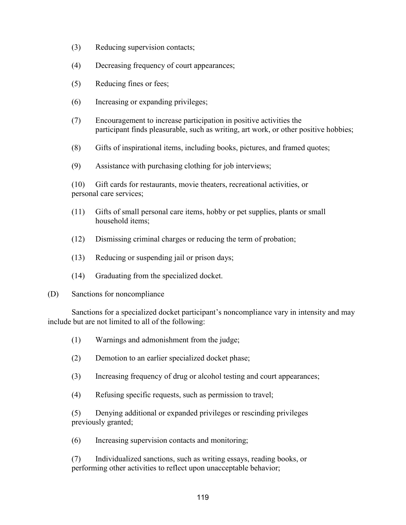- (3) Reducing supervision contacts;
- (4) Decreasing frequency of court appearances;
- (5) Reducing fines or fees;
- (6) Increasing or expanding privileges;
- (7) Encouragement to increase participation in positive activities the participant finds pleasurable, such as writing, art work, or other positive hobbies;
- (8) Gifts of inspirational items, including books, pictures, and framed quotes;
- (9) Assistance with purchasing clothing for job interviews;

(10) Gift cards for restaurants, movie theaters, recreational activities, or personal care services;

- (11) Gifts of small personal care items, hobby or pet supplies, plants or small household items;
- (12) Dismissing criminal charges or reducing the term of probation;
- (13) Reducing or suspending jail or prison days;
- (14) Graduating from the specialized docket.
- (D) Sanctions for noncompliance

Sanctions for a specialized docket participant's noncompliance vary in intensity and may include but are not limited to all of the following:

- (1) Warnings and admonishment from the judge;
- (2) Demotion to an earlier specialized docket phase;
- (3) Increasing frequency of drug or alcohol testing and court appearances;
- (4) Refusing specific requests, such as permission to travel;

(5) Denying additional or expanded privileges or rescinding privileges previously granted;

(6) Increasing supervision contacts and monitoring;

(7) Individualized sanctions, such as writing essays, reading books, or performing other activities to reflect upon unacceptable behavior;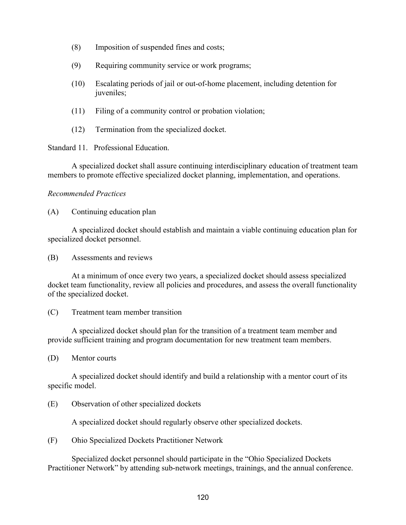- (8) Imposition of suspended fines and costs;
- (9) Requiring community service or work programs;
- (10) Escalating periods of jail or out-of-home placement, including detention for juveniles;
- (11) Filing of a community control or probation violation;
- (12) Termination from the specialized docket.

Standard 11. Professional Education.

A specialized docket shall assure continuing interdisciplinary education of treatment team members to promote effective specialized docket planning, implementation, and operations.

#### *Recommended Practices*

(A) Continuing education plan

A specialized docket should establish and maintain a viable continuing education plan for specialized docket personnel.

(B) Assessments and reviews

At a minimum of once every two years, a specialized docket should assess specialized docket team functionality, review all policies and procedures, and assess the overall functionality of the specialized docket.

#### (C) Treatment team member transition

A specialized docket should plan for the transition of a treatment team member and provide sufficient training and program documentation for new treatment team members.

(D) Mentor courts

A specialized docket should identify and build a relationship with a mentor court of its specific model.

#### (E) Observation of other specialized dockets

A specialized docket should regularly observe other specialized dockets.

(F) Ohio Specialized Dockets Practitioner Network

Specialized docket personnel should participate in the "Ohio Specialized Dockets Practitioner Network" by attending sub-network meetings, trainings, and the annual conference.